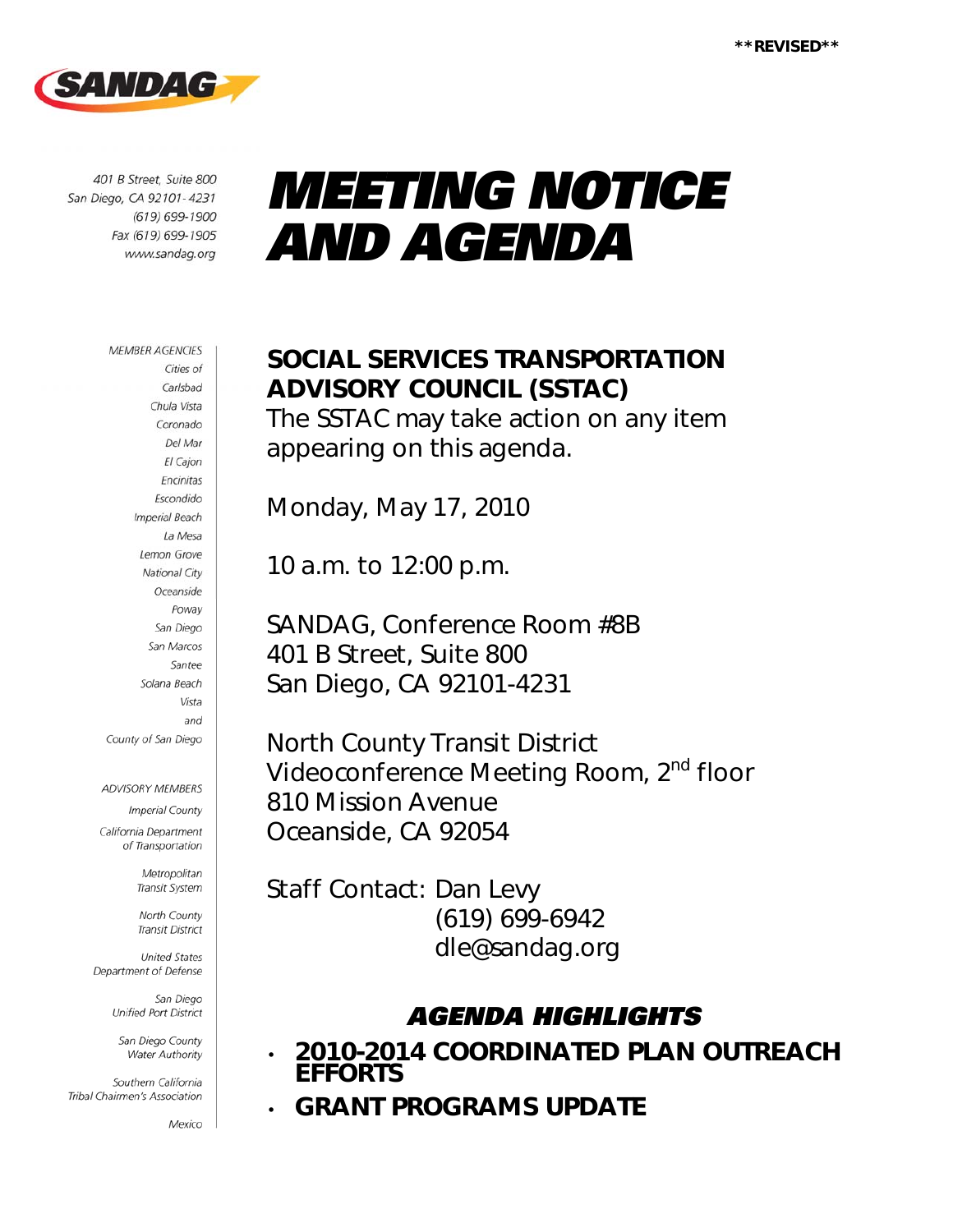

401 B Street, Suite 800 San Diego, CA 92101-4231 (619) 699-1900 Fax (619) 699-1905 www.sandag.org

#### **MEMBER AGENCIES** Cities of Carlsbad Chula Vista Coronado Del Mar El Cajon Encinitas Escondido **Imperial Beach** La Mesa Lemon Grove **National City** Oceanside Poway San Diego San Marcos Santee Solana Beach Vista and County of San Diego

ADVISORY MEMBERS

**Imperial County** California Department

of Transportation

Metropolitan Transit System

North County **Transit District** 

**United States** Department of Defense

> San Diego Unified Port District

San Diego County Water Authority

Southern California Tribal Chairmen's Association

Mexico

# *MEETING NOTICE AND AGENDA*

## SOCIAL SERVICES TRANSPORTATION ADVISORY COUNCIL (SSTAC)

The SSTAC may take action on any item appearing on this agenda.

Monday, May 17, 2010

10 a.m. to 12:00 p.m.

SANDAG, Conference Room #8B 401 B Street, Suite 800 San Diego, CA 92101-4231

North County Transit District Videoconference Meeting Room, 2<sup>nd</sup> floor 810 Mission Avenue Oceanside, CA 92054

Staff Contact: Dan Levy (619) 699-6942 dle@sandag.org

## *AGENDA HIGHLIGHTS*

- 2010-2014 COORDINATED PLAN OUTREACH EFFORTS
- GRANT PROGRAMS UPDATE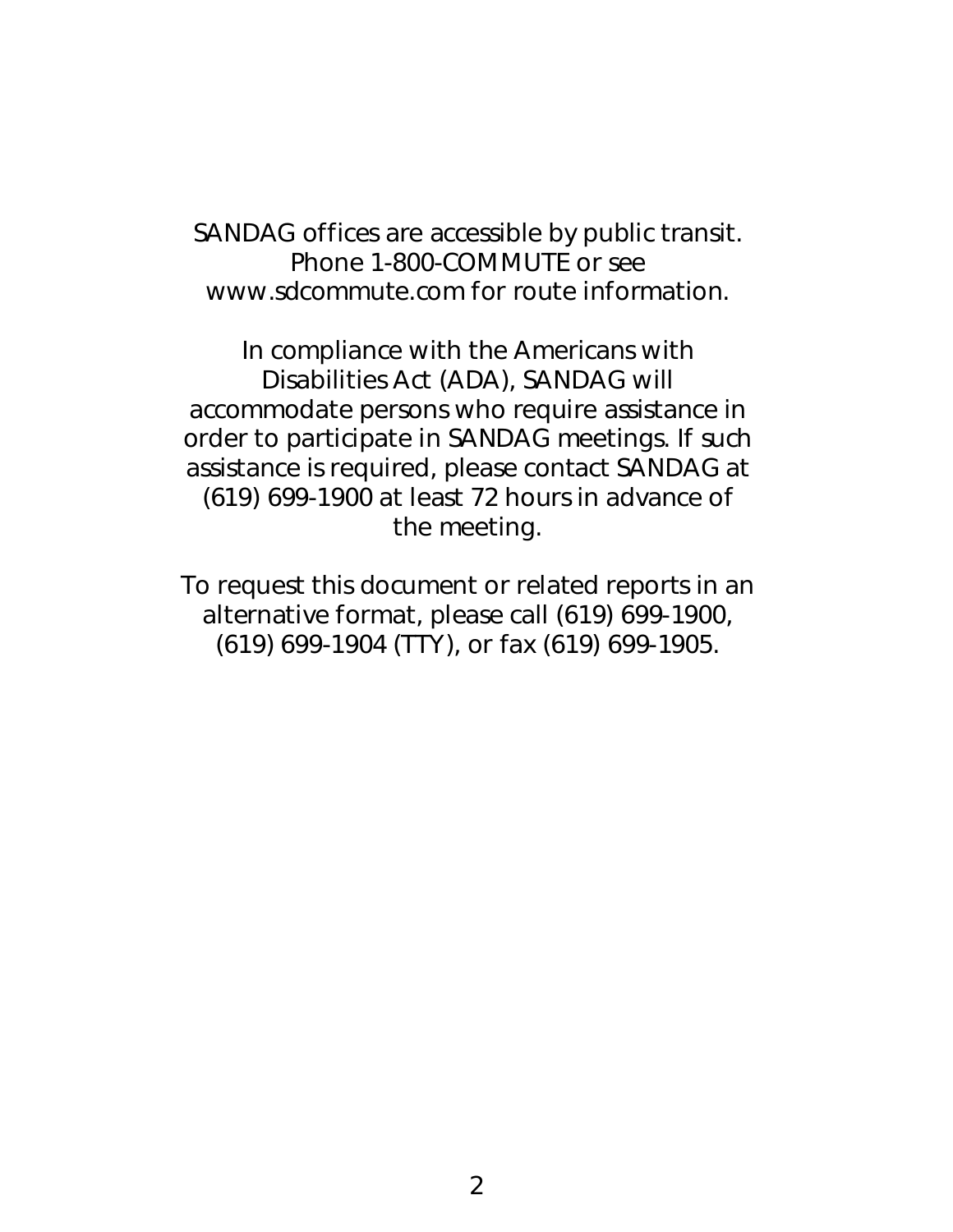SANDAG offices are accessible by public transit. Phone 1-800-COMMUTE or see www.sdcommute.com for route information.

*In compliance with the Americans with Disabilities Act (ADA), SANDAG will accommodate persons who require assistance in order to participate in SANDAG meetings. If such assistance is required, please contact SANDAG at (619) 699-1900 at least 72 hours in advance of the meeting.* 

*To request this document or related reports in an alternative format, please call (619) 699-1900, (619) 699-1904 (TTY), or fax (619) 699-1905.*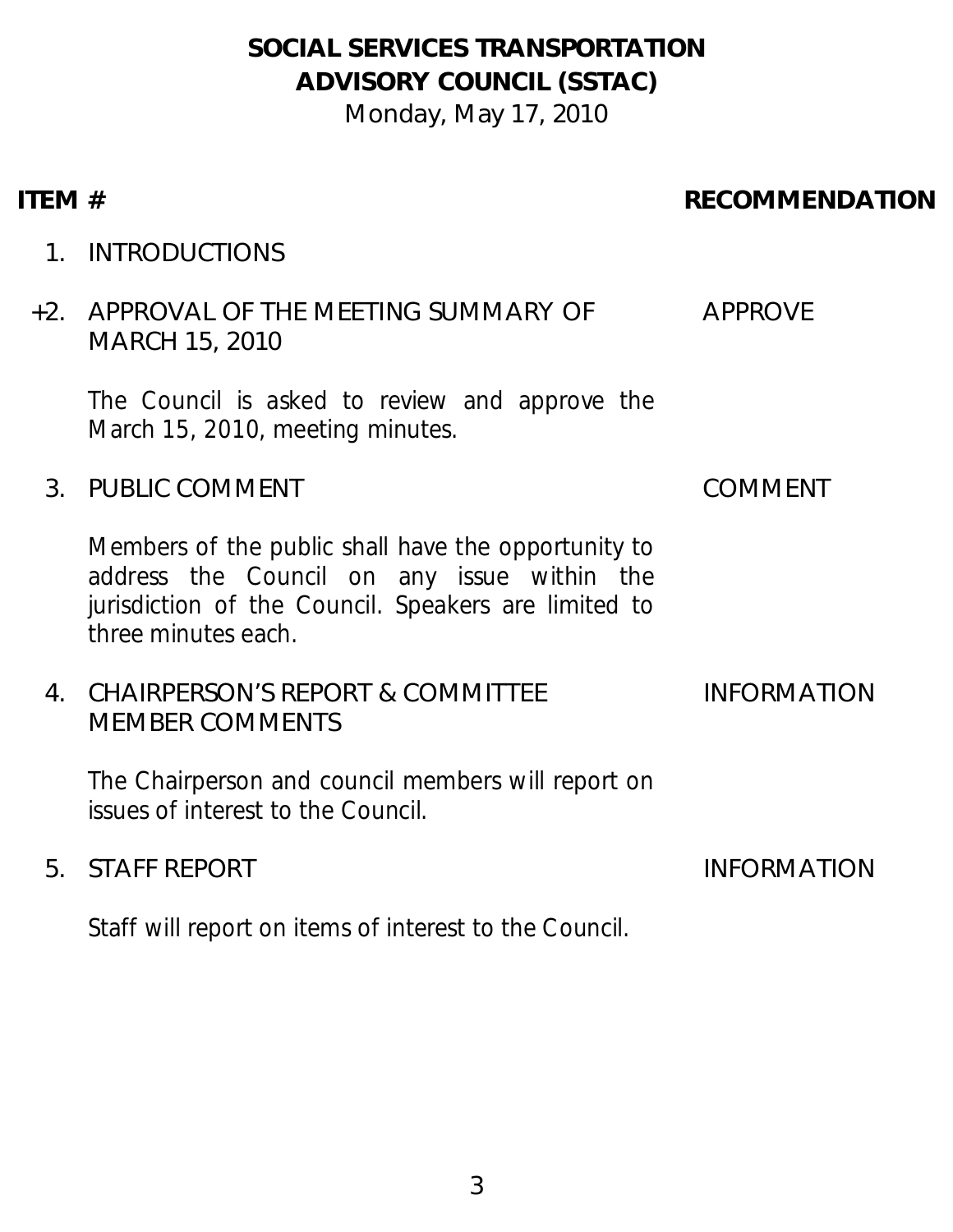## SOCIAL SERVICES TRANSPORTATION ADVISORY COUNCIL (SSTAC)

Monday, May 17, 2010

## ITEM # RECOMMENDATION

1. INTRODUCTIONS

#### +2. APPROVAL OF THE MEETING SUMMARY OF MARCH 15, 2010 APPROVE

The Council is asked to review and approve the March 15, 2010, meeting minutes.

## 3. PUBLIC COMMENT COMMENT

Members of the public shall have the opportunity to address the Council on any issue within the jurisdiction of the Council. Speakers are limited to three minutes each.

#### 4. CHAIRPERSON'S REPORT & COMMITTEE MEMBER COMMENTS INFORMATION

The Chairperson and council members will report on issues of interest to the Council.

## 5. STAFF REPORT INFORMATION

Staff will report on items of interest to the Council.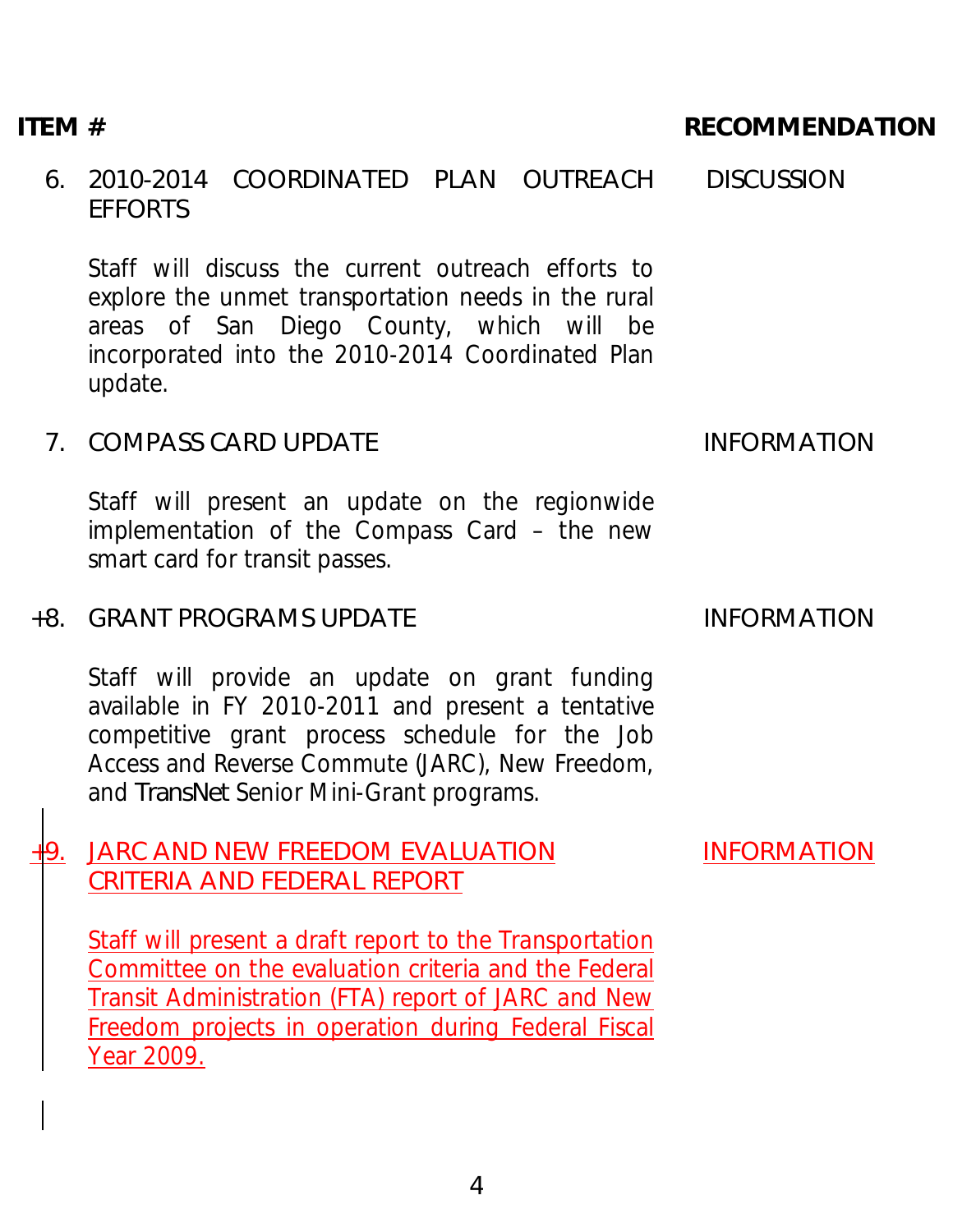#### 6. 2010-2014 COORDINATED PLAN OUTREACH EFFORTS **DISCUSSION**

Staff will discuss the current outreach efforts to explore the unmet transportation needs in the rural areas of San Diego County, which will be incorporated into the 2010-2014 Coordinated Plan update.

## 7. COMPASS CARD UPDATE INFORMATION

Staff will present an update on the regionwide implementation of the Compass Card – the new smart card for transit passes.

## +8. GRANT PROGRAMS UPDATE INFORMATION

Staff will provide an update on grant funding available in FY 2010-2011 and present a tentative competitive grant process schedule for the Job Access and Reverse Commute (JARC), New Freedom, and *TransNet* Senior Mini-Grant programs.

## +9. JARC AND NEW FREEDOM EVALUATION CRITERIA AND FEDERAL REPORT

Staff will present a draft report to the Transportation Committee on the evaluation criteria and the Federal Transit Administration (FTA) report of JARC and New Freedom projects in operation during Federal Fiscal Year 2009.

INFORMATION

## ITEM # RECOMMENDATION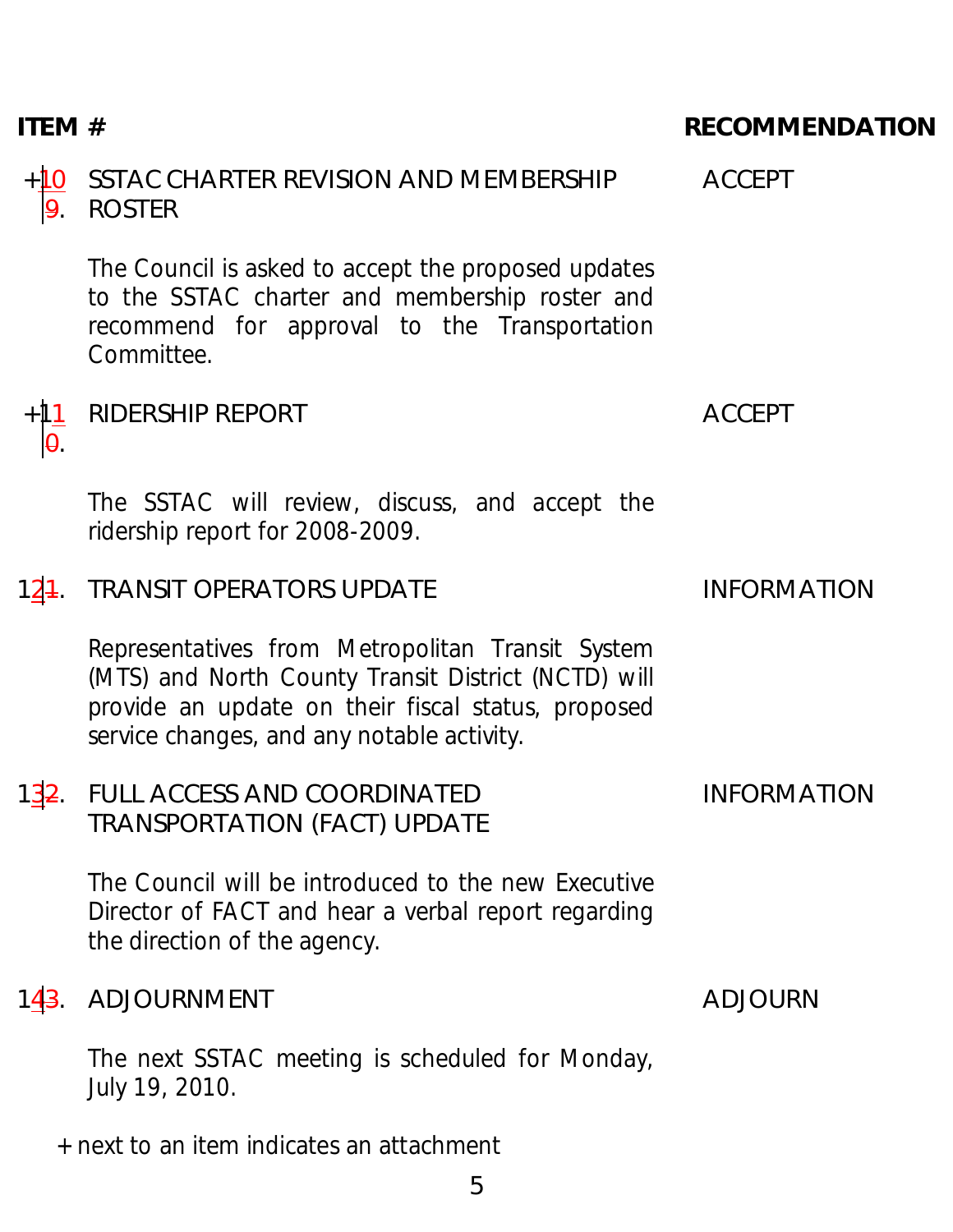## ITEM # RECOMMENDATION

#### $+10$ 9. SSTAC CHARTER REVISION AND MEMBERSHIP ROSTER

The Council is asked to accept the proposed updates to the SSTAC charter and membership roster and recommend for approval to the Transportation Committee.

#### +11 0. RIDERSHIP REPORT ACCEPT

The SSTAC will review, discuss, and accept the ridership report for 2008-2009.

## 124. TRANSIT OPERATORS UPDATE INFORMATION

Representatives from Metropolitan Transit System (MTS) and North County Transit District (NCTD) will provide an update on their fiscal status, proposed service changes, and any notable activity.

#### 132. FULL ACCESS AND COORDINATED TRANSPORTATION (FACT) UPDATE INFORMATION

The Council will be introduced to the new Executive Director of FACT and hear a verbal report regarding the direction of the agency.

## 143. ADJOURNMENT ADJOURN

The next SSTAC meeting is scheduled for Monday, July 19, 2010.

+ next to an item indicates an attachment

ACCEPT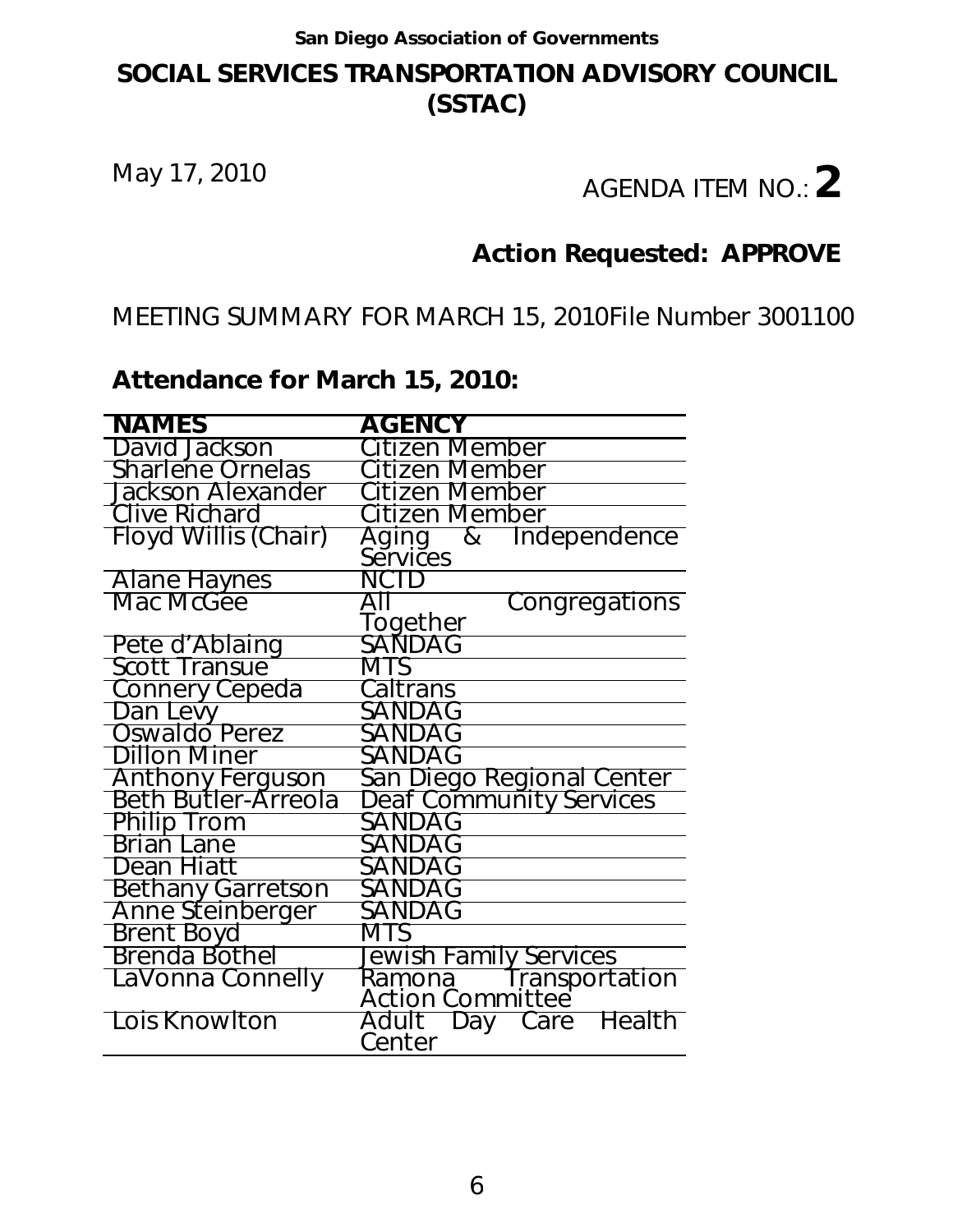## **SOCIAL SERVICES TRANSPORTATION ADVISORY COUNCIL (SSTAC)**

# May 17, 2010 **AGENDA ITEM NO.:** 2

## **Action Requested: APPROVE**

MEETING SUMMARY FOR MARCH 15, 2010 File Number 3001100

## **Attendance for March 15, 2010:**

| <b>NAMES</b>             | <b>AGENCY</b>                                      |
|--------------------------|----------------------------------------------------|
| David Jackson            | Citizen Member                                     |
| <b>Sharlene Ornelas</b>  | Citizen Member                                     |
|                          |                                                    |
| <b>Jackson Alexander</b> | Citizen Member                                     |
| Clive Richard            | Citizen Member                                     |
| Floyd Willis (Chair)     | &<br>Independence<br>Aging                         |
|                          | Services                                           |
| <b>Alane Haynes</b>      | NCTD                                               |
| Mac McGee                | Congregations                                      |
|                          | Together                                           |
| Pete d'Ablaing           | SANDAG                                             |
| <b>Scott Transue</b>     | MTS                                                |
| <b>Connery Cepeda</b>    | Caltrans                                           |
| Dan Levy                 | SANDAG                                             |
| Oswaldo Perez            | SANDAG                                             |
| Dillon Miner             | SANDAG                                             |
| <b>Anthony Ferguson</b>  | San Diego Regional Center                          |
| Beth Butler-Arreola      | <b>Deaf Community Services</b>                     |
| <b>Philip Trom</b>       | SANDAG                                             |
| Brian Lane               | SANDAG                                             |
| Dean Hiatt               | SANDAG                                             |
| <b>Bethany Garretson</b> | SANDAG                                             |
| Anne Steinberger         | SANDAG                                             |
| <b>Brent Boyd</b>        | MTS                                                |
| Brenda Bothel            | Jewish Family Services                             |
| LaVonna Connelly         | Ramona fransportation<br>Action Committee          |
|                          |                                                    |
| Lois Knowlton            | Care Health<br>Adult<br><sup>-</sup> Day<br>Center |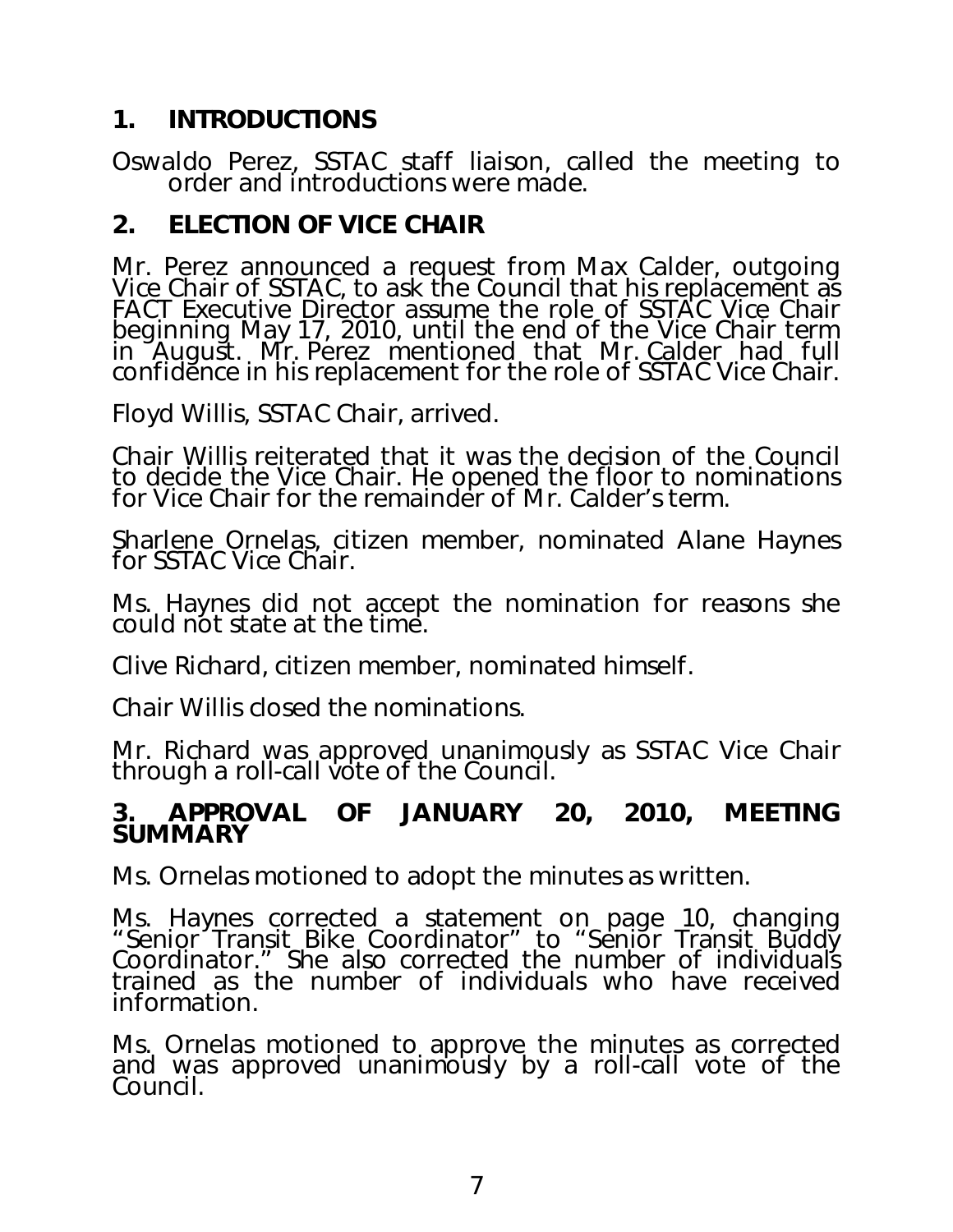## **1. INTRODUCTIONS**

Oswaldo Perez, SSTAC staff liaison, called the meeting to order and introductions were made.

## **2. ELECTION OF VICE CHAIR**

Mr. Perez announced a request from Max Calder, outgoing Vice Chair of SSTAC, to ask the Council that his replacement as FACT Executive Director assume the role of SSTAC Vice Chair beginning May 17, 2010, until the end of the Vice Chair term in August. Mr. Perez mentioned that Mr. Calder had full confidĕnce in his replacement for the role of SSTAC Vice Chair.

Floyd Willis, SSTAC Chair, arrived.

Chair Willis reiterated that it was the decision of the Council to decide the Vice Chair. He opened the floor to nominations for Vice Chair for the remainder of Mr. Calder's term.

Sharlene Ornelas, citizen member, nominated Alane Haynes for SSTAC Vice Chair.

Ms. Haynes did not accept the nomination for reasons she could not state at the time.

Clive Richard, citizen member, nominated himself.

Chair Willis closed the nominations.

Mr. Richard was approved unanimously as SSTAC Vice Chair through a roll-call vote of the Council.

## **3. APPROVAL OF JANUARY 20, 2010, MEETING SUMMARY**

Ms. Ornelas motioned to adopt the minutes as written.

Ms. Haynes corrected a statement on page 10, changing "Senior Transit Bike Coordinator" to "Senior Transit Buddy" Coordinator." She also corrected the number of individuals trained as the number of individuals who have received information.

Ms. Ornelas motioned to approve the minutes as corrected and was approved unanimously by a roll-call vote of the Council.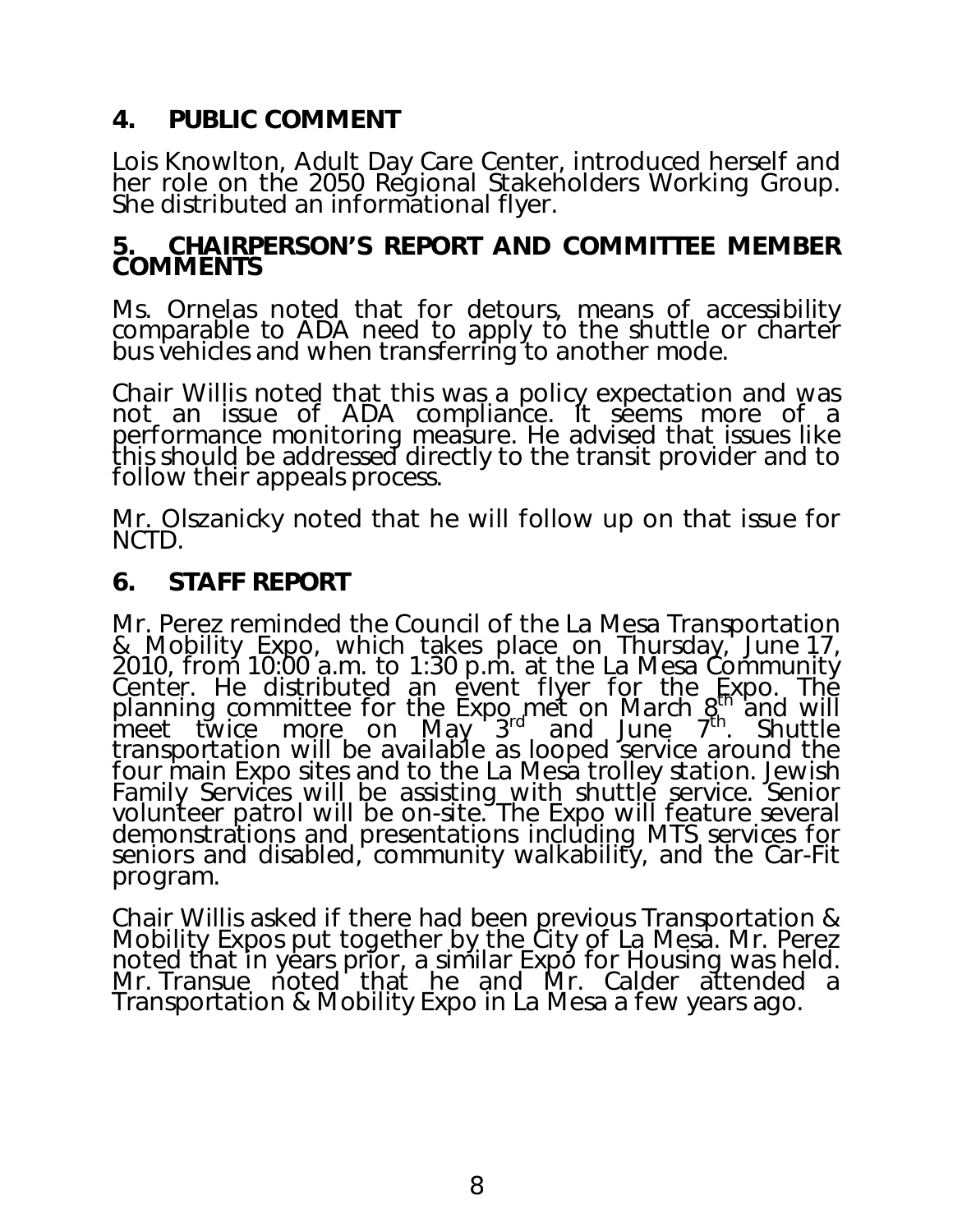## **4. PUBLIC COMMENT**

Lois Knowlton, Adult Day Care Center, introduced herself and her role on the 2050 Regional Stakeholders Working Group. She distributed an informational flyer.

### **5. CHAIRPERSON'S REPORT AND COMMITTEE MEMBER COMMENTS**

Ms. Ornelas noted that for detours, means of accessibility comparable to ADA need to apply to the shuttle or charter bus vehicles and when transferring to another mode.

Chair Willis noted that this was a policy expectation and was not an issue of ADA compliance. It seems more of a performance monitoring measure. He advised that issues like this should be addressed directly to the transit provider and to follow their appeals process.

Mr. Olszanicky noted that he will follow up on that issue for NCTD.

## **6. STAFF REPORT**

Mr. Perez reminded the Council of the La Mesa Transportation & Mobility Expo, which takes place on Thursday, June 17, 2010, from 10:00 a.m. to 1:30 p.m. at the La Mesa Community Center. He distributed an event flyer for the Expo. The planning committee for the Expo met on March  $g_{\rm h}^{\rm th}$  and will meet twice more on May 3<sup>rd</sup> and June 7<sup>th</sup>. Shuttle transportation will be available as looped service around the four main Expo sites and to the La Mesa trolley station. Jewish Family Services will be assisting with shuttle service. Senior volunteer patrol will be on-site. The Expo will feature several demonstrations and presentations including MTS services for seniors and disabled, community walkability, and the Car-Fit program.

Chair Willis asked if there had been previous Transportation & Mobility Expos put together by the City of La Mesa. Mr. Perez noted that in years prior, a similar Expo for Housing was held. Mr. Transue noted that he and Mr. Calder attended a Transportation & Mobility Expo in La Mesa a few years ago.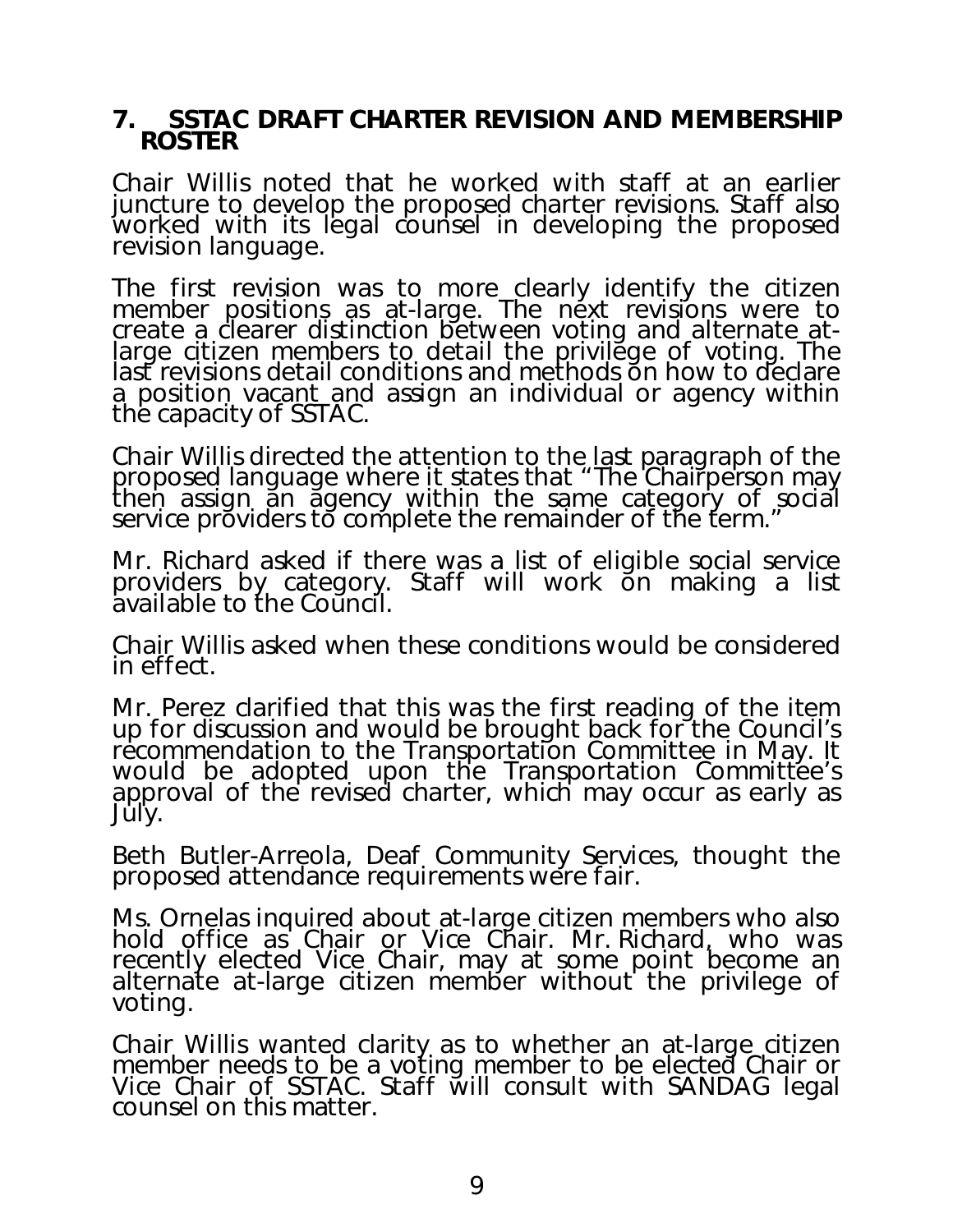### **7. SSTAC DRAFT CHARTER REVISION AND MEMBERSHIP ROSTER**

Chair Willis noted that he worked with staff at an earlier juncture to develop the proposed charter revisions. Staff also worked with its legal counsel in developing the proposed revision language.

The first revision was to more clearly identify the citizen member positions as at-large. The next revisions were to create a clearer distinction between voting and alternate atlarge citizen members to detail the privilege of voting. The last revisions detail cond[itions and](mailto:dhi@sandag.org) methods on how to declare a position vacant and assign an individual or agency within the capacity of SSTAC.

Chair Willis directed the attention to the last paragraph of the proposed language where it states that *"The Chairperson may then assign an agency within the same category of social service providers to complete the remainder of th[e term."](mailto:dmin@sandag.org)*

Mr. Richard asked if there was a list of eligible social service providers by category. Staff will work on making a list available to the Council.

Chair Willis asked when these conditions would be considered in effect.

Mr. Perez clarified that this was the first reading of the item up for discussion and would be brought back for the Council's recommendation to the Transportation Committee in May. It would be adopted upon the Transportation Committée's approval of the revised charter, which may occur as early as July.

Beth Butler-Arreola, Deaf Community Services, thought the proposed attendance requirements were fair.

Ms. Ornelas inquired about at-large citizen members who also hold office as Chair or Vice Chair. Mr. Richard, who was recently elected Vice Chair, may at some point become an alternate at-large citizen member without the privilege of voting.

Chair Willis wanted clarity as to whether an at-large citizen member needs to be a voting member to be elected Chair or Vice Chair of SSTAC. Staff will consult with SANDAG legal counsel on this matter.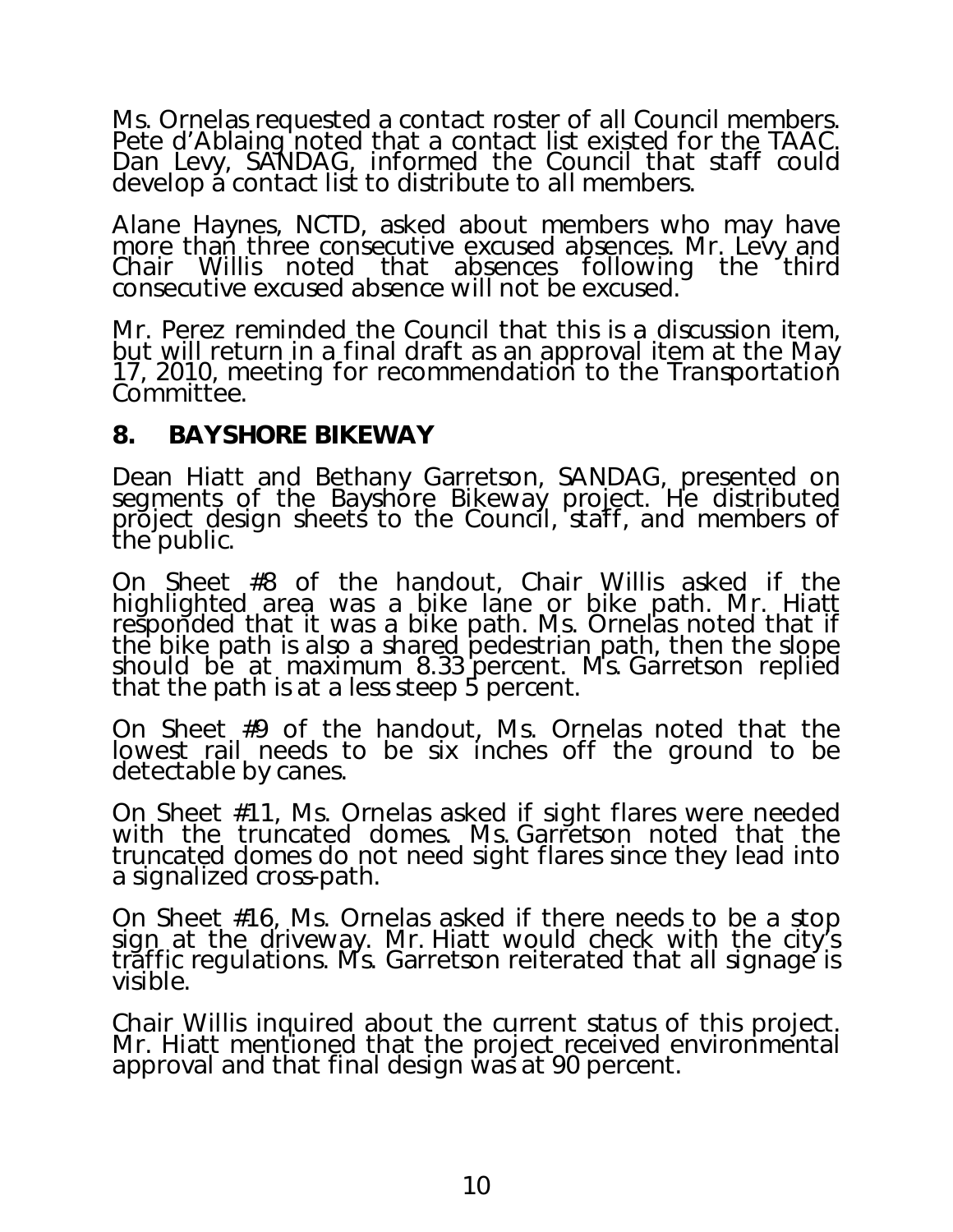Ms. Ornelas requested a contact roster of all Council members. Pete d'Ablaing noted that a contact list existed for the TAAC. Dan Levy, SANDAG, informed the Council that staff could develop a contact list to distribute to all members.

Alane Haynes, NCTD, asked about members who may have more than three consecutive excused absences. Mr. Levy and<br>Chair Willis noted that absences following the third consecutive excused absence will not be excused.

Mr. Perez reminded the Council that this is a discussion item, but will return in a final draft as an approval item at the May 17, 2010, meeting for recommendation to the Transportation Committee.

## **8. BAYSHORE BIKEWAY**

Dean Hiatt and Bethany Garretson, SANDAG, presented on segments of the Bayshore Bikeway project. He distributed project design sheets to the Council, staff, and members of the public.

On Sheet #8 of the handout, Chair Willis asked if the highlighted area was a bike lane or bike path. Mr. Hiatt responded that it was a bike path. Ms. Ornelas noted that if the bike path is also a shared pedestrian path, then the slope should be at maximum 8.33 percent. Ms. Garretson replied that the path is at a less steep 5 percent.

On Sheet #9 of the handout, Ms. Ornelas noted that the lowest rail needs to be six inches off the ground to be detectable by canes.

On Sheet #11, Ms. Ornelas asked if sight flares were needed with the truncated domes. Ms. Garretson noted that the truncated domes do not need sight flares since they lead into a signalized cross-path.

On Sheet #16, Ms. Ornelas asked if there needs to be a stop sign at the driveway. Mr. Hiatt would check with the city's traffic regulations. Ms. Garretson reiterated that all signage is visible.

Chair Willis inquired about the current status of this project. Mr. Hiatt mentioned that the project received environmental approval and that final design was at 90 percent.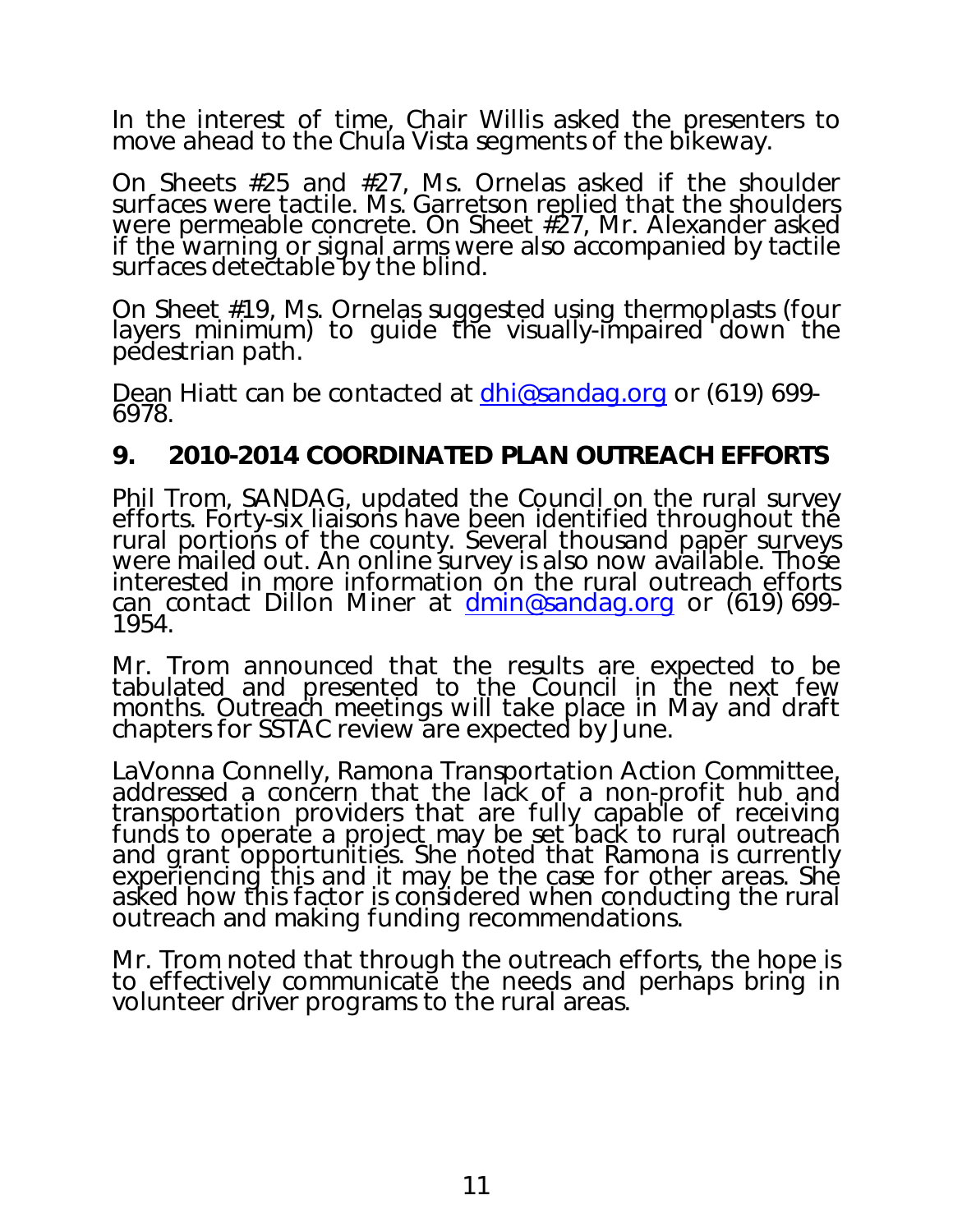In the interest of time, Chair Willis asked the presenters to move ahead to the Chula Vista segments of the bikeway.

On Sheets #25 and #27, Ms. Ornelas asked if the shoulder surfaces were tactile. Ms. Garretson replied that the shoulders were permeable concrete. On Sheet #27, Mr. Alexander asked if the warning or signal arms were also accompanied by tactile surfaces detectable by the blind.

On Sheet #19, Ms. Ornelas suggested using thermoplasts (four layers minimum) to quide the visually-impaired down the pedestrian path.

Dean Hiatt can be contacted at **dhi@sandag.org** or (619) 699-<br>6978.

## **9. 2010-2014 COORDINATED PLAN OUTREACH EFFORTS**

 Phil Trom, SANDAG, updated the Council on the rural survey efforts. Forty-six liaisons have been identified throughout the rural portions of the county. Several thousand paper surveys<br>were mailed out. An online survey is also now available. Those were mailed out. An online survey is also now available. Those interested in more information on the rural outreach efforts can contact Dillon Miner at **dmin@sandag.org** or (619) 699-<br>1954.

Mr. Trom announced that the results are expected to be tabulated and presented to the Council in the next few months. Outreach meetings will take place in May and draft chapters for SSTAC review are expected by June.

LaVonna Connelly, Ramona Transportation Action Committee, addressed a concern that the lack of a non-profit hub and transportation providers that are fully capable of receiving<br>funds to operate a project may be set back to rural outreach and grant opportunities. She noted that Ramona is currently experiencing this and it may be the case for other areas. She asked how this factor is considered when conducting the rural outreach and making funding recommendations.

Mr. Trom noted that through the outreach efforts, the hope is to effectively communicate the needs and perhaps bring in volunteer driver programs to the rural areas.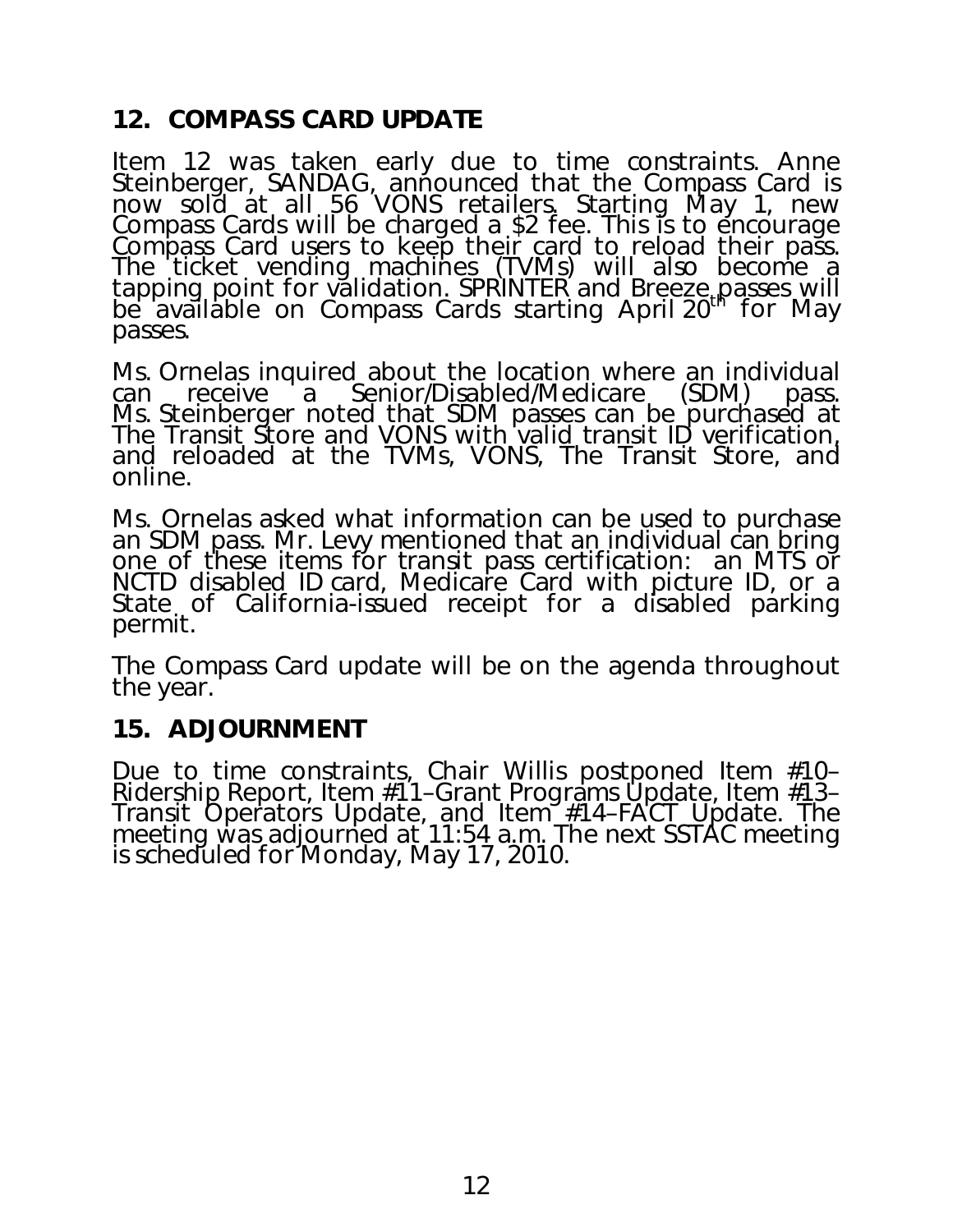## **12. COMPASS CARD UPDATE**

 Item 12 was taken early due to time constraints. Anne Steinberger, SANDAG, announced that the Compass Card is now sold at all 56 VONS retailers. Starting May 1, new Compass Cards will be charged a \$2 fee. This is to encourage Compass Card users to keep their card to reload their pass. The ticket vending machines (TVMs) will also become a tapping point for validation. SPRINTER and Breeze passes will be available on Compass Cards starting April 20<sup>th</sup> for May passes.

Ms. Ornelas inquired about the location where an individual can receive a Senior/Disabled/Medicare (SDM) pass. a Senior/Disabled/Medicare Ms. Steinberger noted that SDM passes can be purchased at The Transit Store and VONS with valid transit ID verification, and reloaded at the TVMs, VONS, The Transit Store, and online.

Ms. Ornelas asked what information can be used to purchase an SDM pass. Mr. Levy mentioned that an individual can bring one of these items for transit pass certification: an MTS or NCTD disabled ID card, Medicare Card with picture ID, or a State of California-issued receipt for a disabled parking permit.

The Compass Card update will be on the agenda throughout the year.

## **15. ADJOURNMENT**

Due to time constraints, Chair Willis postponed Item #10– Ridership Report, Item #11–Grant Programs Update, Item #13– Transit Operators Update, and Item #14–FACT Update. The meeting was adjourned at 11:54 a.m. The next SSTAC meeting is scheduled for Monday, May 17, 2010.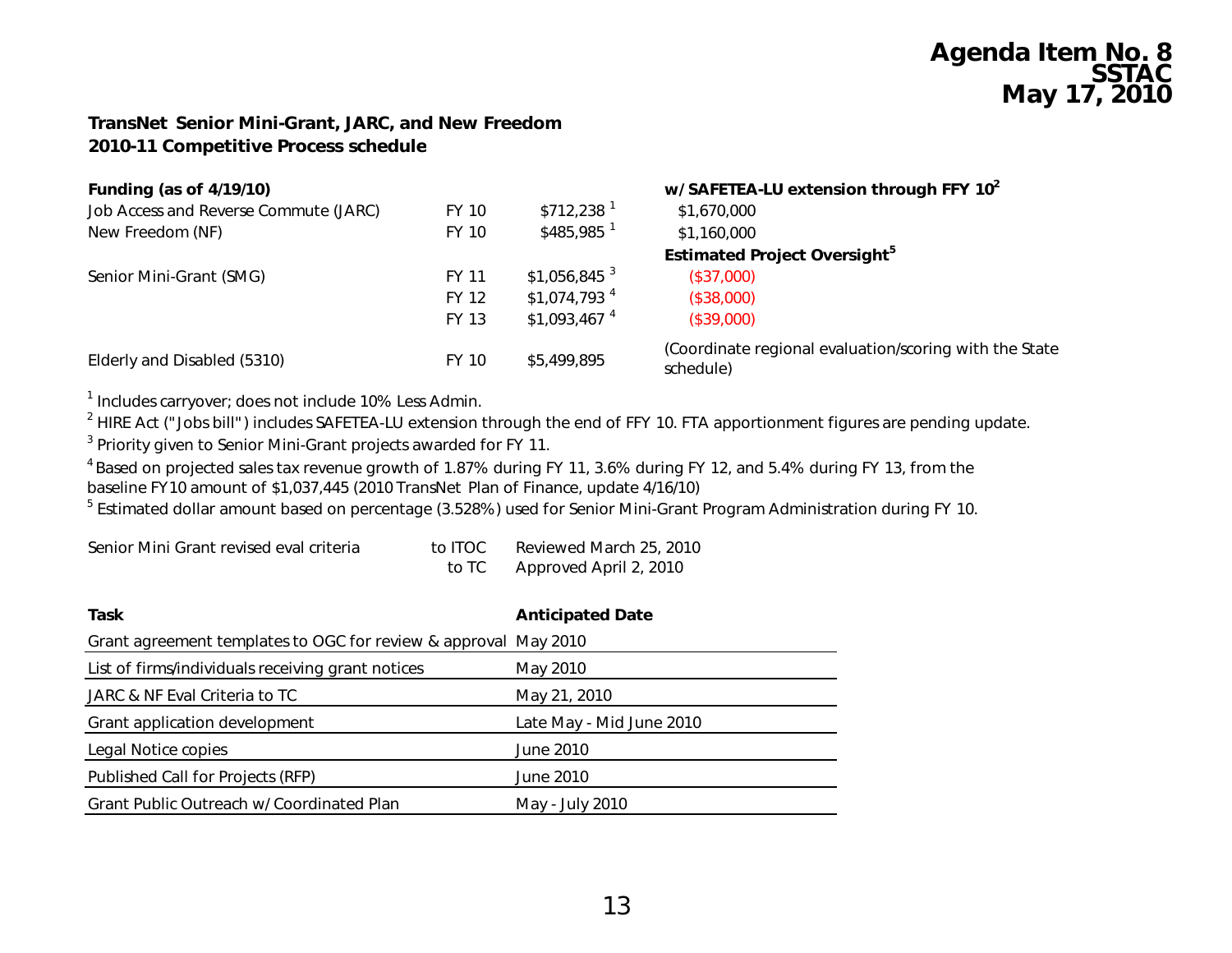# **Agenda Item No. 8 SSTAC May 17, 2010**

#### *TransNet* **Senior Mini-Grant, JARC, and New Freedom 2010-11 Competitive Process schedule**

| <b>Funding (as of 4/19/10)</b>        |              |                           | w/ SAFETEA-LU extension through FFY 10 <sup>2</sup>                 |
|---------------------------------------|--------------|---------------------------|---------------------------------------------------------------------|
| Job Access and Reverse Commute (JARC) | FY 10        | $$712,238$ <sup>1</sup>   | \$1,670,000                                                         |
| New Freedom (NF)                      | FY 10        | $$485.985$ <sup>1</sup>   | \$1,160,000                                                         |
|                                       |              |                           | <b>Estimated Project Oversight</b> <sup>5</sup>                     |
| Senior Mini-Grant (SMG)               | <b>FY 11</b> | $$1,056,845$ <sup>3</sup> | (\$37,000)                                                          |
|                                       | <b>FY 12</b> | $$1,074,793$ <sup>4</sup> | (\$38,000)                                                          |
|                                       | <b>FY 13</b> | $$1,093,467$ <sup>4</sup> | (\$39,000)                                                          |
| Elderly and Disabled (5310)           | FY 10        | \$5,499,895               | (Coordinate regional evaluation/scoring with the State<br>schedule) |

<sup>1</sup> Includes carryover; does not include 10% Less Admin.

<sup>2</sup> HIRE Act ("Jobs bill") includes SAFETEA-LU extension through the end of FFY 10. FTA apportionment figures are pending update.

<sup>3</sup> Priority given to Senior Mini-Grant projects awarded for FY 11.

<sup>4</sup> Based on projected sales tax revenue growth of 1.87% during FY 11, 3.6% during FY 12, and 5.4% during FY 13, from the baseline FY10 amount of \$1,037,445 (2010 *TransNet* Plan of Finance, update 4/16/10)

<sup>5</sup> Estimated dollar amount based on percentage (3.528%) used for Senior Mini-Grant Program Administration during FY 10.

| Senior Mini Grant revised eval criteria | to ITOC | Reviewed March 25, 2010 |
|-----------------------------------------|---------|-------------------------|
|                                         | to TC   | Approved April 2, 2010  |

| <b>Task</b>                                                     | <b>Anticipated Date</b>  |
|-----------------------------------------------------------------|--------------------------|
| Grant agreement templates to OGC for review & approval May 2010 |                          |
| List of firms/individuals receiving grant notices               | May 2010                 |
| JARC & NF Eval Criteria to TC                                   | May 21, 2010             |
| Grant application development                                   | Late May - Mid June 2010 |
| Legal Notice copies                                             | June 2010                |
| Published Call for Projects (RFP)                               | June 2010                |
| Grant Public Outreach w/ Coordinated Plan                       | May - July 2010          |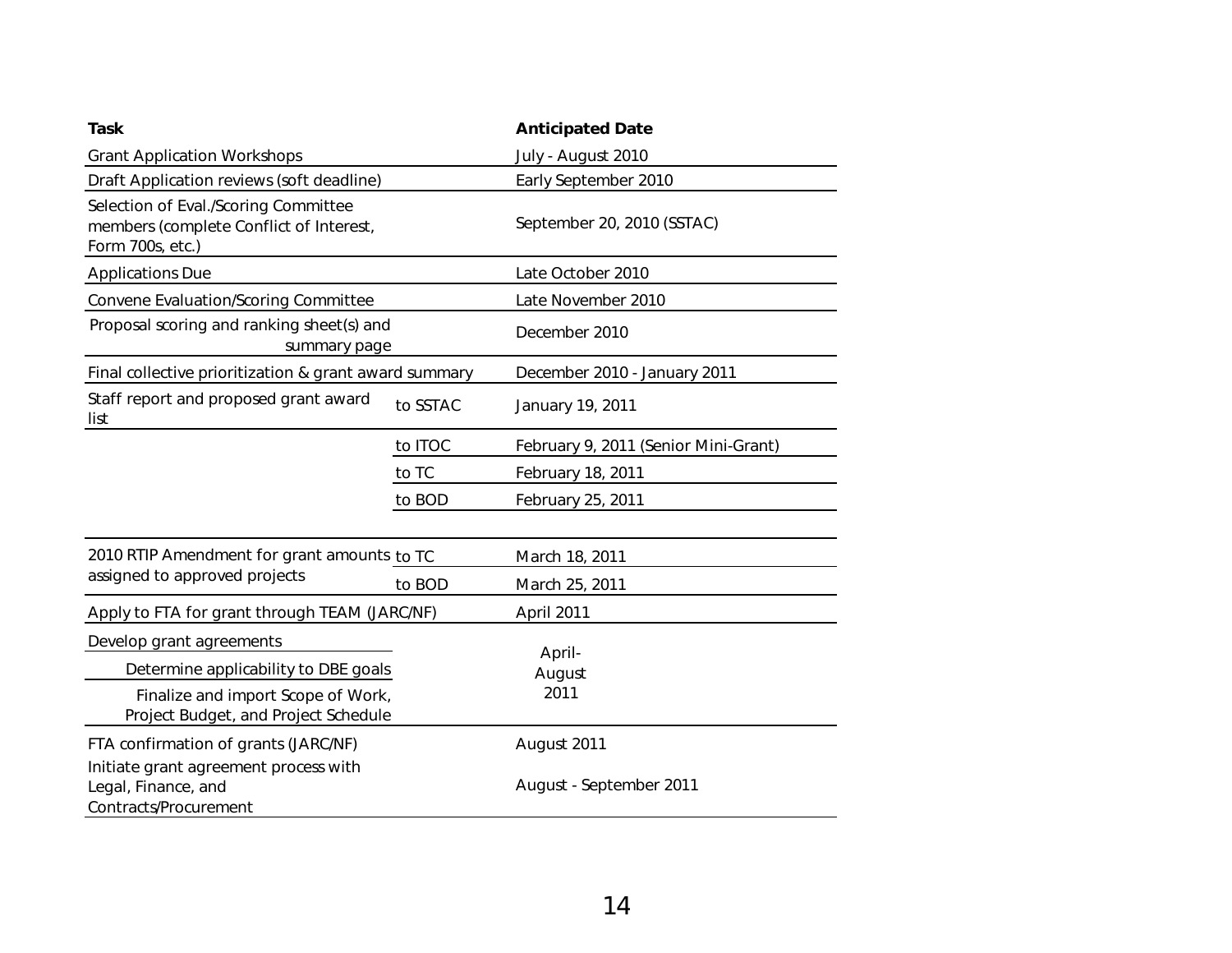| <b>Task</b>                                                                                                        |          | <b>Anticipated Date</b>              |  |
|--------------------------------------------------------------------------------------------------------------------|----------|--------------------------------------|--|
| <b>Grant Application Workshops</b>                                                                                 |          | July - August 2010                   |  |
| Draft Application reviews (soft deadline)                                                                          |          | Early September 2010                 |  |
| Selection of Eval./Scoring Committee<br>members (complete Conflict of Interest,<br>Form 700s, etc.)                |          | September 20, 2010 (SSTAC)           |  |
| <b>Applications Due</b>                                                                                            |          | Late October 2010                    |  |
| Convene Evaluation/Scoring Committee                                                                               |          | Late November 2010                   |  |
| Proposal scoring and ranking sheet(s) and<br>summary page                                                          |          | December 2010                        |  |
| Final collective prioritization & grant award summary                                                              |          | December 2010 - January 2011         |  |
| Staff report and proposed grant award<br>list                                                                      | to SSTAC | January 19, 2011                     |  |
|                                                                                                                    | to ITOC  | February 9, 2011 (Senior Mini-Grant) |  |
|                                                                                                                    | to TC    | February 18, 2011                    |  |
|                                                                                                                    | to BOD   | February 25, 2011                    |  |
| 2010 RTIP Amendment for grant amounts to TC                                                                        |          | March 18, 2011                       |  |
| assigned to approved projects                                                                                      | to BOD   | March 25, 2011                       |  |
| Apply to FTA for grant through TEAM (JARC/NF)                                                                      |          | April 2011                           |  |
| Develop grant agreements                                                                                           |          |                                      |  |
| Determine applicability to DBE goals<br>Finalize and import Scope of Work,<br>Project Budget, and Project Schedule |          | April-<br>August                     |  |
|                                                                                                                    |          | 2011                                 |  |
| FTA confirmation of grants (JARC/NF)<br>Initiate grant agreement process with                                      |          | August 2011                          |  |
| Legal, Finance, and<br>Contracts/Procurement                                                                       |          | August - September 2011              |  |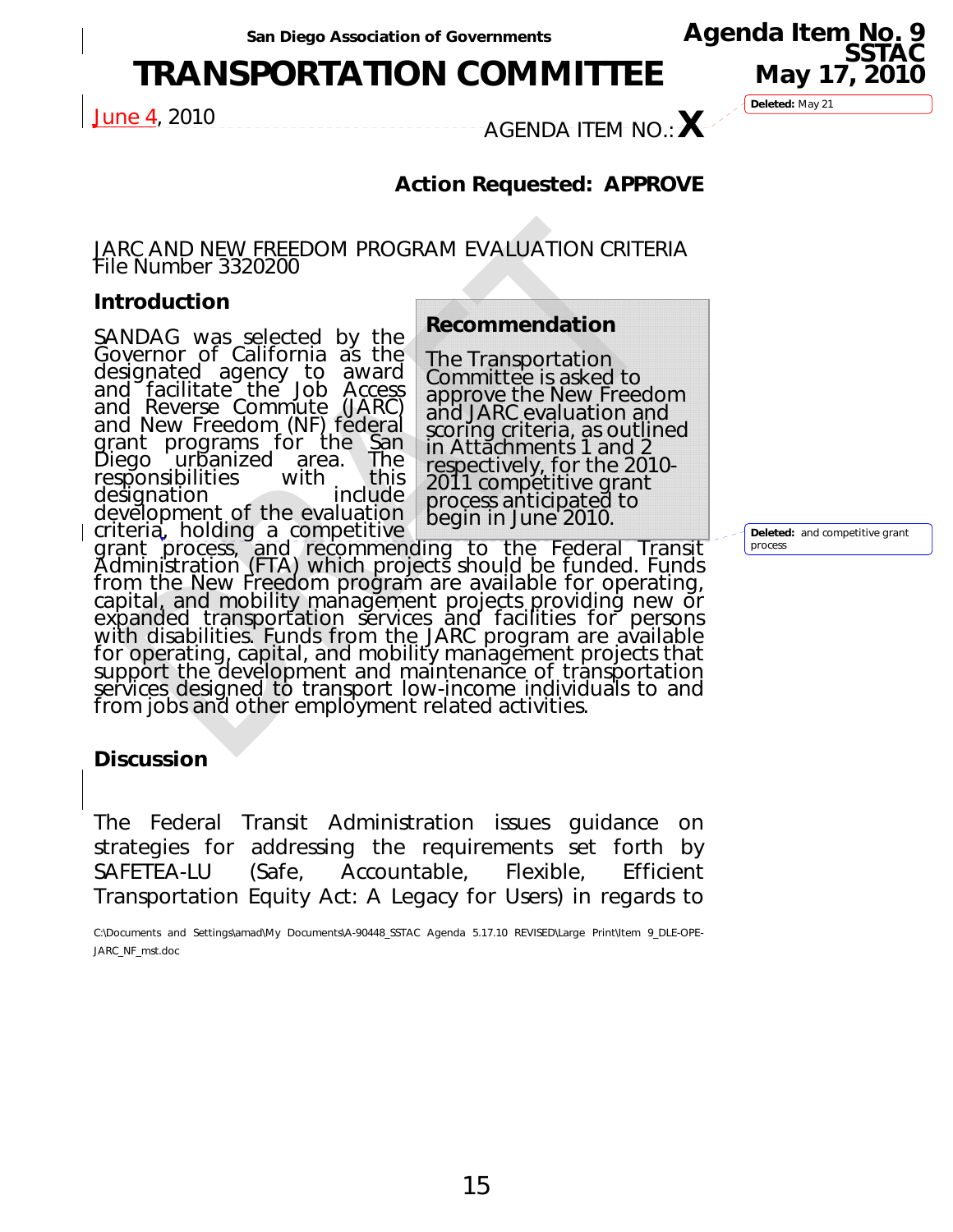# **TRANSPORTATION COMMITTEE**

June 4, 2010 AGENDA ITEM NO.:**X**

**Deleted:** May 21

**Agenda Item No. 9 SSTAC** 

**May 17, 2010** 

## **Action Requested: APPROVE**

#### JARC AND NEW FREEDOM PROGRAM EVALUATION CRITERIA File Number 3320200

#### **Introduction**

SANDAG was selected by the Governor of California as the designated agency to award and facilitate the Job Access and Reverse Commute (JARC) and New Freedom (NF) federal grant programs for the <u>S</u>an Diego urbanized area. The responsibilities with this<br>designation include designation development of the evaluation criteria, holding a competitive

**Recommendation** 

The Transportation Committee is asked to approve the New Freedom and JARC evaluation and scoring criteria, as outlined in Attachments 1 and 2 respectively, for the 2010- 2011 competitive grant process anticipated to begin in June 2010.

grant process, and recommending to the Federal Transit<br>Administration (FTA) which projects should be funded. Funds from the New Freedom program are available for operating,<br>capital, and mobility management projects providing new or<br>expanded transportation services and facilities for persons with disabilities. Funds from the JARC program are available<br>for operating, capital, and mobility management projects that<br>support the development and maintenance of transportation<br>services designed to transport low-income support the development and maintenance of transportation<br>services designed to transport low-income individuals to and<br>from jobs and other employment related activities.

#### **Discussion**

The Federal Transit Administration issues guidance on strategies for addressing the requirements set forth by SAFETEA-LU (Safe, Accountable, Flexible, Efficient Transportation Equity Act: A Legacy for Users) in regards to

C:\Documents and Settings\amad\My Documents\A-90448\_SSTAC Agenda 5.17.10 REVISED\Large Print\Item 9\_DLE-OPE-JARC\_NF\_mst.doc

**Deleted:** and competitive grant process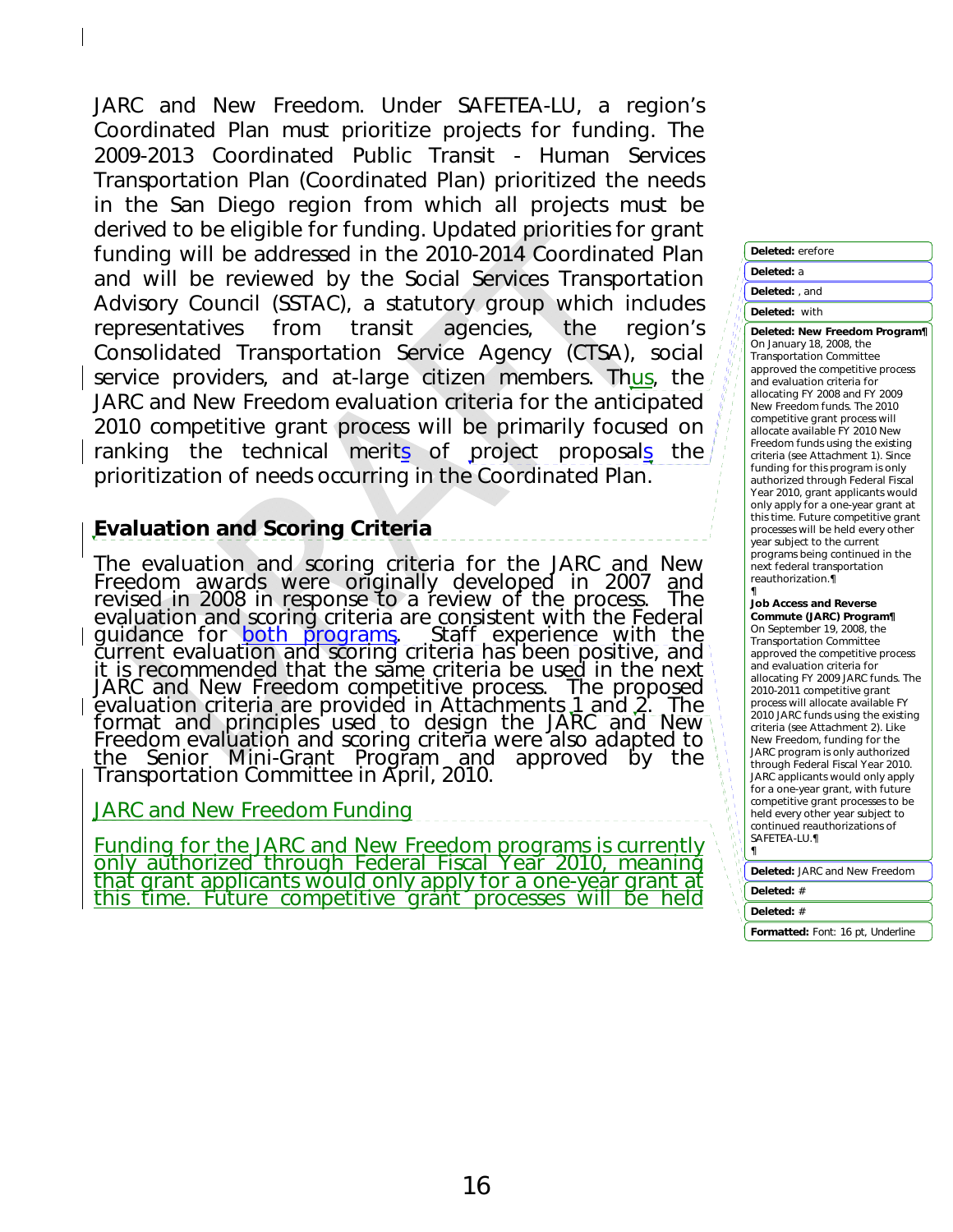JARC and New Freedom. Under SAFETEA-LU, a region's Coordinated Plan must prioritize projects for funding. The 2009-2013 Coordinated Public Transit - Human Services Transportation Plan (Coordinated Plan) prioritized the needs in the San Diego region from which all projects must be derived to be eligible for funding. Updated priorities for grant funding will be addressed in the 2010-2014 Coordinated Plan and will be reviewed by the Social Services Transportation Advisory Council (SSTAC), a statutory group which includes representatives from transit agencies, the region's Consolidated Transportation Service Agency (CTSA), social service providers, and at-large citizen members. Thus, the JARC and New Freedom evaluation criteria for the anticipated 2010 competitive grant process will be primarily focused on ranking the technical merits of project proposals the prioritization of needs occurring in the Coordinated Plan.

### *Evaluation and Scoring Criteria*

The evaluation and scoring criteria for the JARC and New Freedom awards were originally developed in 2007 and revised in 2008 in response to a review of the process. The evaluation and scoring criteria are consistent with the Federal guidance for <u>both programs</u>. Staff experience with the<br>current evaluation and scoring criteria has been positive, and<br>it is recommended that the same criteria be used in the next JARC and New Freedom competitive process. The proposed<br>evaluation criteria are provided in Attachments 1 and 2. The format and principles used to design the JARC and New<br>Freedom evaluation and scoring criteria were also adapted to<br><u>t</u>he Senior Mini-Grant Program and approved by the Transportation Committee in April, 2010.

#### JARC and New Freedom Funding

Funding for the JARC and New Freedom programs is currently<br>only authorized through Federal Fiscal Year 2010, meaning<br>that grant applicants would only apply for a one-year grant at<br>this time. Future competitive grant proces

#### **Deleted:** erefore **Deleted:** a **Deleted:** , and **Deleted:** with

**Deleted:** *New Freedom Program¶* On January 18, 2008, the Transportation Committee approved the competitive process and evaluation criteria for allocating FY 2008 and FY 2009 New Freedom funds. The 2010 competitive grant process will allocate available FY 2010 New Freedom funds using the existing criteria (see Attachment 1). Since funding for this program is only authorized through Federal Fiscal Year 2010, grant applicants would only apply for a one-year grant at this time. Future competitive grant processes will be held every other year subject to the current programs being continued in the next federal transportation reauthorization.¶

#### ¶ *Job Access and Reverse Commute (JARC) Program¶*

On September 19, 2008, the Transportation Committee approved the competitive process and evaluation criteria for allocating FY 2009 JARC funds. The 2010-2011 competitive grant process will allocate available FY 2010 JARC funds using the existing criteria (see Attachment 2). Like New Freedom, funding for the JARC program is only authorized through Federal Fiscal Year 2010. JARC applicants would only apply for a one-year grant, with future competitive grant processes to be held every other year subject to continued reauthorizations of SAFETEA-LU.¶ ¶

**Deleted:** JARC and New Freedom

**Deleted:** #

**Deleted:** #

**Formatted:** Font: 16 pt, Underline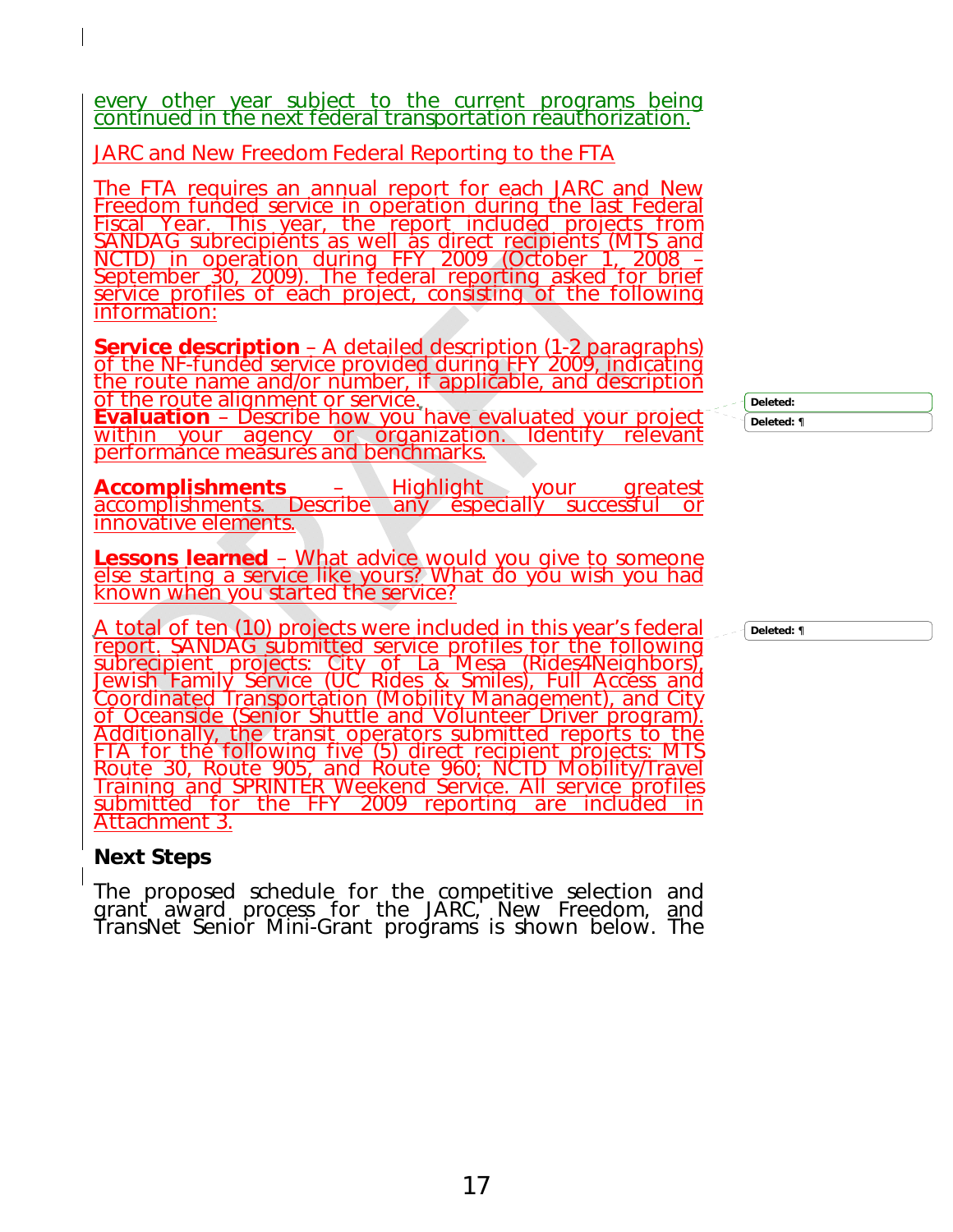every other year subject to the current programs being continued in the next federal transportation reauthorization.

JARC and New Freedom Federal Reporting to the FTA

<u>The FTA requires an annual report for each JARC and New<br>Freedom funded service in operation during the last Federal</u><br>Fiscal Year. This year, the report included projects from<br>SANDAG subrecipients as well as direct recipie NCTD) in operation during FFY 2009 (October 1, 2008 –<br>September 30, 2009). The federal reporting asked for brief<br>service profiles of each project, consisting of the following information:

Service description – A detailed description (1-2 paragraphs)<br>of the NF-funded service provided during FFY 2009, indicating<br>the route name and/or number, if applicable, and description<br>of the route alignment or service.<br>Ev

**Evaluation** – Describe how you have evaluated your project<br>within your agency or organization. Identify relevant performance measures and benchmarks.

**Accomplishments** – Highlight your greatest accomplishments. Describe any especially successful or innovative elements.

**Lessons learned** – What advice would you give to someone else starting a service like yours? What do you wish you had known when you started the service?

A total of ten (10) projects were included in this year's federal<br>report. SANDAG submitted service profiles for the following<br>subrecipient projects: City of La Mesa (Rides4Neighbors),<br>Jewish Family Service (UC Rides & Smil of Oceanside (Senior Shuttle and Volunteer Driver program).<br>Additionally, the transit operators submitted reports to the<br>FTA for the following five (5) direct recipient projects: MTS Route 30, Route 905, and Route 960; NCTD Mobility/Travel Training and SPRINTER Weekend Service. All service profiles<br>submitted for the FFY 2009 reporting are included in Attachment 3.

### *Next Steps*

The proposed schedule for the competitive selection and<br>grant award process for the JARC, New Freedom, <u>a</u>nd *TransNet* Senior Mini-Grant programs is shown below. The **Deleted:** 

**Deleted:** ¶

**Deleted:** ¶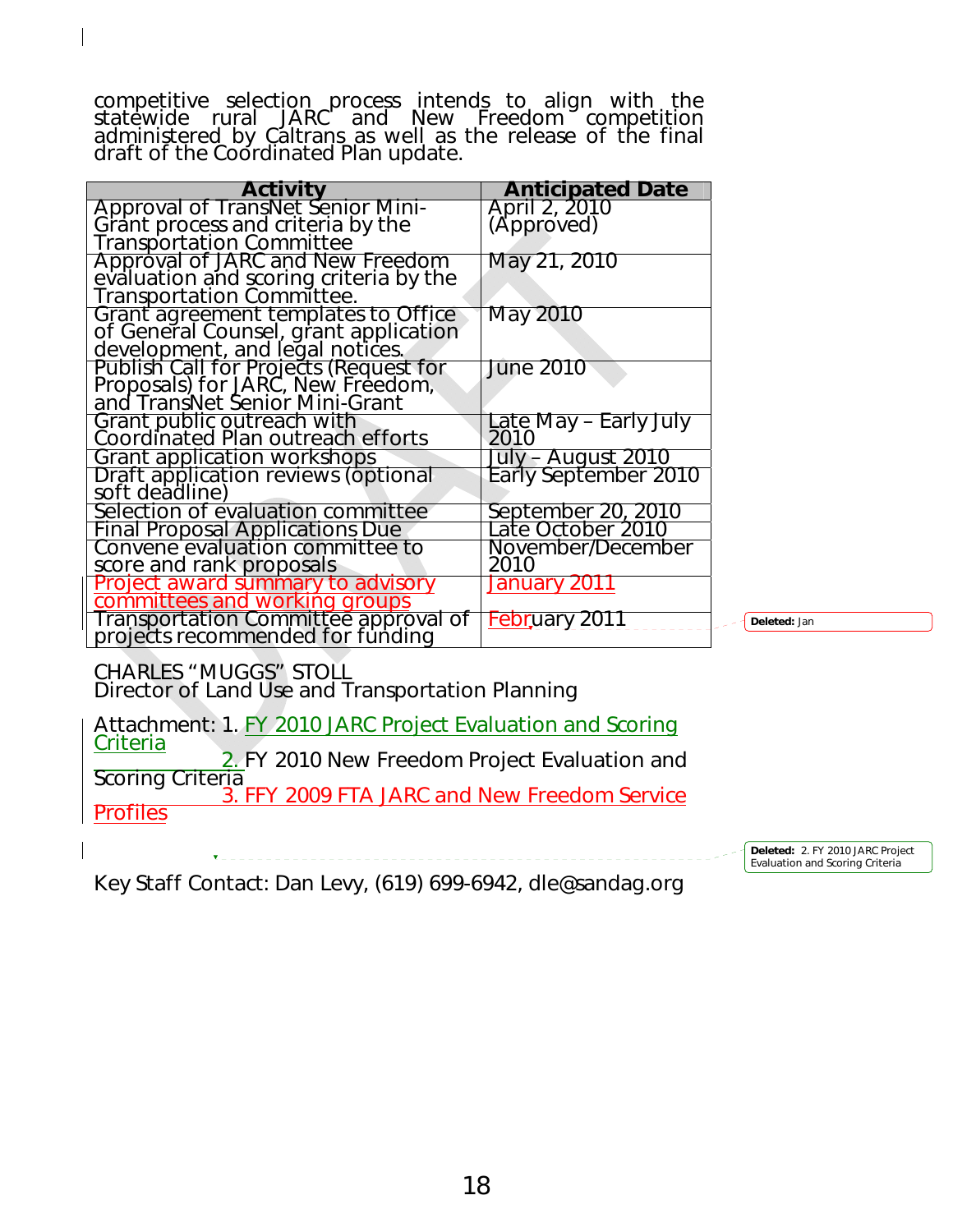competitive selection process intends to align with the statewide rural JARC and New Freedom competition administered by Caltrans as well as the release of the final draft of the Coordinated Plan update.

| <b>Activity</b>                                                                                                 | <b>Anticipated Date</b> |
|-----------------------------------------------------------------------------------------------------------------|-------------------------|
| Approval of TransNet Senior Mini-                                                                               | April 2, 2010           |
| Grant process and criteria by the                                                                               | (Approved)              |
| <b>Transportation Committee</b>                                                                                 |                         |
| Approval of JARC and New Freedom                                                                                | May 21, 2010            |
| evaluation and scoring criteria by the                                                                          |                         |
| Transportation Committee.                                                                                       |                         |
| Grant agreement templates to Office<br>of General Counsel, grant application<br>development, and legal notices. | May 2010                |
|                                                                                                                 |                         |
|                                                                                                                 |                         |
| <b>Publish Call for Projects (Request for</b>                                                                   | <b>June 2010</b>        |
| Proposals) for JARC, New Freedom,                                                                               |                         |
| and <i>TransNet</i> Senior Mini-Grant                                                                           |                         |
| Grant public outreach with<br>Coordinated Plan outreach efforts                                                 | Late May - Early July   |
|                                                                                                                 | 2010                    |
| Grant application workshops                                                                                     | July – August 2010      |
| Draft application reviews (optional                                                                             | Early September 2010    |
| soft deadline)                                                                                                  |                         |
| Selection of evaluation committee                                                                               | September 20, 2010      |
| <b>Final Proposal Applications Due</b>                                                                          | Late October 2010       |
| Convene evaluation committee to                                                                                 | November/December       |
| score and rank proposals                                                                                        | 2010                    |
| Project award summary to advisory                                                                               | January 2011            |
| committees and working groups                                                                                   |                         |
| Transportation Committee approval of                                                                            | <u>Febr</u> uary 2011   |
| projects recommended for funding                                                                                |                         |

**Deleted:** Jan

CHARLES "MUGGS" STOLL Director of Land Use and Transportation Planning

Attachment: 1. FY 2010 JARC Project Evaluation and Scoring Criteria **Electronic Control**<br>
2. FY 2010 New Freedom Project Evaluation and<br>
Scoring Criteria 3. FFY 2009 FTA JARC and New Freedom Service **Profiles** 

> **Deleted:** 2. FY 2010 JARC Project Evaluation and Scoring Criteria

Key Staff Contact: Dan Levy, (619) 699-6942, dle@sandag.org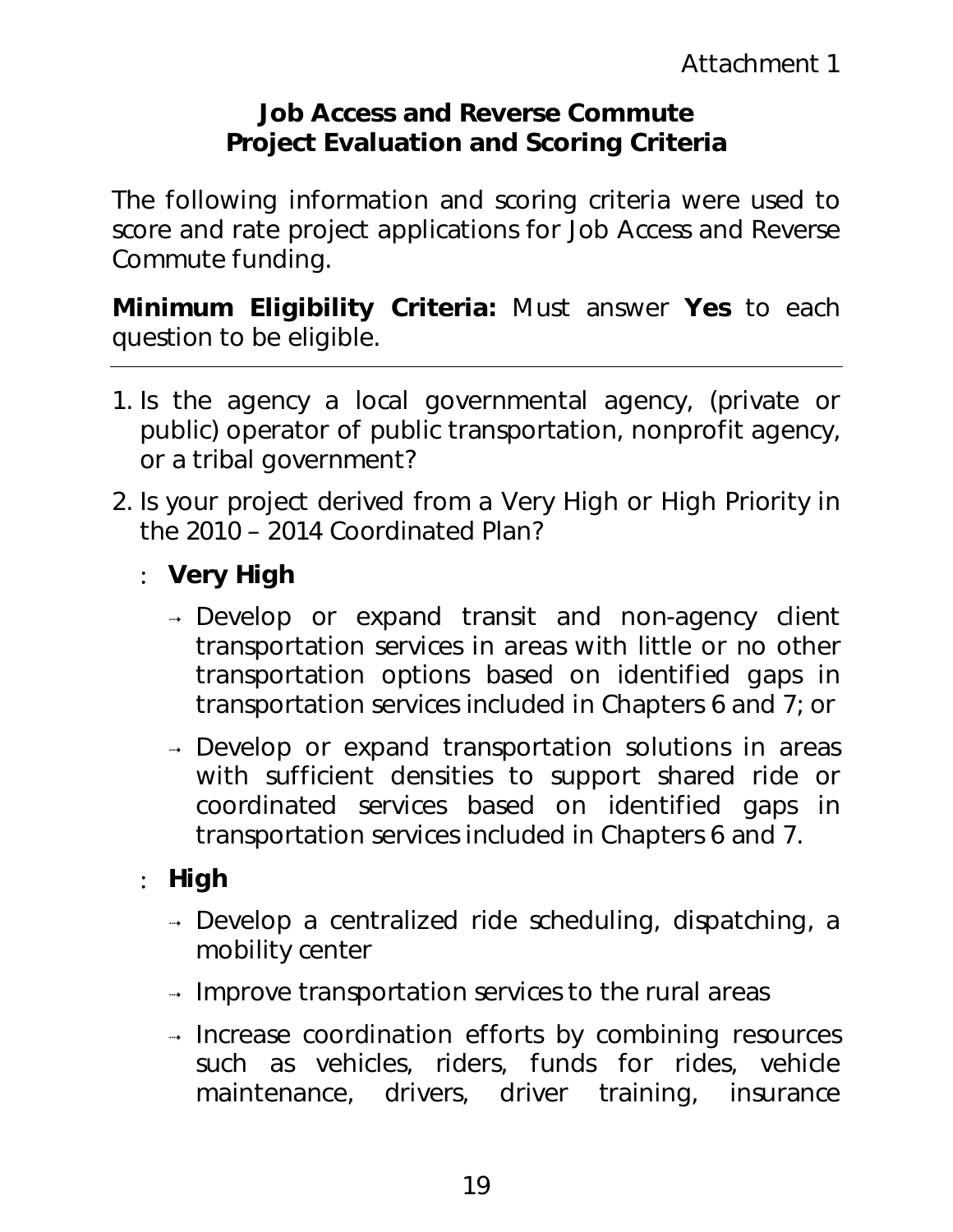## **Job Access and Reverse Commute Project Evaluation and Scoring Criteria**

The following information and scoring criteria were used to score and rate project applications for Job Access and Reverse Commute funding.

*Minimum Eligibility Criteria:* Must answer **Yes** to each question to be eligible.

- 1. Is the agency a local governmental agency, (private or public) operator of public transportation, nonprofit agency, or a tribal government?
- 2. Is your project derived from a Very High or High Priority in the 2010 – 2014 Coordinated Plan?
	- : **Very High** 
		- Develop or expand transit and non-agency client transportation services in areas with little or no other transportation options based on identified gaps in transportation services included in Chapters 6 and 7; or
		- → Develop or expand transportation solutions in areas with sufficient densities to support shared ride or coordinated services based on identified gaps in transportation services included in Chapters 6 and 7.

## : **High**

- → Develop a centralized ride scheduling, dispatching, a mobility center
- $\rightarrow$  Improve transportation services to the rural areas
- $\rightarrow$  Increase coordination efforts by combining resources such as vehicles, riders, funds for rides, vehicle maintenance, drivers, driver training, insurance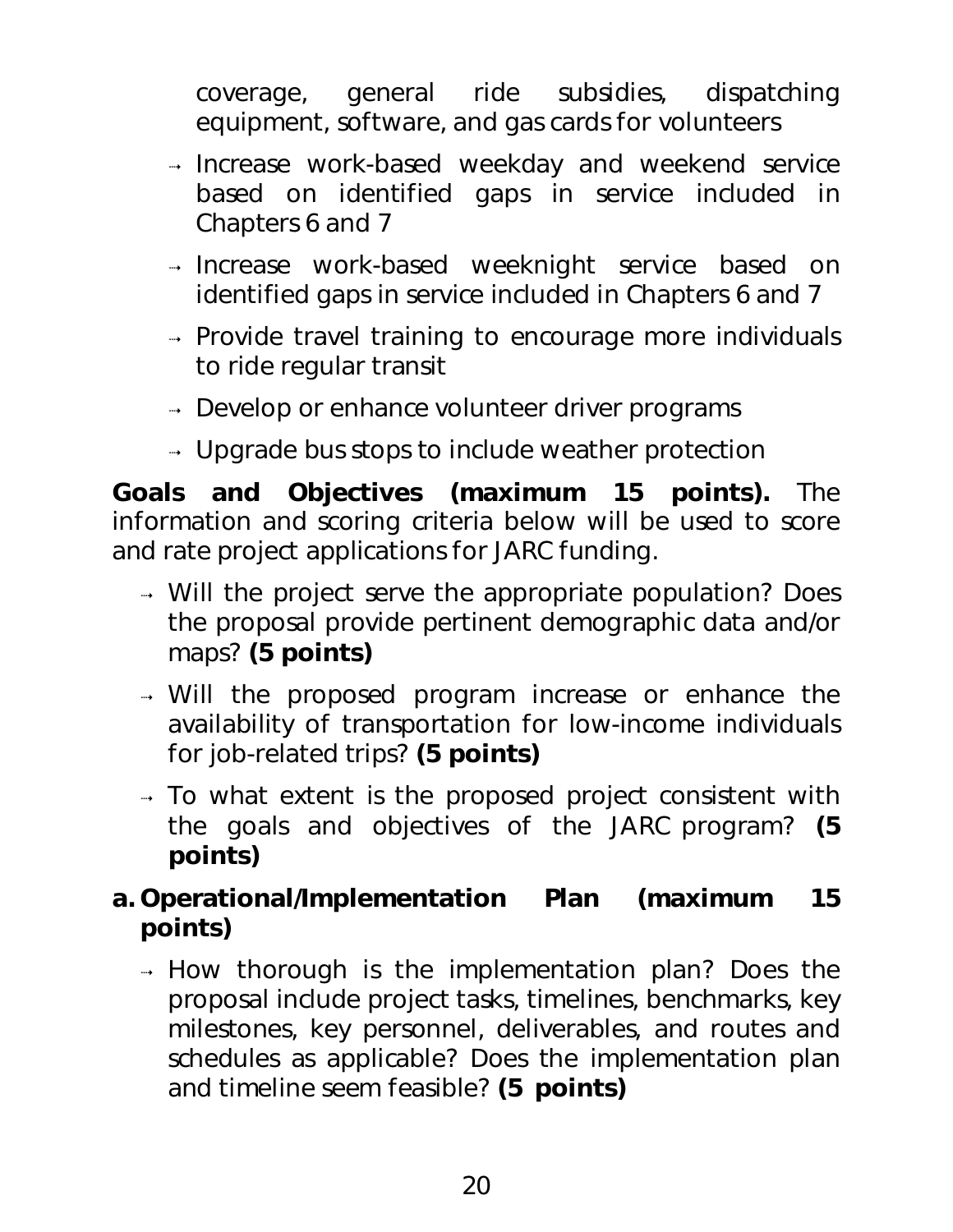coverage, general ride subsidies, dispatching equipment, software, and gas cards for volunteers

- Increase work-based weekday and weekend service based on identified gaps in service included in Chapters 6 and 7
- Increase work-based weeknight service based on identified gaps in service included in Chapters 6 and 7
- $\rightarrow$  Provide travel training to encourage more individuals to ride regular transit
- $\rightarrow$  Develop or enhance volunteer driver programs
- $\rightarrow$  Upgrade bus stops to include weather protection

*Goals and Objectives (maximum 15 points).* The information and scoring criteria below will be used to score and rate project applications for JARC funding.

- → Will the project serve the appropriate population? Does the proposal provide pertinent demographic data and/or maps? **(5 points)**
- Will the proposed program increase or enhance the availability of transportation for low-income individuals for job-related trips? **(5 points)**
- $\rightarrow$  To what extent is the proposed project consistent with the goals and objectives of the JARC program? **(5 points)**

## *a. Operational/Implementation Plan (maximum 15 points)*

 $\rightarrow$  How thorough is the implementation plan? Does the proposal include project tasks, timelines, benchmarks, key milestones, key personnel, deliverables, and routes and schedules as applicable? Does the implementation plan and timeline seem feasible? **(5 points)**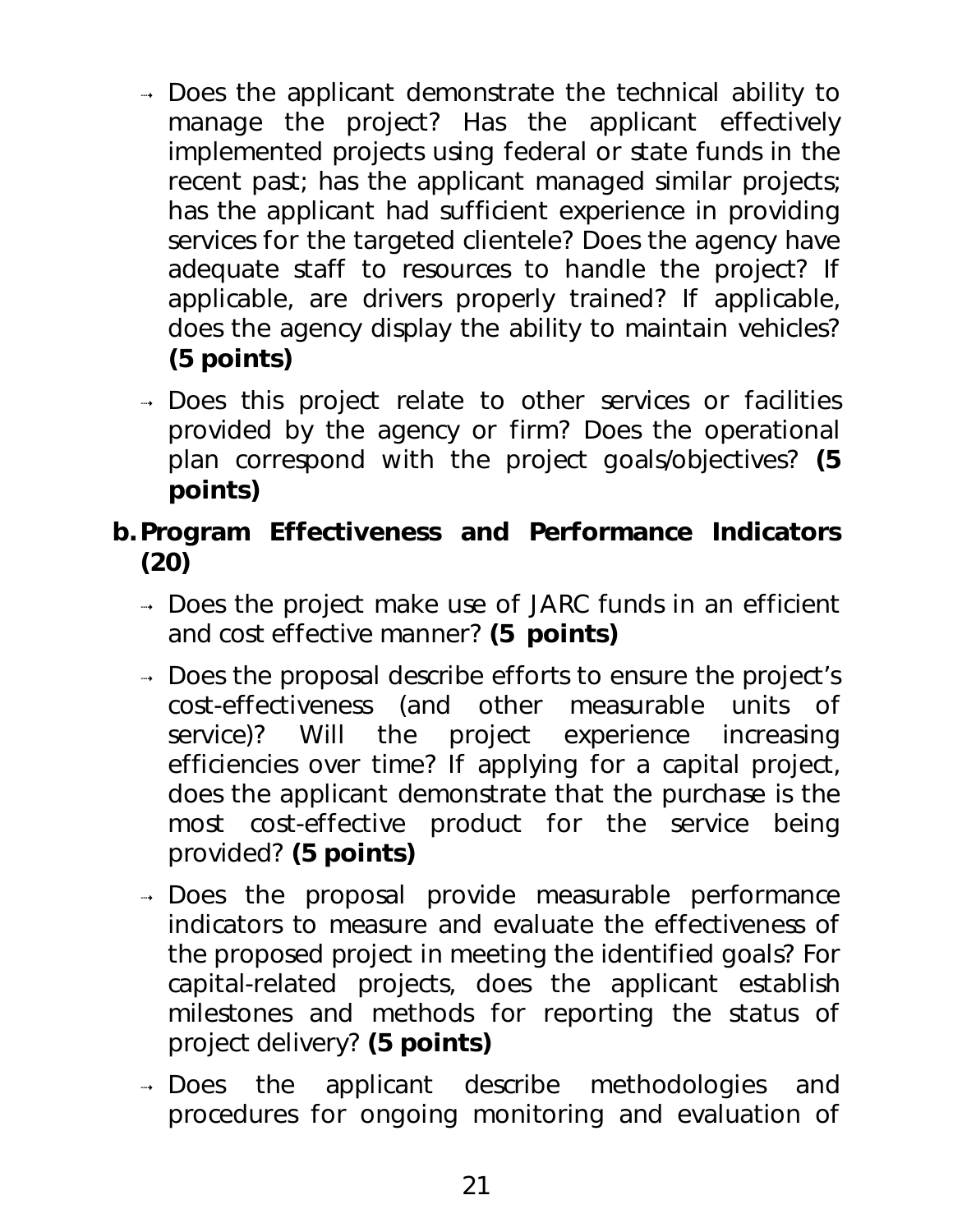- $\rightarrow$  Does the applicant demonstrate the technical ability to manage the project? Has the applicant effectively implemented projects using federal or state funds in the recent past; has the applicant managed similar projects; has the applicant had sufficient experience in providing services for the targeted clientele? Does the agency have adequate staff to resources to handle the project? If applicable, are drivers properly trained? If applicable, does the agency display the ability to maintain vehicles? **(5 points)**
- → Does this project relate to other services or facilities provided by the agency or firm? Does the operational plan correspond with the project goals/objectives? **(5 points)**

## *b.Program Effectiveness and Performance Indicators (20)*

- → Does the project make use of JARC funds in an efficient and cost effective manner? **(5 points)**
- → Does the proposal describe efforts to ensure the project's cost-effectiveness (and other measurable units of service)? Will the project experience increasing efficiencies over time? If applying for a capital project, does the applicant demonstrate that the purchase is the most cost-effective product for the service being provided? **(5 points)**
- → Does the proposal provide measurable performance indicators to measure and evaluate the effectiveness of the proposed project in meeting the identified goals? For capital-related projects, does the applicant establish milestones and methods for reporting the status of project delivery? **(5 points)**
- → Does the applicant describe methodologies and procedures for ongoing monitoring and evaluation of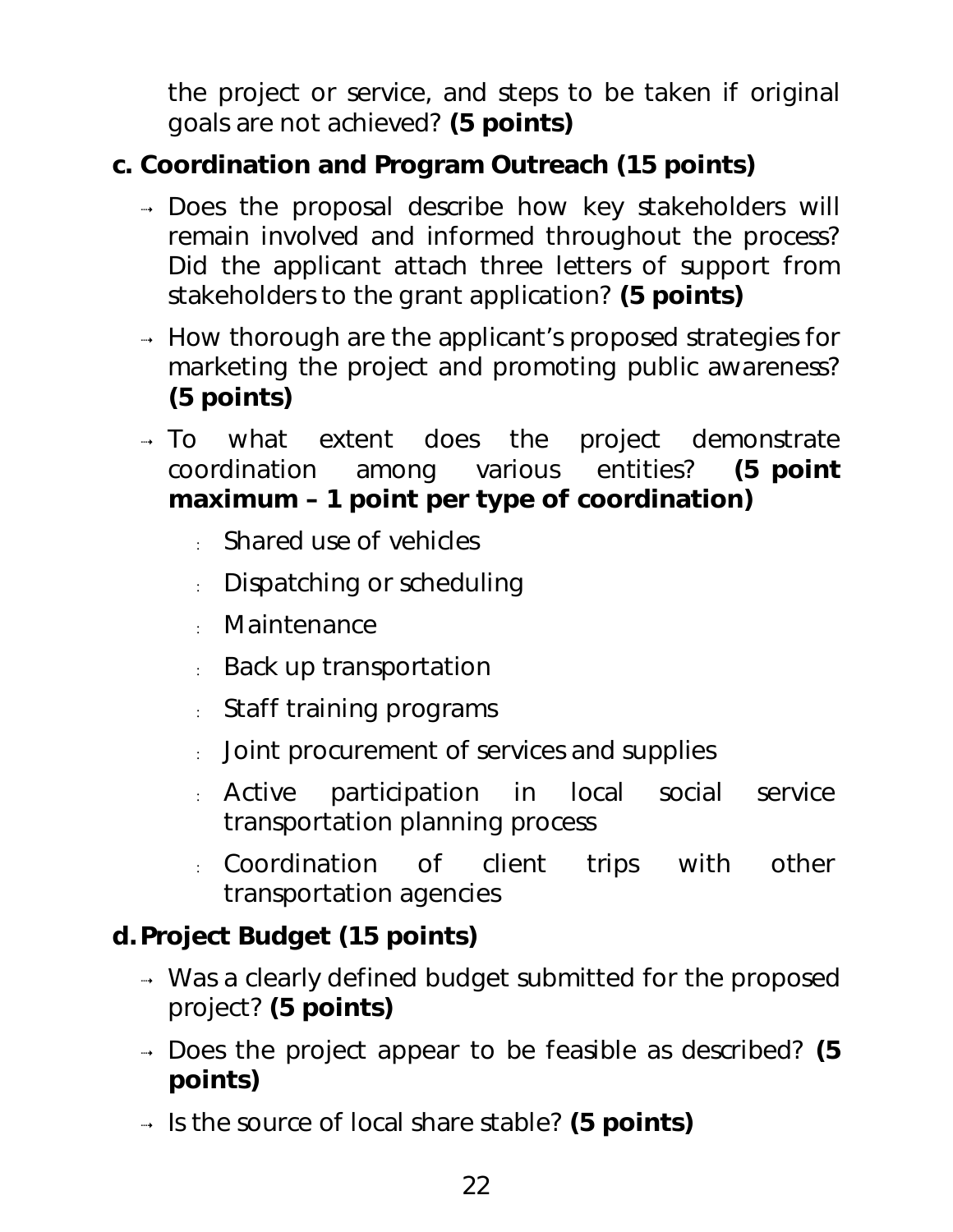the project or service, and steps to be taken if original goals are not achieved? **(5 points)**

## *c. Coordination and Program Outreach (15 points)*

- → Does the proposal describe how key stakeholders will remain involved and informed throughout the process? Did the applicant attach three letters of support from stakeholders to the grant application? **(5 points)**
- $\rightarrow$  How thorough are the applicant's proposed strategies for marketing the project and promoting public awareness? **(5 points)**
- $\rightarrow$  To what extent does the project demonstrate coordination among various entities? **(5 point maximum – 1 point per type of coordination)** 
	- : Shared use of vehicles
	- : Dispatching or scheduling
	- : Maintenance
	- : Back up transportation
	- : Staff training programs
	- : Joint procurement of services and supplies
	- : Active participation in local social service transportation planning process
	- : Coordination of client trips with other transportation agencies

## *d.Project Budget (15 points)*

- $\rightarrow$  Was a clearly defined budget submitted for the proposed project? **(5 points)**
- Does the project appear to be feasible as described? **(5 points)**
- Is the source of local share stable? **(5 points)**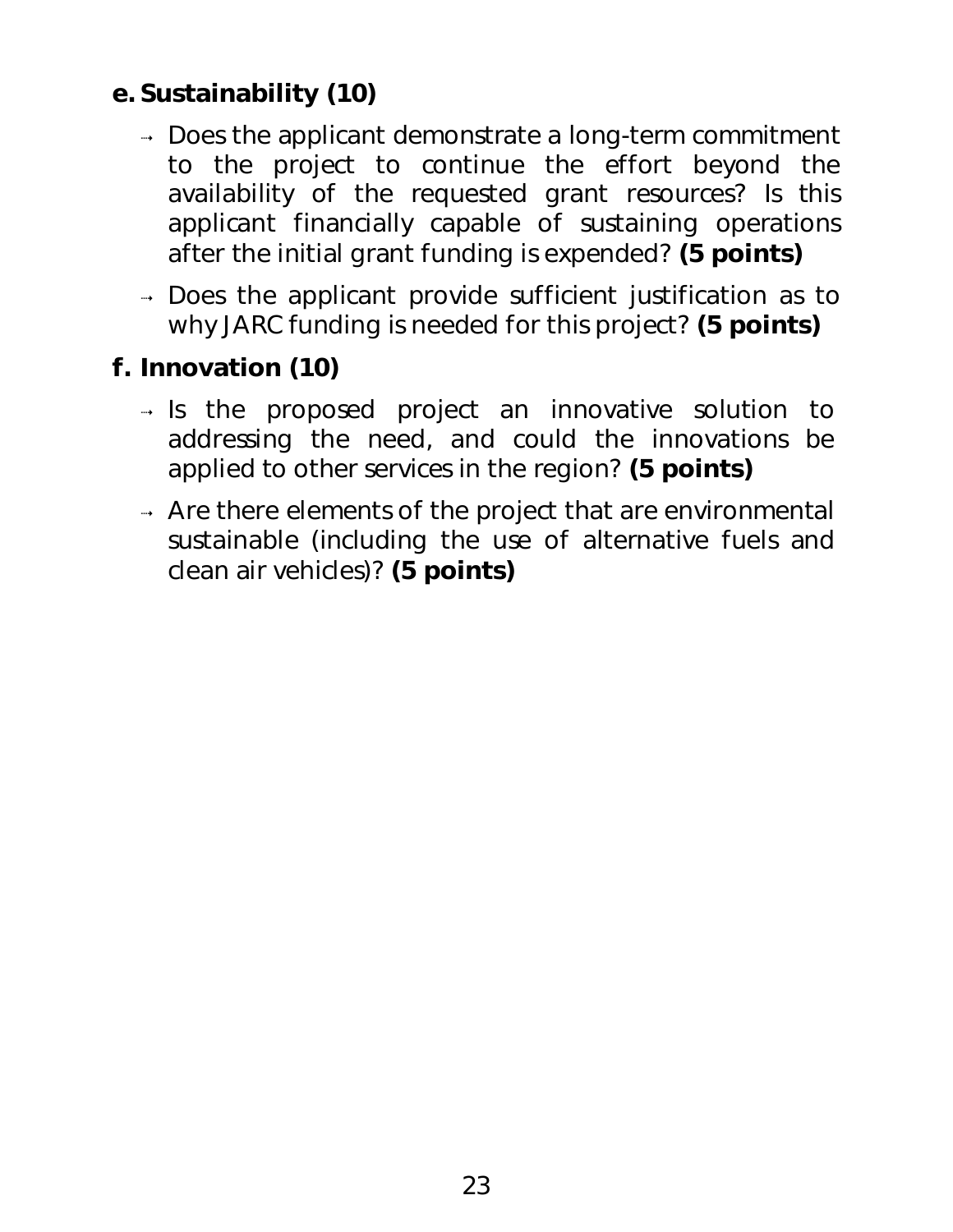## *e. Sustainability (10)*

- $\rightarrow$  Does the applicant demonstrate a long-term commitment to the project to continue the effort beyond the availability of the requested grant resources? Is this applicant financially capable of sustaining operations after the initial grant funding is expended? **(5 points)**
- → Does the applicant provide sufficient justification as to why JARC funding is needed for this project? **(5 points)**

## *f. Innovation (10)*

- $\rightarrow$  Is the proposed project an innovative solution to addressing the need, and could the innovations be applied to other services in the region? **(5 points)**
- $\rightarrow$  Are there elements of the project that are environmental sustainable (including the use of alternative fuels and clean air vehicles)? **(5 points)**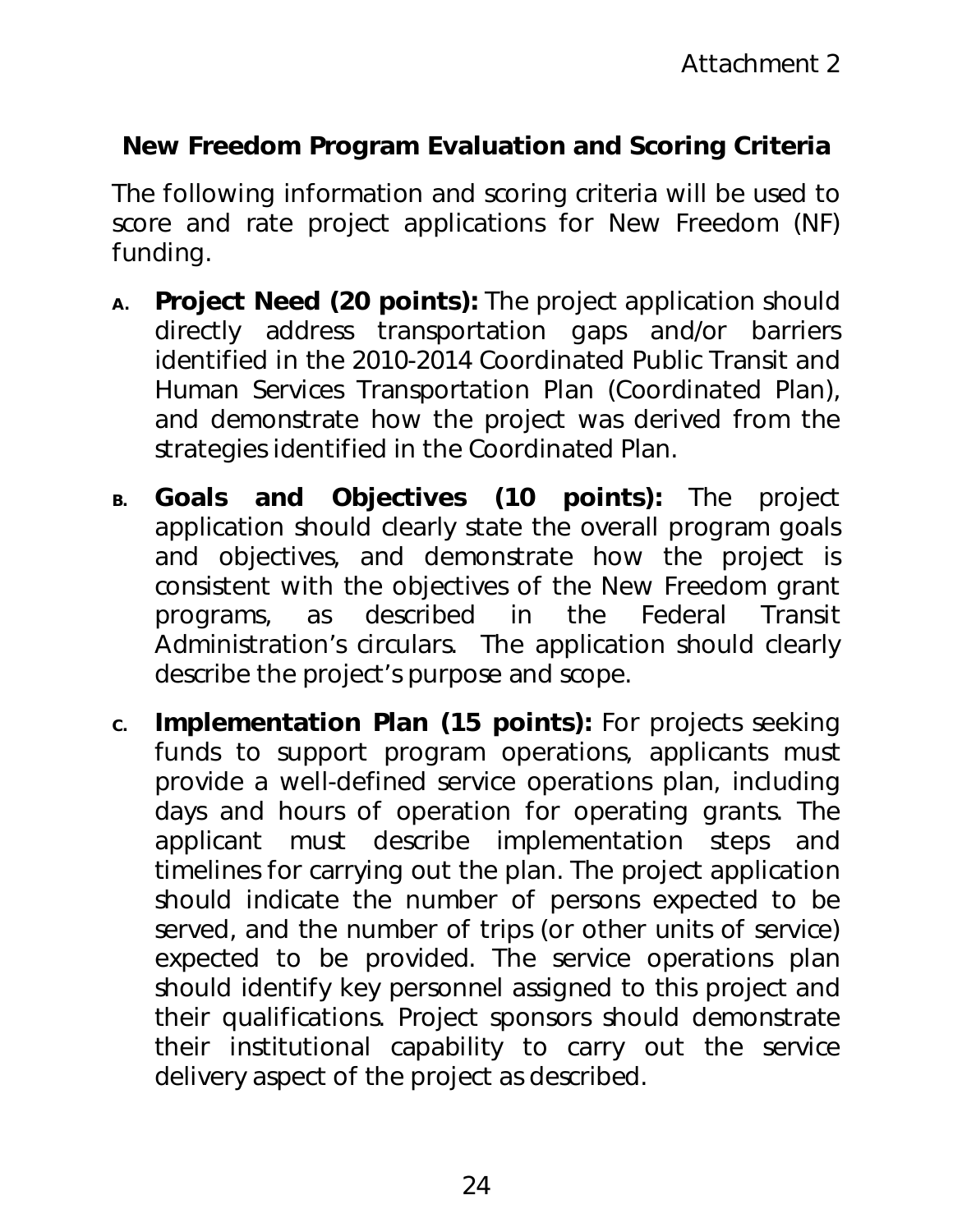## **New Freedom Program Evaluation and Scoring Criteria**

The following information and scoring criteria will be used to score and rate project applications for New Freedom (NF) funding.

- **A.** *Project Need (20 points)***:** The project application should directly address transportation gaps and/or barriers identified in the 2010-2014 Coordinated Public Transit and Human Services Transportation Plan (Coordinated Plan), and demonstrate how the project was derived from the strategies identified in the Coordinated Plan.
- **B.** *Goals and Objectives (10 points)***:** The project application should clearly state the overall program goals and objectives, and demonstrate how the project is consistent with the objectives of the New Freedom grant programs, as described in the Federal Transit Administration's circulars. The application should clearly describe the project's purpose and scope.
- **C.** *Implementation Plan (15 points):* For projects seeking funds to support program operations, applicants must provide a well-defined service operations plan, including days and hours of operation for operating grants. The applicant must describe implementation steps and timelines for carrying out the plan. The project application should indicate the number of persons expected to be served, and the number of trips (or other units of service) expected to be provided. The service operations plan should identify key personnel assigned to this project and their qualifications. Project sponsors should demonstrate their institutional capability to carry out the service delivery aspect of the project as described.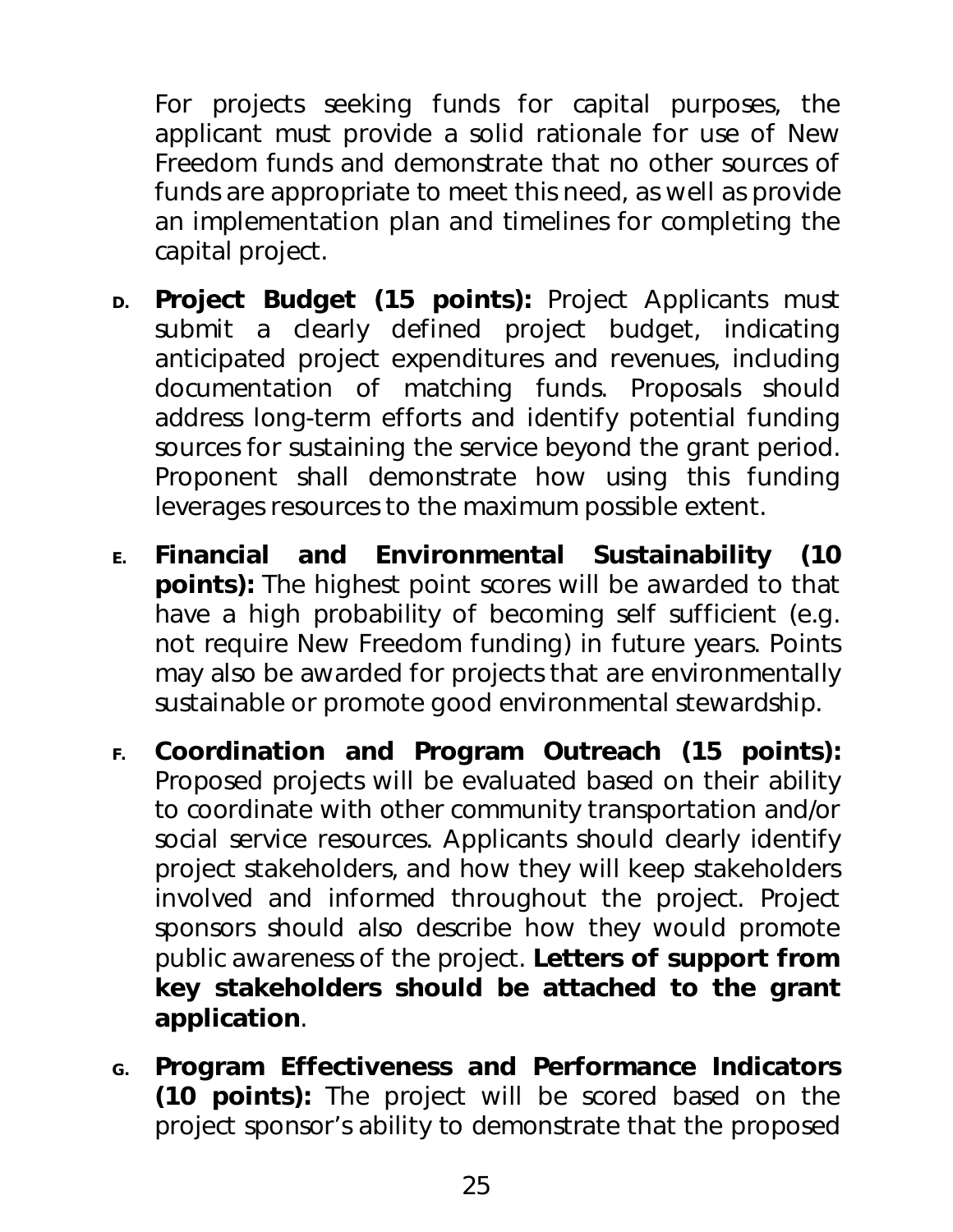For projects seeking funds for capital purposes, the applicant must provide a solid rationale for use of New Freedom funds and demonstrate that no other sources of funds are appropriate to meet this need, as well as provide an implementation plan and timelines for completing the capital project.

- **D.** *Project Budget (15 points):* Project Applicants must submit a clearly defined project budget, indicating anticipated project expenditures and revenues, including documentation of matching funds. Proposals should address long-term efforts and identify potential funding sources for sustaining the service beyond the grant period. Proponent shall demonstrate how using this funding leverages resources to the maximum possible extent.
- **E.** *Financial and Environmental Sustainability (10 points):* The highest point scores will be awarded to that have a high probability of becoming self sufficient (e.g. not require New Freedom funding) in future years. Points may also be awarded for projects that are environmentally sustainable or promote good environmental stewardship.
- **F.** *Coordination and Program Outreach (15 points):* Proposed projects will be evaluated based on their ability to coordinate with other community transportation and/or social service resources. Applicants should clearly identify project stakeholders, and how they will keep stakeholders involved and informed throughout the project. Project sponsors should also describe how they would promote public awareness of the project. **Letters of support from key stakeholders should be attached to the grant application**.
- **G.** *Program Effectiveness and Performance Indicators (10 points):* The project will be scored based on the project sponsor's ability to demonstrate that the proposed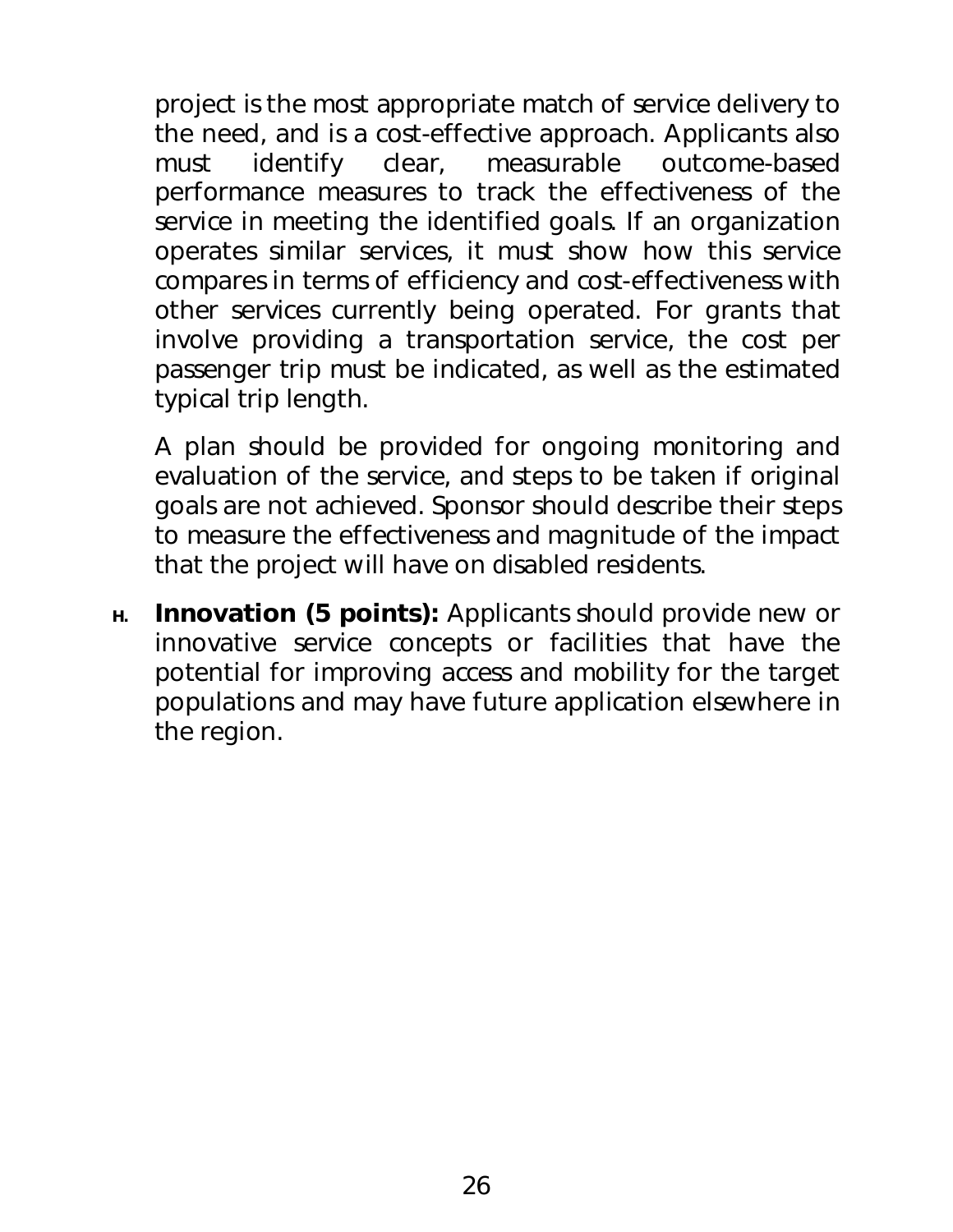project is the most appropriate match of service delivery to the need, and is a cost-effective approach. Applicants also must identify clear, measurable outcome-based performance measures to track the effectiveness of the service in meeting the identified goals. If an organization operates similar services, it must show how this service compares in terms of efficiency and cost-effectiveness with other services currently being operated. For grants that involve providing a transportation service, the cost per passenger trip must be indicated, as well as the estimated typical trip length.

A plan should be provided for ongoing monitoring and evaluation of the service, and steps to be taken if original goals are not achieved. Sponsor should describe their steps to measure the effectiveness and magnitude of the impact that the project will have on disabled residents.

**H.** *Innovation (5 points):* Applicants should provide new or innovative service concepts or facilities that have the potential for improving access and mobility for the target populations and may have future application elsewhere in the region.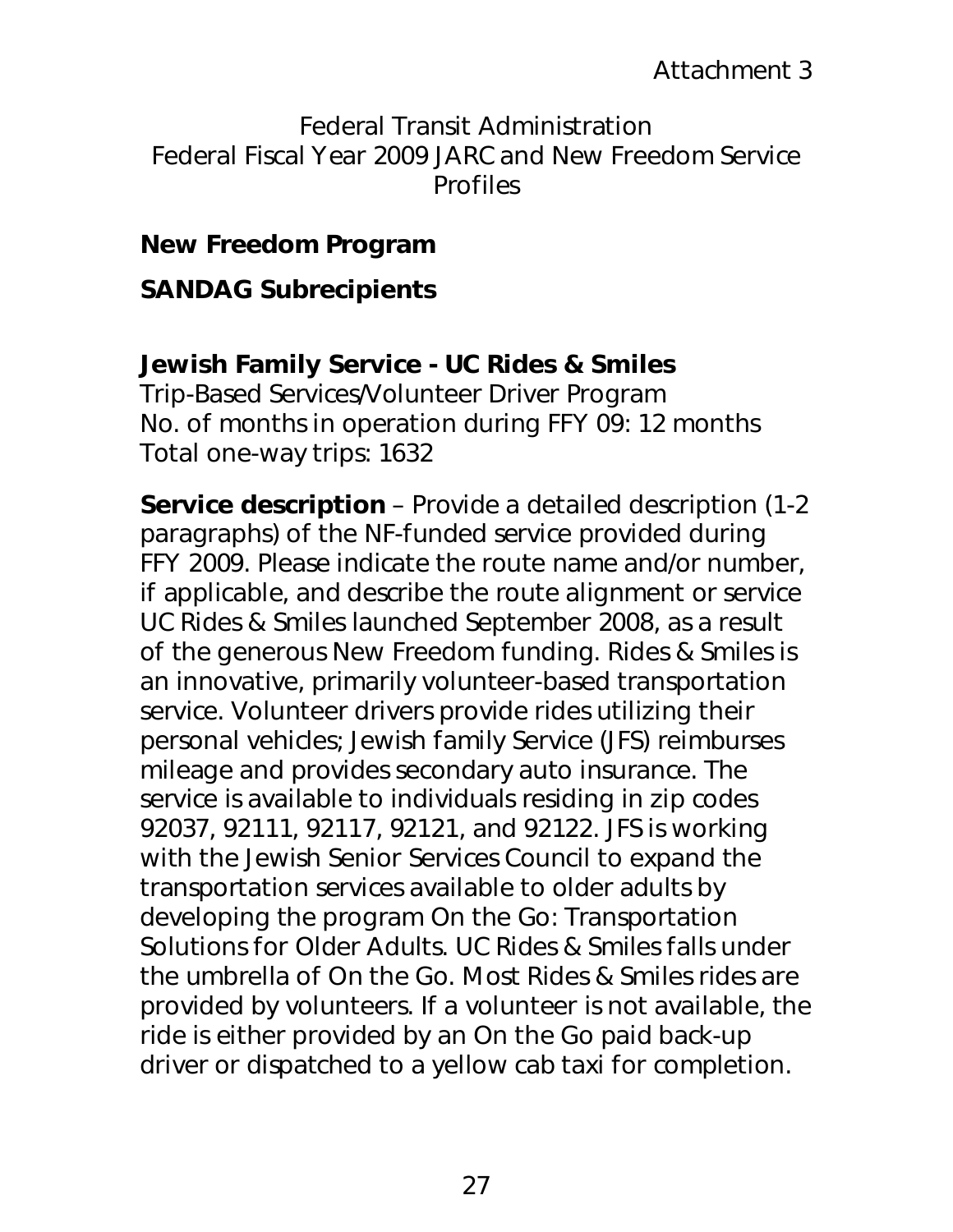Federal Transit Administration Federal Fiscal Year 2009 JARC and New Freedom Service Profiles

## *New Freedom Program*

## **SANDAG Subrecipients**

**Jewish Family Service - UC Rides & Smiles**  Trip-Based Services/Volunteer Driver Program No. of months in operation during FFY 09: 12 months Total one-way trips: 1632

**Service description** – Provide a detailed description (1-2 paragraphs) of the NF-funded service provided during FFY 2009. Please indicate the route name and/or number, if applicable, and describe the route alignment or service UC Rides & Smiles launched September 2008, as a result of the generous New Freedom funding. Rides & Smiles is an innovative, primarily volunteer-based transportation service. Volunteer drivers provide rides utilizing their personal vehicles; Jewish family Service (JFS) reimburses mileage and provides secondary auto insurance. The service is available to individuals residing in zip codes 92037, 92111, 92117, 92121, and 92122. JFS is working with the Jewish Senior Services Council to expand the transportation services available to older adults by developing the program On the Go: Transportation Solutions for Older Adults. UC Rides & Smiles falls under the umbrella of On the Go. Most Rides & Smiles rides are provided by volunteers. If a volunteer is not available, the ride is either provided by an On the Go paid back-up driver or dispatched to a yellow cab taxi for completion.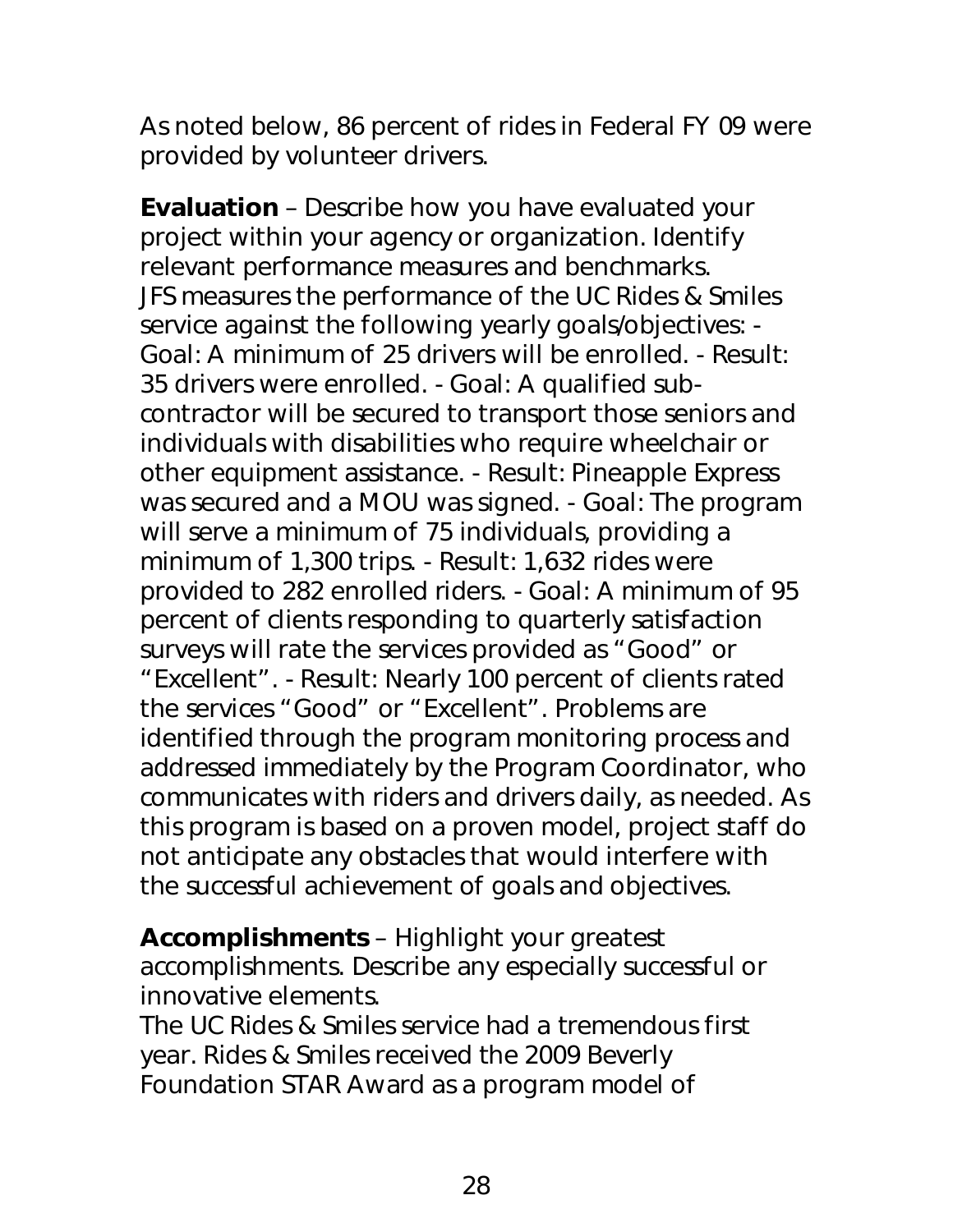As noted below, 86 percent of rides in Federal FY 09 were provided by volunteer drivers.

**Evaluation** – Describe how you have evaluated your project within your agency or organization. Identify relevant performance measures and benchmarks. JFS measures the performance of the UC Rides & Smiles service against the following yearly goals/objectives: - Goal: A minimum of 25 drivers will be enrolled. - Result: 35 drivers were enrolled. - Goal: A qualified subcontractor will be secured to transport those seniors and individuals with disabilities who require wheelchair or other equipment assistance. - Result: Pineapple Express was secured and a MOU was signed. - Goal: The program will serve a minimum of 75 individuals, providing a minimum of 1,300 trips. - Result: 1,632 rides were provided to 282 enrolled riders. - Goal: A minimum of 95 percent of clients responding to quarterly satisfaction surveys will rate the services provided as "Good" or "Excellent". - Result: Nearly 100 percent of clients rated the services "Good" or "Excellent". Problems are identified through the program monitoring process and addressed immediately by the Program Coordinator, who communicates with riders and drivers daily, as needed. As this program is based on a proven model, project staff do not anticipate any obstacles that would interfere with the successful achievement of goals and objectives.

**Accomplishments** – Highlight your greatest accomplishments. Describe any especially successful or innovative elements.

The UC Rides & Smiles service had a tremendous first year. Rides & Smiles received the 2009 Beverly Foundation STAR Award as a program model of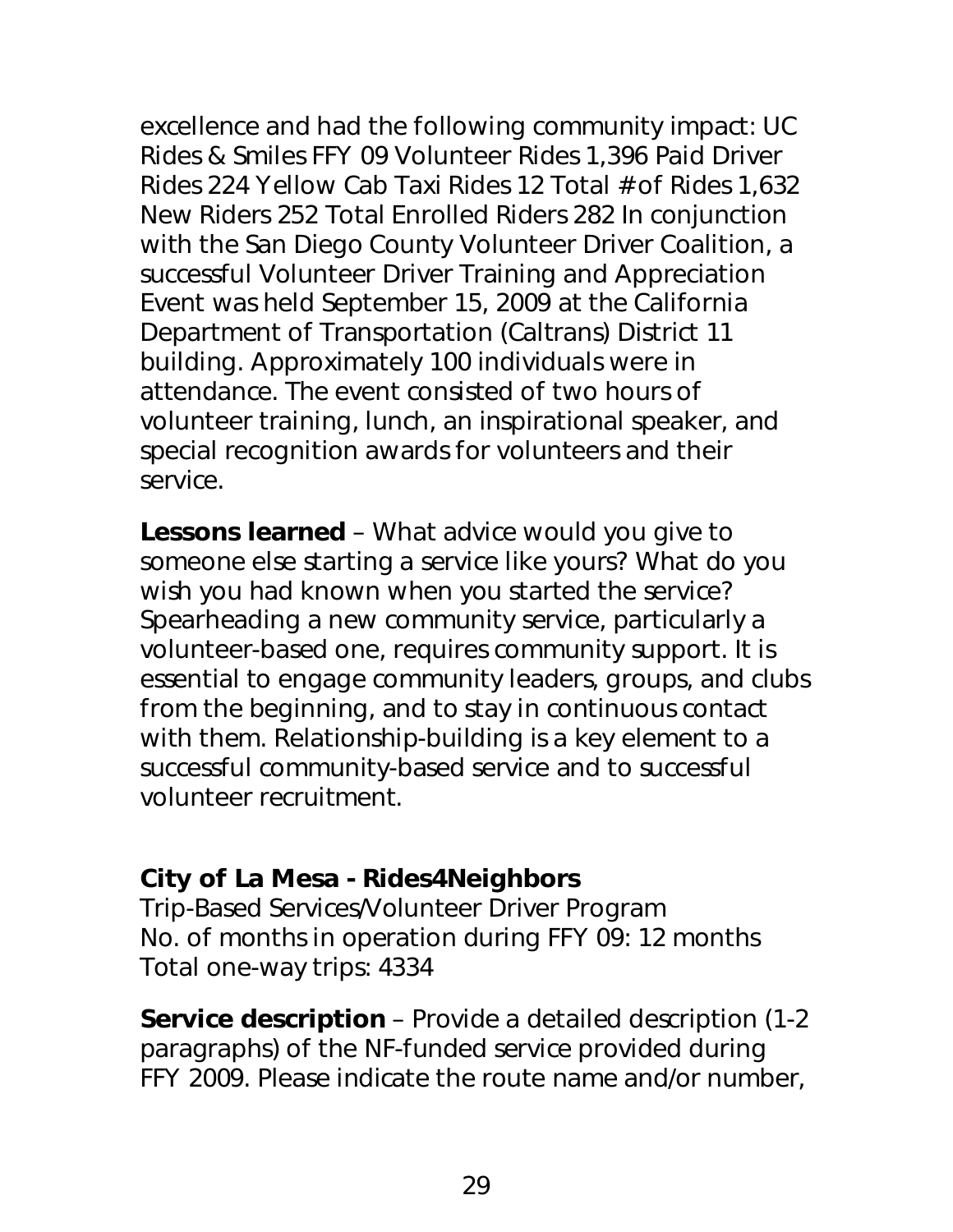excellence and had the following community impact: UC Rides & Smiles FFY 09 Volunteer Rides 1,396 Paid Driver Rides 224 Yellow Cab Taxi Rides 12 Total # of Rides 1,632 New Riders 252 Total Enrolled Riders 282 In conjunction with the San Diego County Volunteer Driver Coalition, a successful Volunteer Driver Training and Appreciation Event was held September 15, 2009 at the California Department of Transportation (Caltrans) District 11 building. Approximately 100 individuals were in attendance. The event consisted of two hours of volunteer training, lunch, an inspirational speaker, and special recognition awards for volunteers and their service.

**Lessons learned** – What advice would you give to someone else starting a service like yours? What do you wish you had known when you started the service? Spearheading a new community service, particularly a volunteer-based one, requires community support. It is essential to engage community leaders, groups, and clubs from the beginning, and to stay in continuous contact with them. Relationship-building is a key element to a successful community-based service and to successful volunteer recruitment.

## **City of La Mesa - Rides4Neighbors**

Trip-Based Services/Volunteer Driver Program No. of months in operation during FFY 09: 12 months Total one-way trips: 4334

**Service description** – Provide a detailed description (1-2 paragraphs) of the NF-funded service provided during FFY 2009. Please indicate the route name and/or number,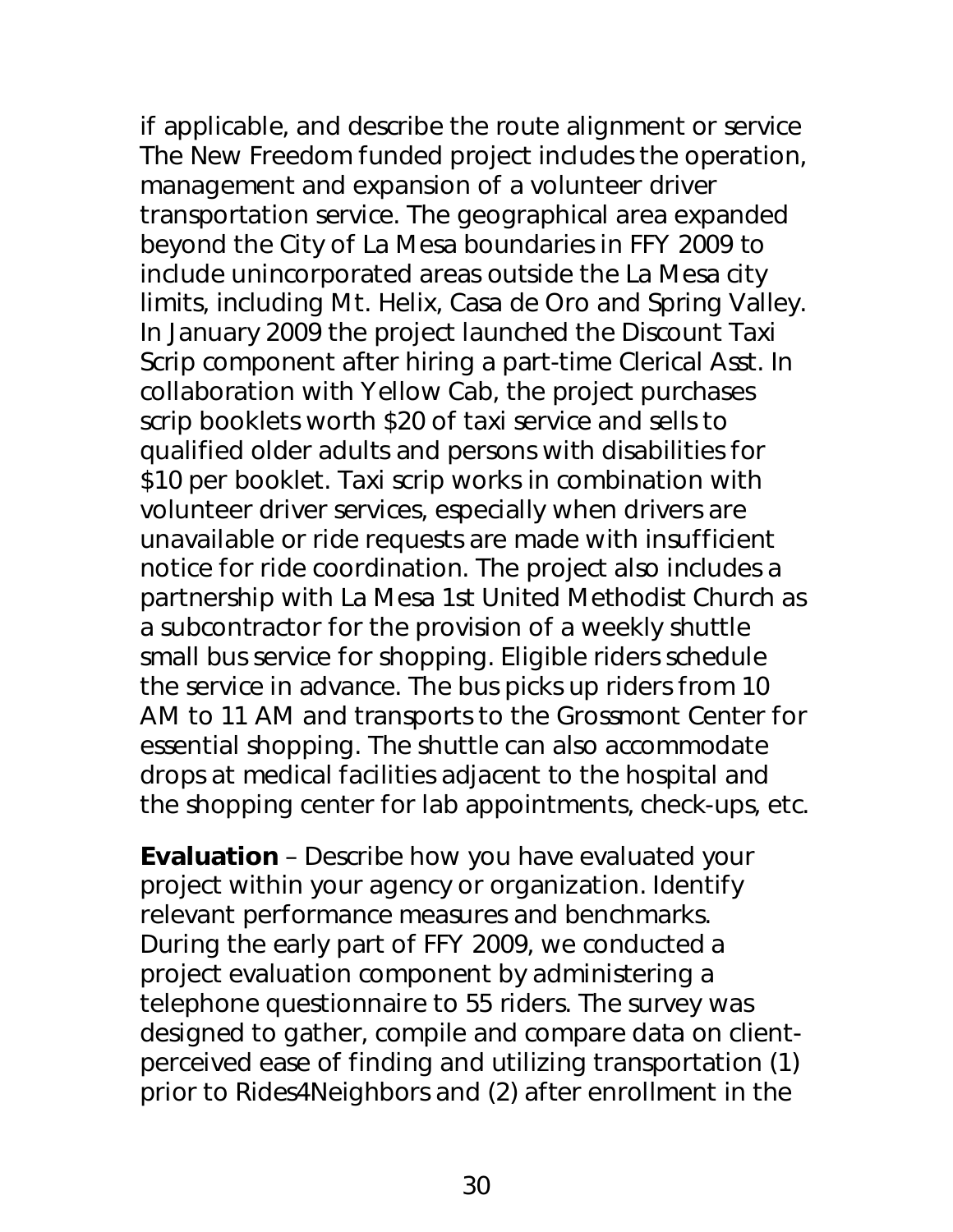if applicable, and describe the route alignment or service The New Freedom funded project includes the operation, management and expansion of a volunteer driver transportation service. The geographical area expanded beyond the City of La Mesa boundaries in FFY 2009 to include unincorporated areas outside the La Mesa city limits, including Mt. Helix, Casa de Oro and Spring Valley. In January 2009 the project launched the Discount Taxi Scrip component after hiring a part-time Clerical Asst. In collaboration with Yellow Cab, the project purchases scrip booklets worth \$20 of taxi service and sells to qualified older adults and persons with disabilities for \$10 per booklet. Taxi scrip works in combination with volunteer driver services, especially when drivers are unavailable or ride requests are made with insufficient notice for ride coordination. The project also includes a partnership with La Mesa 1st United Methodist Church as a subcontractor for the provision of a weekly shuttle small bus service for shopping. Eligible riders schedule the service in advance. The bus picks up riders from 10 AM to 11 AM and transports to the Grossmont Center for essential shopping. The shuttle can also accommodate drops at medical facilities adjacent to the hospital and the shopping center for lab appointments, check-ups, etc.

**Evaluation** – Describe how you have evaluated your project within your agency or organization. Identify relevant performance measures and benchmarks. During the early part of FFY 2009, we conducted a project evaluation component by administering a telephone questionnaire to 55 riders. The survey was designed to gather, compile and compare data on clientperceived ease of finding and utilizing transportation (1) prior to Rides4Neighbors and (2) after enrollment in the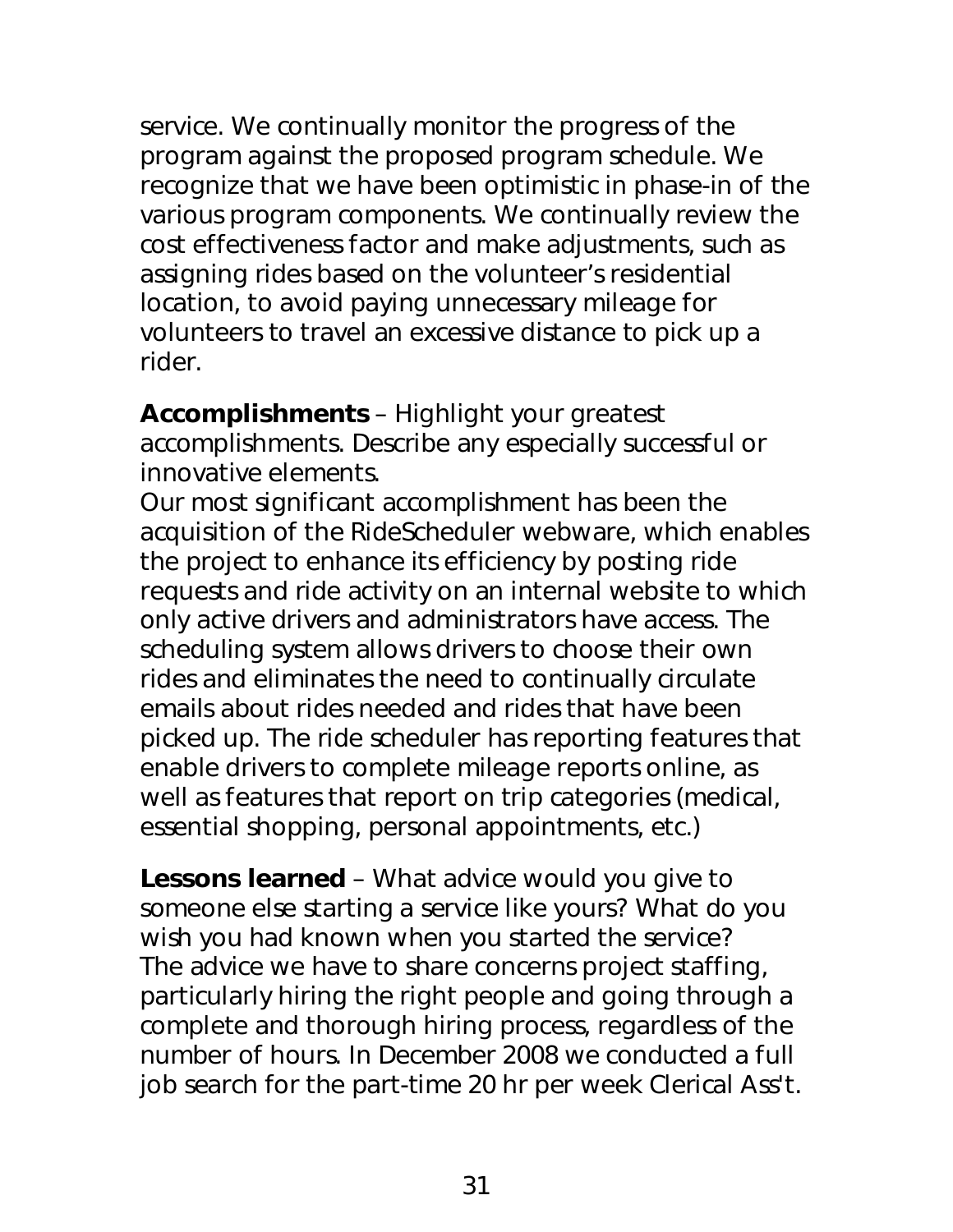service. We continually monitor the progress of the program against the proposed program schedule. We recognize that we have been optimistic in phase-in of the various program components. We continually review the cost effectiveness factor and make adjustments, such as assigning rides based on the volunteer's residential location, to avoid paying unnecessary mileage for volunteers to travel an excessive distance to pick up a rider.

**Accomplishments** – Highlight your greatest accomplishments. Describe any especially successful or innovative elements.

Our most significant accomplishment has been the acquisition of the RideScheduler webware, which enables the project to enhance its efficiency by posting ride requests and ride activity on an internal website to which only active drivers and administrators have access. The scheduling system allows drivers to choose their own rides and eliminates the need to continually circulate emails about rides needed and rides that have been picked up. The ride scheduler has reporting features that enable drivers to complete mileage reports online, as well as features that report on trip categories (medical, essential shopping, personal appointments, etc.)

**Lessons learned** – What advice would you give to someone else starting a service like yours? What do you wish you had known when you started the service? The advice we have to share concerns project staffing, particularly hiring the right people and going through a complete and thorough hiring process, regardless of the number of hours. In December 2008 we conducted a full job search for the part-time 20 hr per week Clerical Ass't.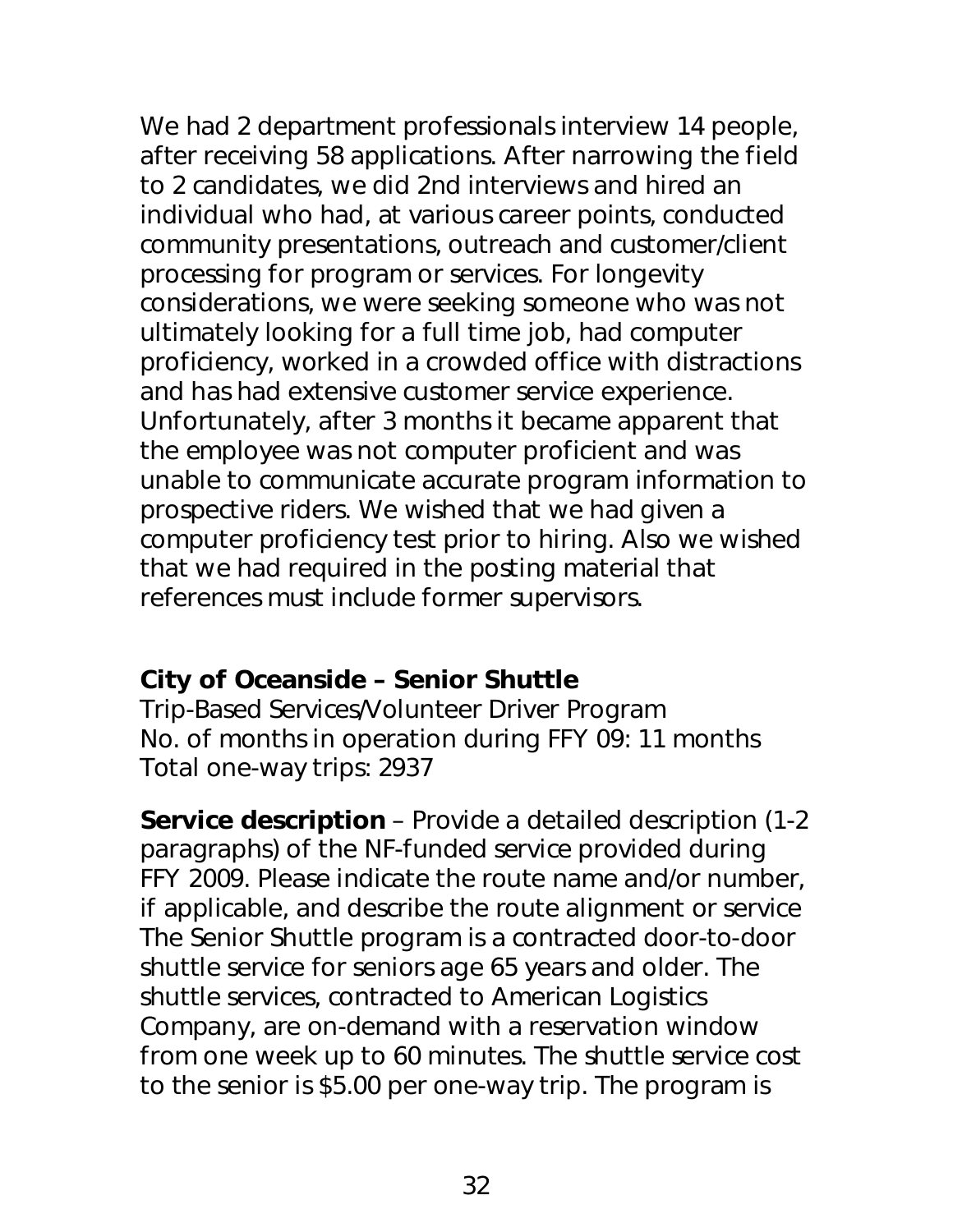We had 2 department professionals interview 14 people, after receiving 58 applications. After narrowing the field to 2 candidates, we did 2nd interviews and hired an individual who had, at various career points, conducted community presentations, outreach and customer/client processing for program or services. For longevity considerations, we were seeking someone who was not ultimately looking for a full time job, had computer proficiency, worked in a crowded office with distractions and has had extensive customer service experience. Unfortunately, after 3 months it became apparent that the employee was not computer proficient and was unable to communicate accurate program information to prospective riders. We wished that we had given a computer proficiency test prior to hiring. Also we wished that we had required in the posting material that references must include former supervisors.

## **City of Oceanside – Senior Shuttle**

Trip-Based Services/Volunteer Driver Program No. of months in operation during FFY 09: 11 months Total one-way trips: 2937

**Service description** – Provide a detailed description (1-2 paragraphs) of the NF-funded service provided during FFY 2009. Please indicate the route name and/or number, if applicable, and describe the route alignment or service The Senior Shuttle program is a contracted door-to-door shuttle service for seniors age 65 years and older. The shuttle services, contracted to American Logistics Company, are on-demand with a reservation window from one week up to 60 minutes. The shuttle service cost to the senior is \$5.00 per one-way trip. The program is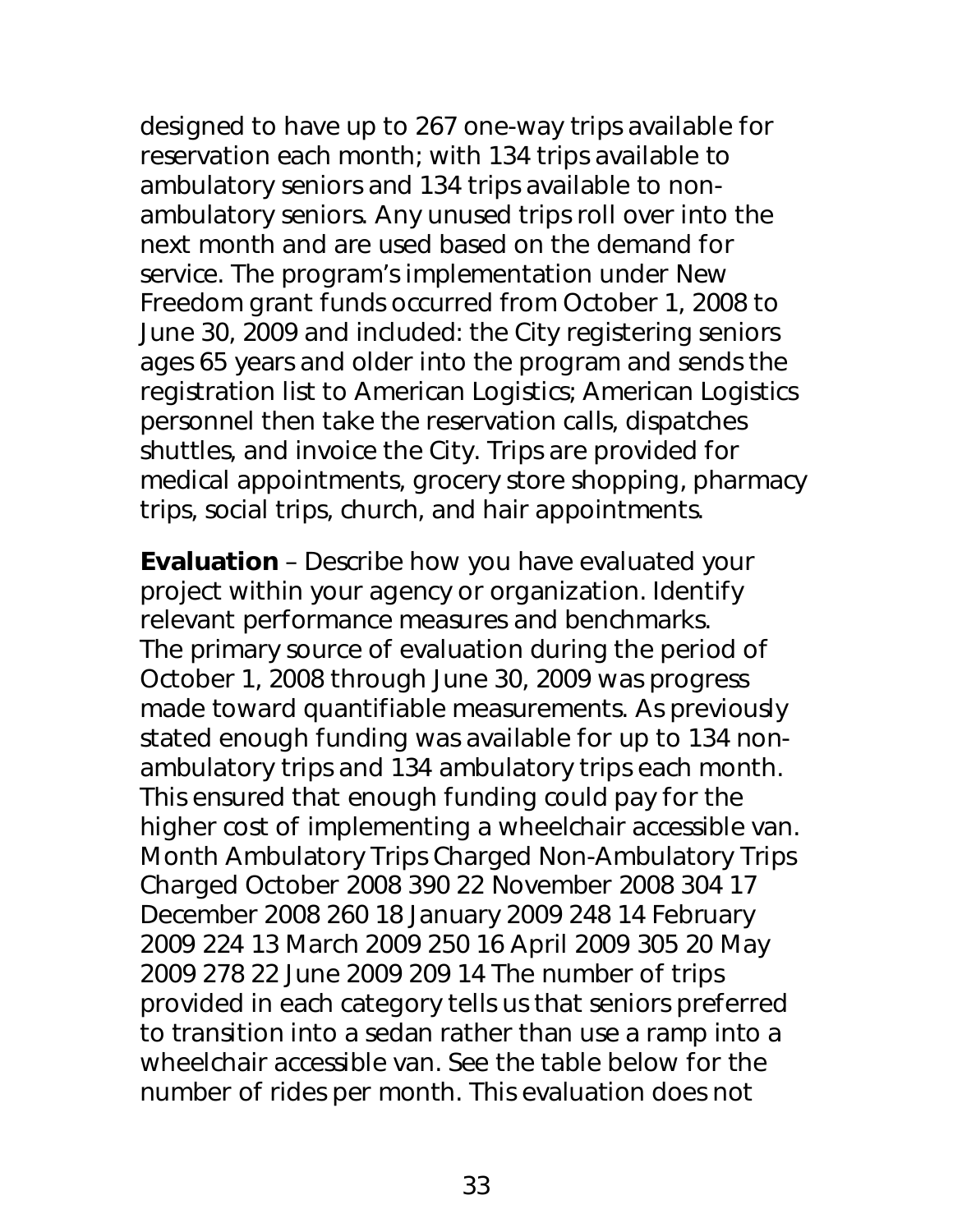designed to have up to 267 one-way trips available for reservation each month; with 134 trips available to ambulatory seniors and 134 trips available to nonambulatory seniors. Any unused trips roll over into the next month and are used based on the demand for service. The program's implementation under New Freedom grant funds occurred from October 1, 2008 to June 30, 2009 and included: the City registering seniors ages 65 years and older into the program and sends the registration list to American Logistics; American Logistics personnel then take the reservation calls, dispatches shuttles, and invoice the City. Trips are provided for medical appointments, grocery store shopping, pharmacy trips, social trips, church, and hair appointments.

**Evaluation** – Describe how you have evaluated your project within your agency or organization. Identify relevant performance measures and benchmarks. The primary source of evaluation during the period of October 1, 2008 through June 30, 2009 was progress made toward quantifiable measurements. As previously stated enough funding was available for up to 134 nonambulatory trips and 134 ambulatory trips each month. This ensured that enough funding could pay for the higher cost of implementing a wheelchair accessible van. Month Ambulatory Trips Charged Non-Ambulatory Trips Charged October 2008 390 22 November 2008 304 17 December 2008 260 18 January 2009 248 14 February 2009 224 13 March 2009 250 16 April 2009 305 20 May 2009 278 22 June 2009 209 14 The number of trips provided in each category tells us that seniors preferred to transition into a sedan rather than use a ramp into a wheelchair accessible van. See the table below for the number of rides per month. This evaluation does not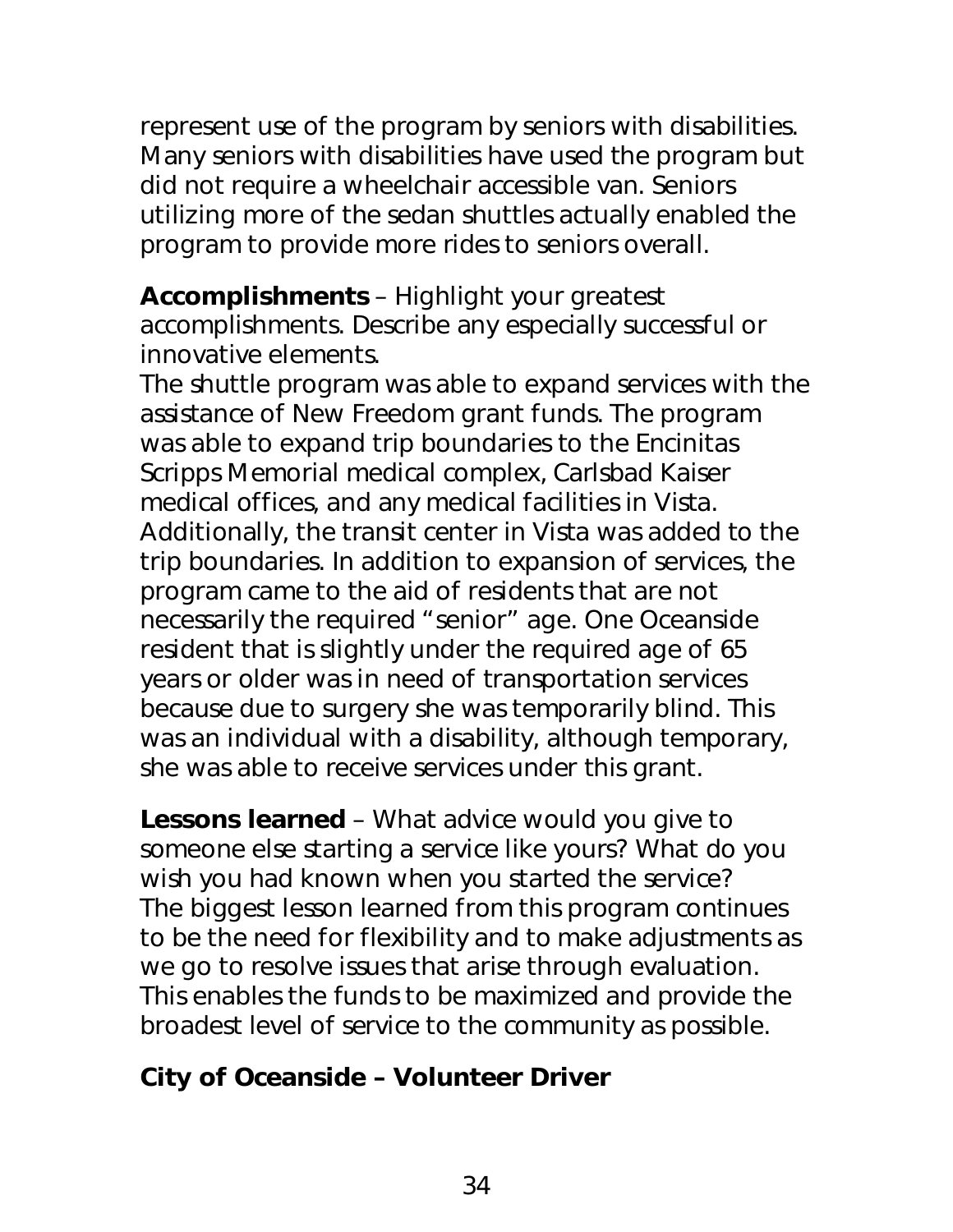represent use of the program by seniors with disabilities. Many seniors with disabilities have used the program but did not require a wheelchair accessible van. Seniors utilizing more of the sedan shuttles actually enabled the program to provide more rides to seniors overall.

**Accomplishments** – Highlight your greatest accomplishments. Describe any especially successful or innovative elements.

The shuttle program was able to expand services with the assistance of New Freedom grant funds. The program was able to expand trip boundaries to the Encinitas Scripps Memorial medical complex, Carlsbad Kaiser medical offices, and any medical facilities in Vista. Additionally, the transit center in Vista was added to the trip boundaries. In addition to expansion of services, the program came to the aid of residents that are not necessarily the required "senior" age. One Oceanside resident that is slightly under the required age of 65 years or older was in need of transportation services because due to surgery she was temporarily blind. This was an individual with a disability, although temporary, she was able to receive services under this grant.

**Lessons learned** – What advice would you give to someone else starting a service like yours? What do you wish you had known when you started the service? The biggest lesson learned from this program continues to be the need for flexibility and to make adjustments as we go to resolve issues that arise through evaluation. This enables the funds to be maximized and provide the broadest level of service to the community as possible.

## **City of Oceanside – Volunteer Driver**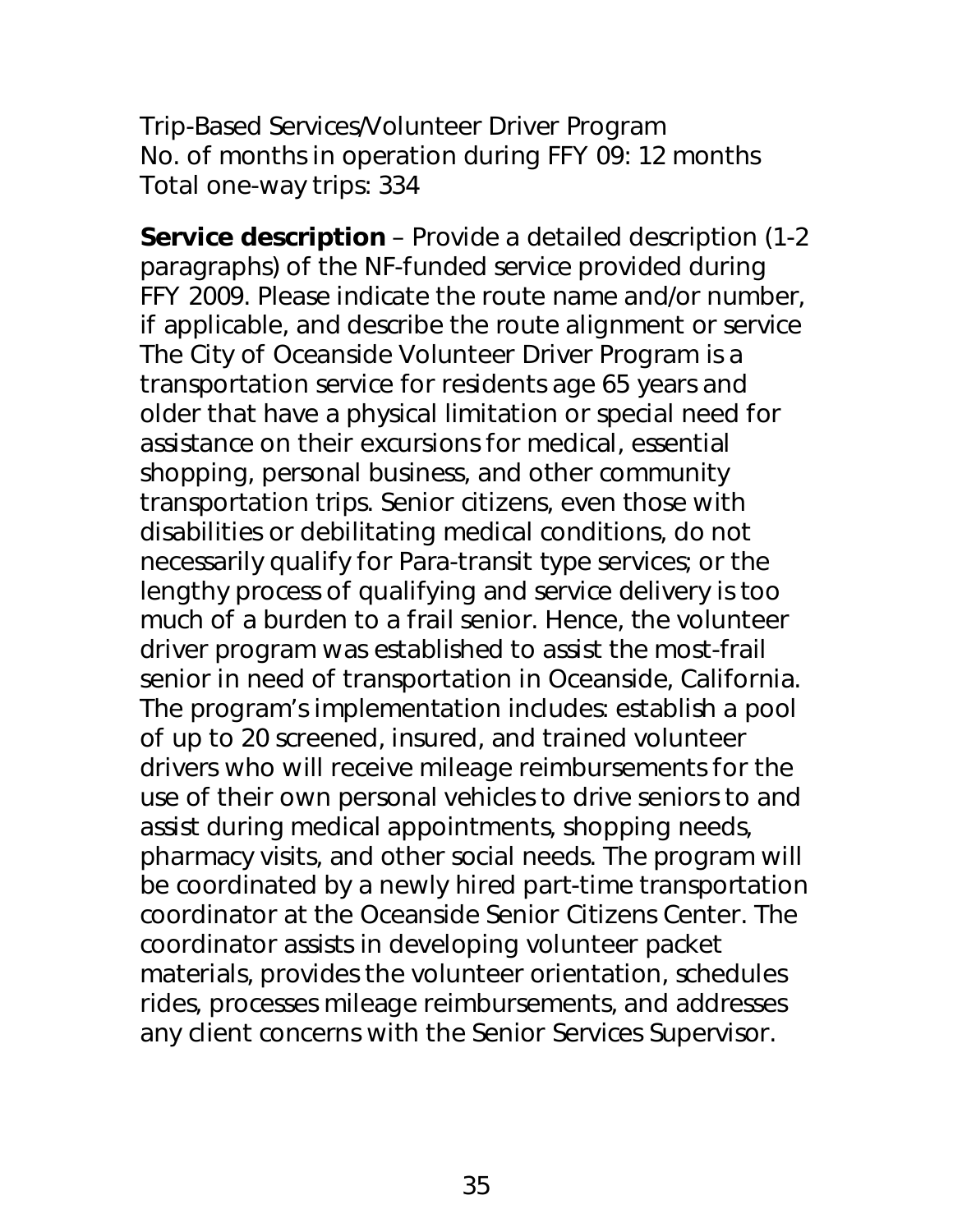Trip-Based Services/Volunteer Driver Program No. of months in operation during FFY 09: 12 months Total one-way trips: 334

**Service description** – Provide a detailed description (1-2 paragraphs) of the NF-funded service provided during FFY 2009. Please indicate the route name and/or number, if applicable, and describe the route alignment or service The City of Oceanside Volunteer Driver Program is a transportation service for residents age 65 years and older that have a physical limitation or special need for assistance on their excursions for medical, essential shopping, personal business, and other community transportation trips. Senior citizens, even those with disabilities or debilitating medical conditions, do not necessarily qualify for Para-transit type services; or the lengthy process of qualifying and service delivery is too much of a burden to a frail senior. Hence, the volunteer driver program was established to assist the most-frail senior in need of transportation in Oceanside, California. The program's implementation includes: establish a pool of up to 20 screened, insured, and trained volunteer drivers who will receive mileage reimbursements for the use of their own personal vehicles to drive seniors to and assist during medical appointments, shopping needs, pharmacy visits, and other social needs. The program will be coordinated by a newly hired part-time transportation coordinator at the Oceanside Senior Citizens Center. The coordinator assists in developing volunteer packet materials, provides the volunteer orientation, schedules rides, processes mileage reimbursements, and addresses any client concerns with the Senior Services Supervisor.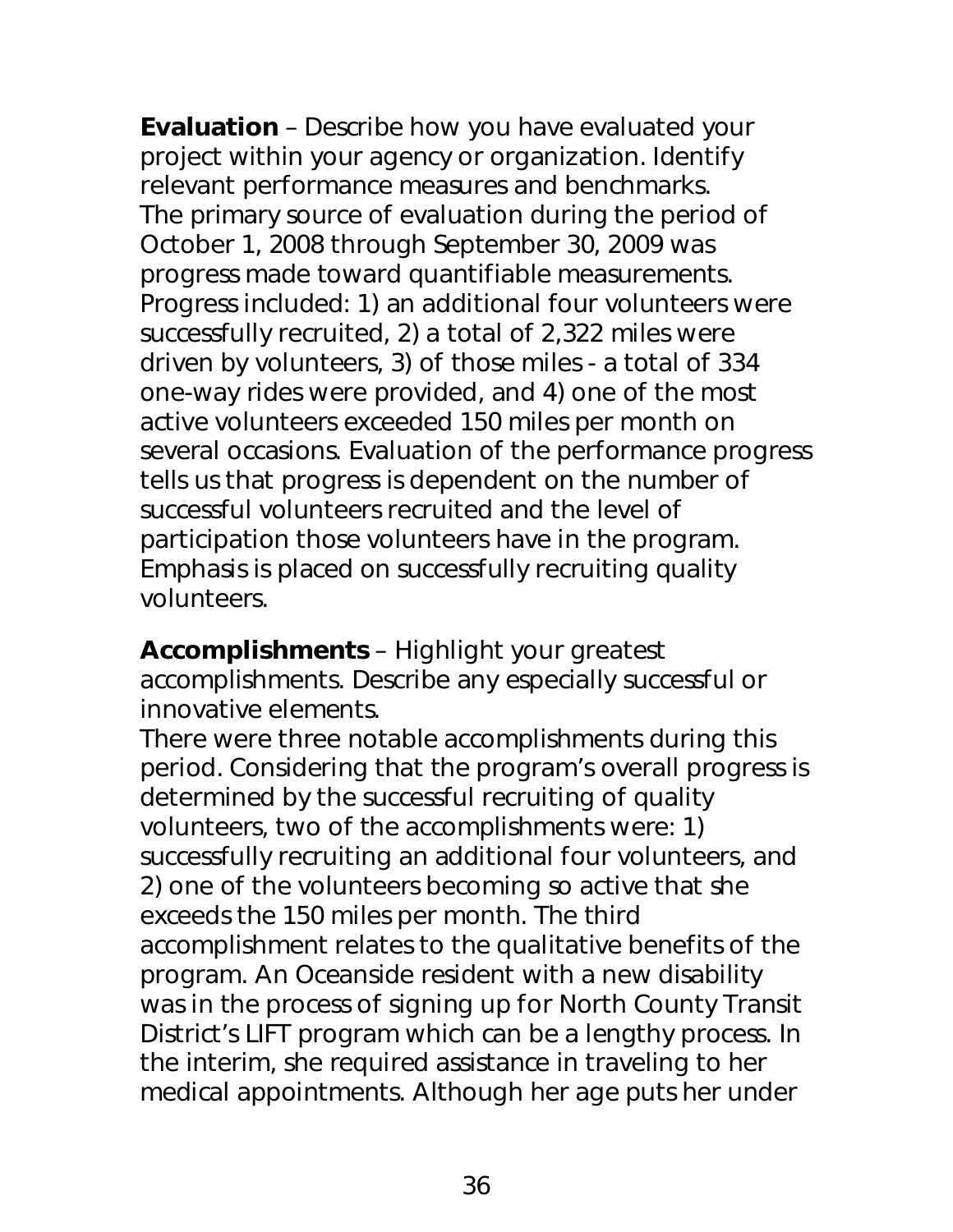**Evaluation** – Describe how you have evaluated your project within your agency or organization. Identify relevant performance measures and benchmarks. The primary source of evaluation during the period of October 1, 2008 through September 30, 2009 was progress made toward quantifiable measurements. Progress included: 1) an additional four volunteers were successfully recruited, 2) a total of 2,322 miles were driven by volunteers, 3) of those miles - a total of 334 one-way rides were provided, and 4) one of the most active volunteers exceeded 150 miles per month on several occasions. Evaluation of the performance progress tells us that progress is dependent on the number of successful volunteers recruited and the level of participation those volunteers have in the program. Emphasis is placed on successfully recruiting quality volunteers.

**Accomplishments** – Highlight your greatest accomplishments. Describe any especially successful or innovative elements.

There were three notable accomplishments during this period. Considering that the program's overall progress is determined by the successful recruiting of quality volunteers, two of the accomplishments were: 1) successfully recruiting an additional four volunteers, and 2) one of the volunteers becoming so active that she exceeds the 150 miles per month. The third accomplishment relates to the qualitative benefits of the program. An Oceanside resident with a new disability was in the process of signing up for North County Transit District's LIFT program which can be a lengthy process. In the interim, she required assistance in traveling to her medical appointments. Although her age puts her under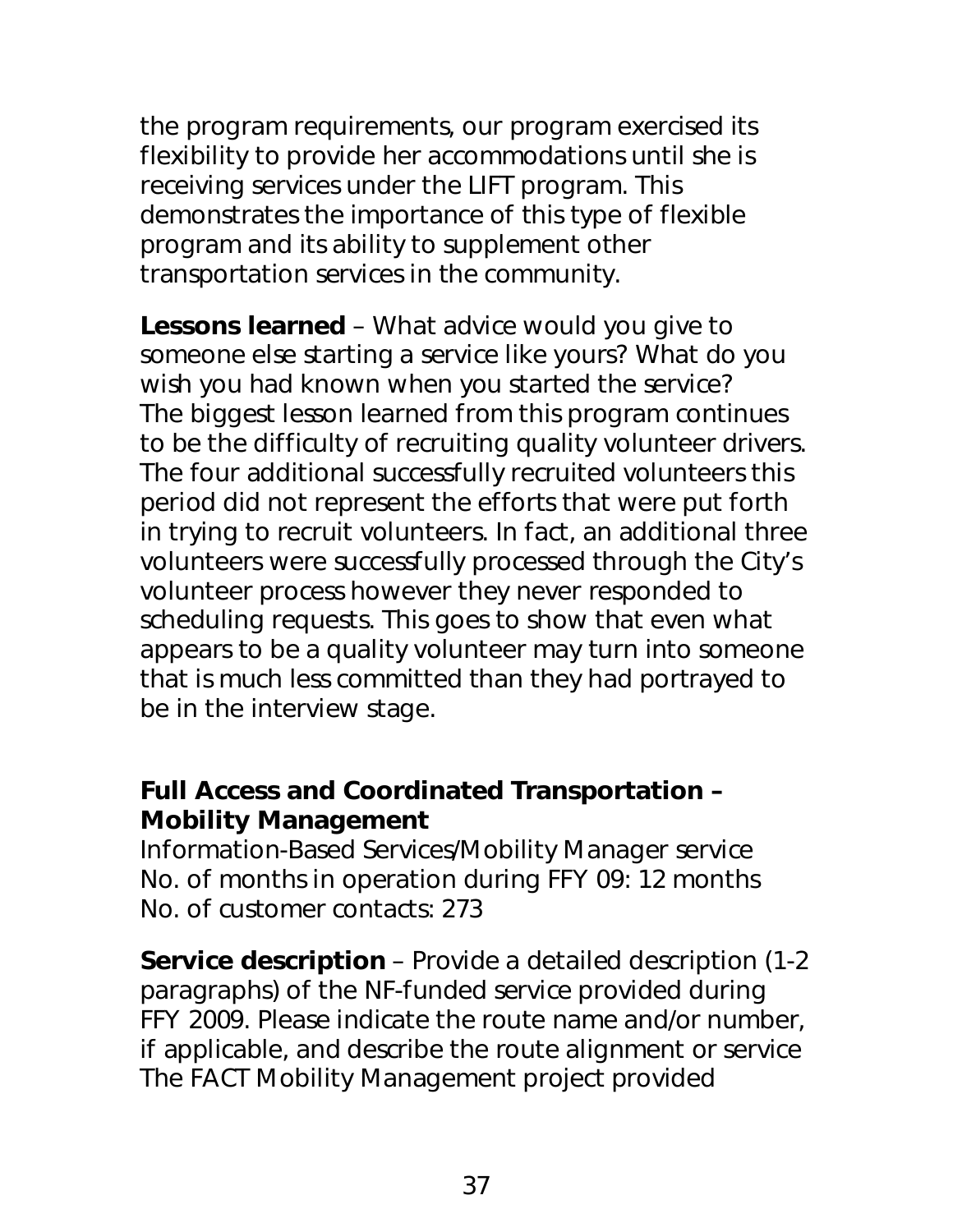the program requirements, our program exercised its flexibility to provide her accommodations until she is receiving services under the LIFT program. This demonstrates the importance of this type of flexible program and its ability to supplement other transportation services in the community.

**Lessons learned** – What advice would you give to someone else starting a service like yours? What do you wish you had known when you started the service? The biggest lesson learned from this program continues to be the difficulty of recruiting quality volunteer drivers. The four additional successfully recruited volunteers this period did not represent the efforts that were put forth in trying to recruit volunteers. In fact, an additional three volunteers were successfully processed through the City's volunteer process however they never responded to scheduling requests. This goes to show that even what appears to be a quality volunteer may turn into someone that is much less committed than they had portrayed to be in the interview stage.

## **Full Access and Coordinated Transportation – Mobility Management**

Information-Based Services/Mobility Manager service No. of months in operation during FFY 09: 12 months No. of customer contacts: 273

**Service description** – Provide a detailed description (1-2 paragraphs) of the NF-funded service provided during FFY 2009. Please indicate the route name and/or number, if applicable, and describe the route alignment or service The FACT Mobility Management project provided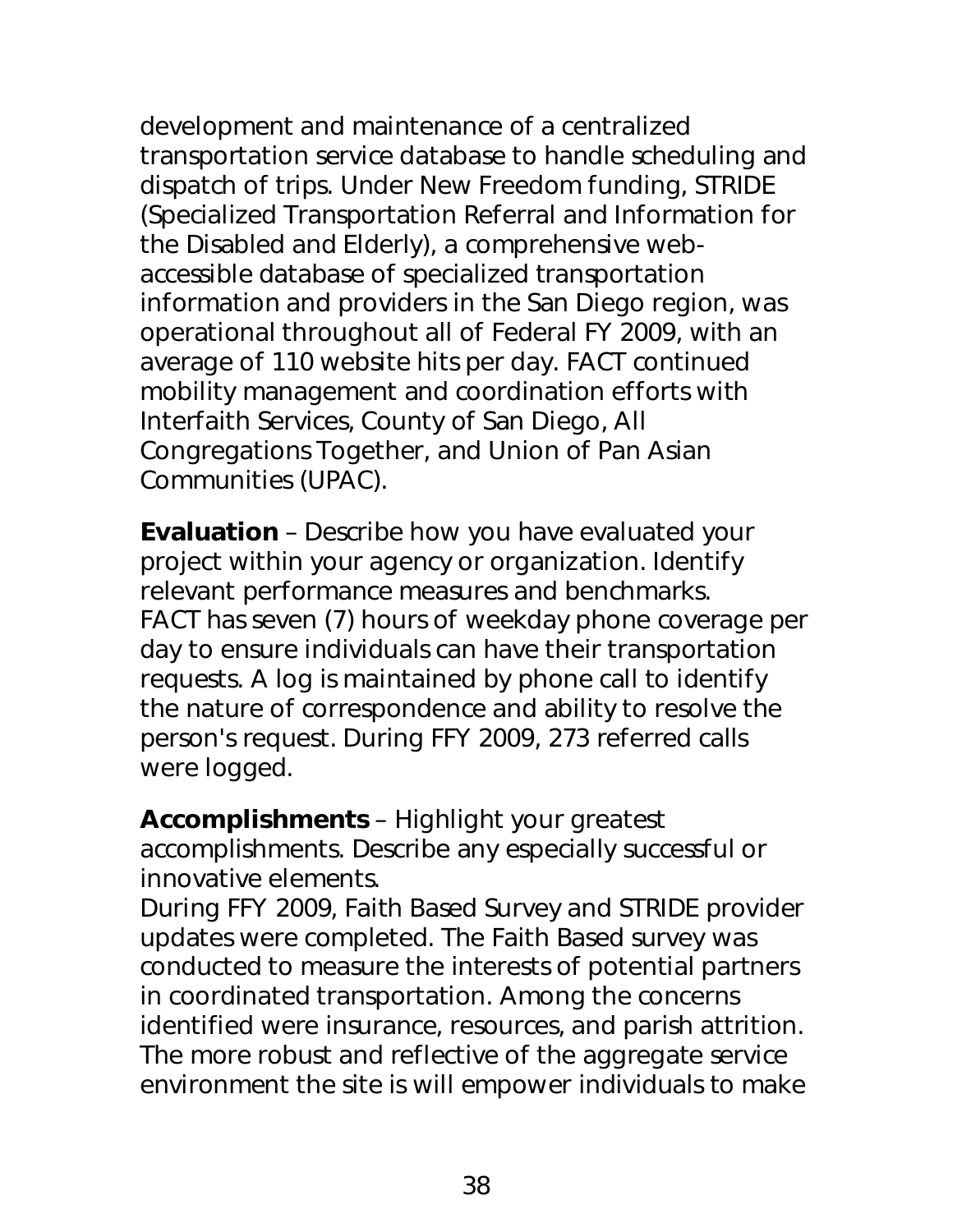development and maintenance of a centralized transportation service database to handle scheduling and dispatch of trips. Under New Freedom funding, STRIDE (Specialized Transportation Referral and Information for the Disabled and Elderly), a comprehensive webaccessible database of specialized transportation information and providers in the San Diego region, was operational throughout all of Federal FY 2009, with an average of 110 website hits per day. FACT continued mobility management and coordination efforts with Interfaith Services, County of San Diego, All Congregations Together, and Union of Pan Asian Communities (UPAC).

**Evaluation** – Describe how you have evaluated your project within your agency or organization. Identify relevant performance measures and benchmarks. FACT has seven (7) hours of weekday phone coverage per day to ensure individuals can have their transportation requests. A log is maintained by phone call to identify the nature of correspondence and ability to resolve the person's request. During FFY 2009, 273 referred calls were logged.

**Accomplishments** – Highlight your greatest accomplishments. Describe any especially successful or innovative elements.

During FFY 2009, Faith Based Survey and STRIDE provider updates were completed. The Faith Based survey was conducted to measure the interests of potential partners in coordinated transportation. Among the concerns identified were insurance, resources, and parish attrition. The more robust and reflective of the aggregate service environment the site is will empower individuals to make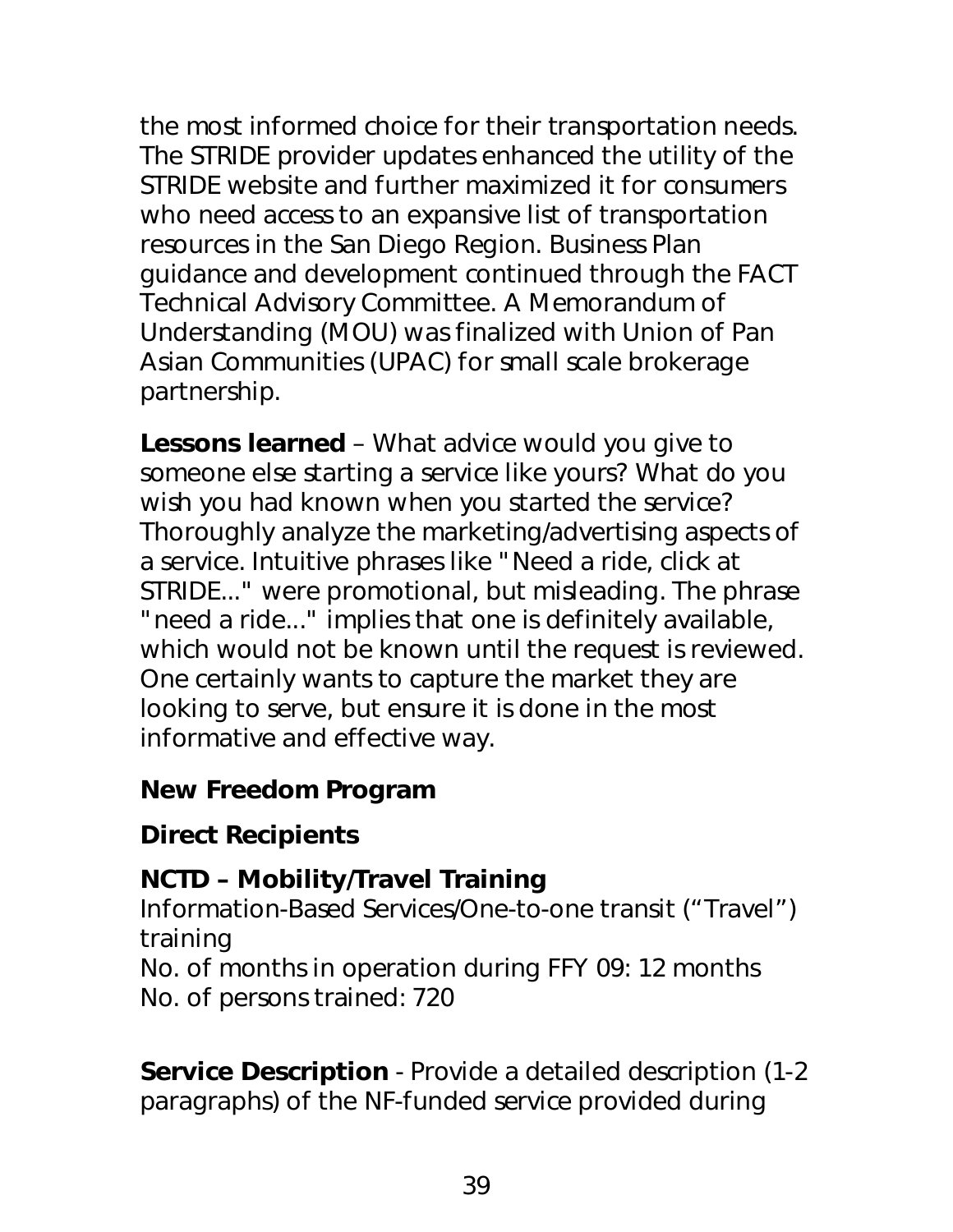the most informed choice for their transportation needs. The STRIDE provider updates enhanced the utility of the STRIDE website and further maximized it for consumers who need access to an expansive list of transportation resources in the San Diego Region. Business Plan guidance and development continued through the FACT Technical Advisory Committee. A Memorandum of Understanding (MOU) was finalized with Union of Pan Asian Communities (UPAC) for small scale brokerage partnership.

**Lessons learned** – What advice would you give to someone else starting a service like yours? What do you wish you had known when you started the service? Thoroughly analyze the marketing/advertising aspects of a service. Intuitive phrases like "Need a ride, click at STRIDE..." were promotional, but misleading. The phrase "need a ride..." implies that one is definitely available, which would not be known until the request is reviewed. One certainly wants to capture the market they are looking to serve, but ensure it is done in the most informative and effective way.

### *New Freedom Program*

# **Direct Recipients**

# **NCTD – Mobility/Travel Training**

Information-Based Services/One-to-one transit ("Travel") training

No. of months in operation during FFY 09: 12 months No. of persons trained: 720

**Service Description** - Provide a detailed description (1-2 paragraphs) of the NF-funded service provided during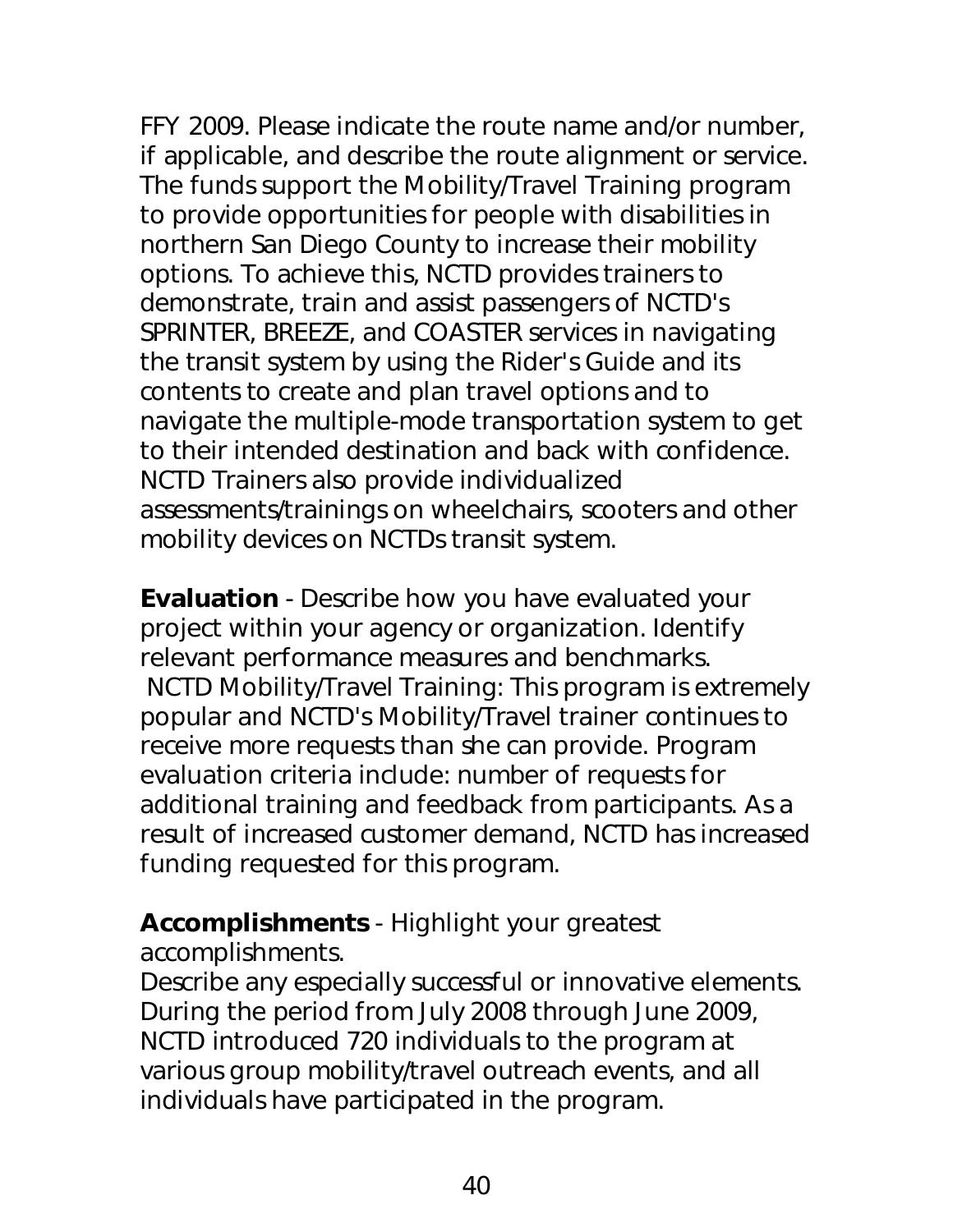FFY 2009. Please indicate the route name and/or number, if applicable, and describe the route alignment or service. The funds support the Mobility/Travel Training program to provide opportunities for people with disabilities in northern San Diego County to increase their mobility options. To achieve this, NCTD provides trainers to demonstrate, train and assist passengers of NCTD's SPRINTER, BREEZE, and COASTER services in navigating the transit system by using the Rider's Guide and its contents to create and plan travel options and to navigate the multiple-mode transportation system to get to their intended destination and back with confidence. NCTD Trainers also provide individualized assessments/trainings on wheelchairs, scooters and other mobility devices on NCTDs transit system.

**Evaluation** - Describe how you have evaluated your project within your agency or organization. Identify relevant performance measures and benchmarks. NCTD Mobility/Travel Training: This program is extremely popular and NCTD's Mobility/Travel trainer continues to receive more requests than she can provide. Program evaluation criteria include: number of requests for additional training and feedback from participants. As a result of increased customer demand, NCTD has increased funding requested for this program.

#### **Accomplishments** - Highlight your greatest accomplishments.

Describe any especially successful or innovative elements. During the period from July 2008 through June 2009, NCTD introduced 720 individuals to the program at various group mobility/travel outreach events, and all individuals have participated in the program.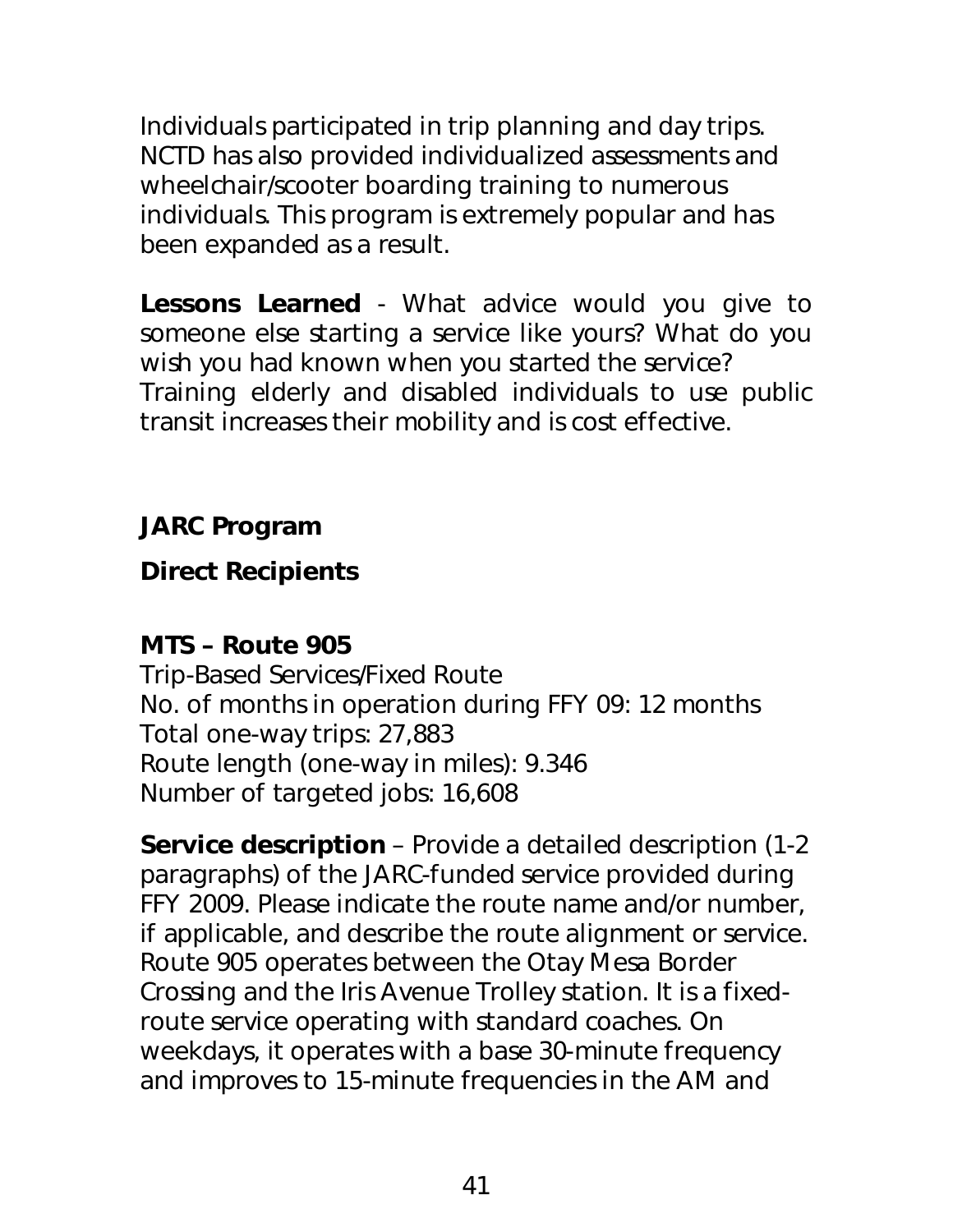Individuals participated in trip planning and day trips. NCTD has also provided individualized assessments and wheelchair/scooter boarding training to numerous individuals. This program is extremely popular and has been expanded as a result.

**Lessons Learned** - What advice would you give to someone else starting a service like yours? What do you wish you had known when you started the service? Training elderly and disabled individuals to use public transit increases their mobility and is cost effective.

# *JARC Program*

# **Direct Recipients**

# **MTS – Route 905**

Trip-Based Services/Fixed Route No. of months in operation during FFY 09: 12 months Total one-way trips: 27,883 Route length (one-way in miles): 9.346 Number of targeted jobs: 16,608

**Service description** – Provide a detailed description (1-2 paragraphs) of the JARC-funded service provided during FFY 2009. Please indicate the route name and/or number, if applicable, and describe the route alignment or service. Route 905 operates between the Otay Mesa Border Crossing and the Iris Avenue Trolley station. It is a fixedroute service operating with standard coaches. On weekdays, it operates with a base 30-minute frequency and improves to 15-minute frequencies in the AM and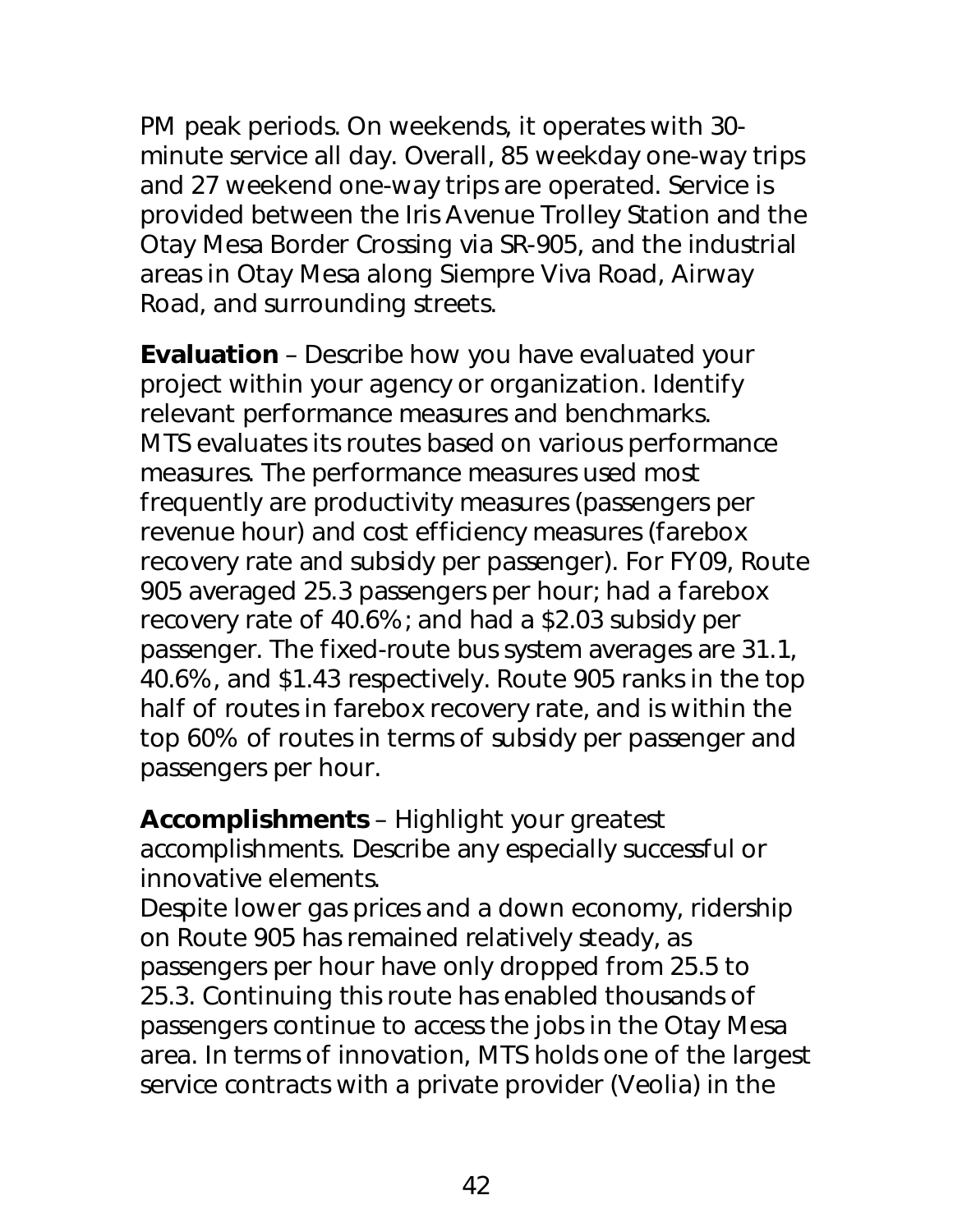PM peak periods. On weekends, it operates with 30 minute service all day. Overall, 85 weekday one-way trips and 27 weekend one-way trips are operated. Service is provided between the Iris Avenue Trolley Station and the Otay Mesa Border Crossing via SR-905, and the industrial areas in Otay Mesa along Siempre Viva Road, Airway Road, and surrounding streets.

**Evaluation** – Describe how you have evaluated your project within your agency or organization. Identify relevant performance measures and benchmarks. MTS evaluates its routes based on various performance measures. The performance measures used most frequently are productivity measures (passengers per revenue hour) and cost efficiency measures (farebox recovery rate and subsidy per passenger). For FY09, Route 905 averaged 25.3 passengers per hour; had a farebox recovery rate of 40.6%; and had a \$2.03 subsidy per passenger. The fixed-route bus system averages are 31.1, 40.6%, and \$1.43 respectively. Route 905 ranks in the top half of routes in farebox recovery rate, and is within the top 60% of routes in terms of subsidy per passenger and passengers per hour.

**Accomplishments** – Highlight your greatest accomplishments. Describe any especially successful or innovative elements.

Despite lower gas prices and a down economy, ridership on Route 905 has remained relatively steady, as passengers per hour have only dropped from 25.5 to 25.3. Continuing this route has enabled thousands of passengers continue to access the jobs in the Otay Mesa area. In terms of innovation, MTS holds one of the largest service contracts with a private provider (Veolia) in the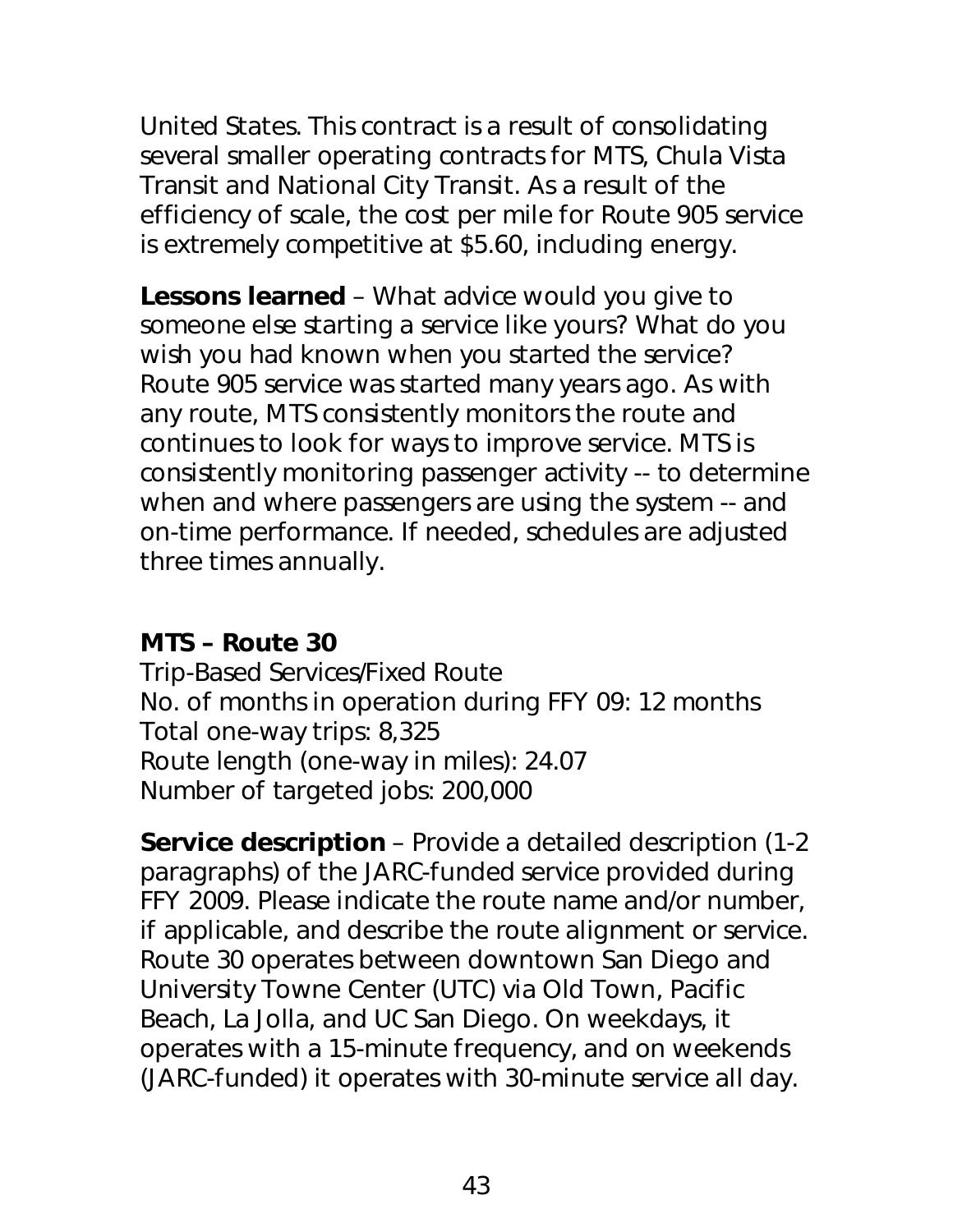United States. This contract is a result of consolidating several smaller operating contracts for MTS, Chula Vista Transit and National City Transit. As a result of the efficiency of scale, the cost per mile for Route 905 service is extremely competitive at \$5.60, including energy.

**Lessons learned** – What advice would you give to someone else starting a service like yours? What do you wish you had known when you started the service? Route 905 service was started many years ago. As with any route, MTS consistently monitors the route and continues to look for ways to improve service. MTS is consistently monitoring passenger activity -- to determine when and where passengers are using the system -- and on-time performance. If needed, schedules are adjusted three times annually.

### **MTS – Route 30**

Trip-Based Services/Fixed Route No. of months in operation during FFY 09: 12 months Total one-way trips: 8,325 Route length (one-way in miles): 24.07 Number of targeted jobs: 200,000

**Service description** – Provide a detailed description (1-2 paragraphs) of the JARC-funded service provided during FFY 2009. Please indicate the route name and/or number, if applicable, and describe the route alignment or service. Route 30 operates between downtown San Diego and University Towne Center (UTC) via Old Town, Pacific Beach, La Jolla, and UC San Diego. On weekdays, it operates with a 15-minute frequency, and on weekends (JARC-funded) it operates with 30-minute service all day.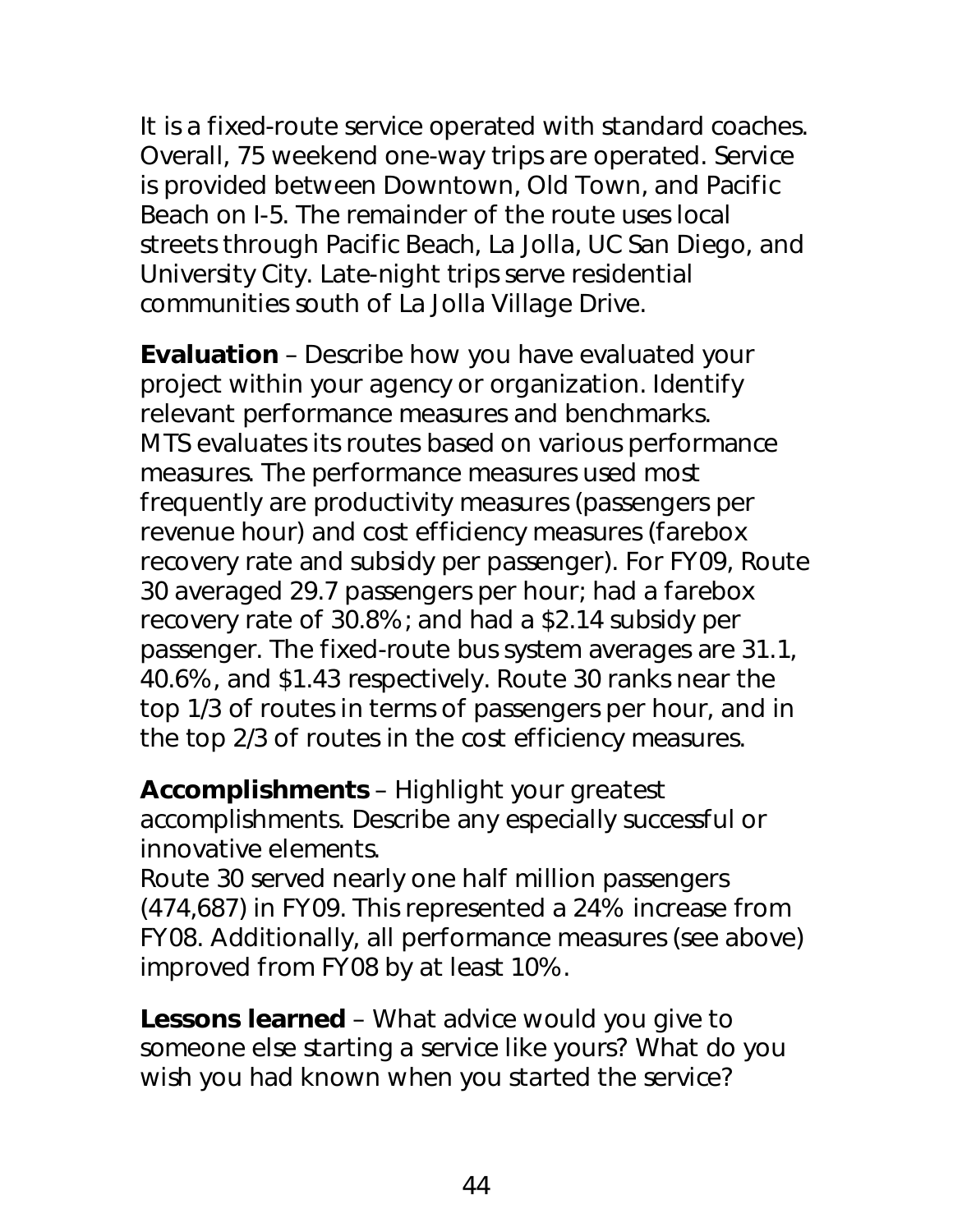It is a fixed-route service operated with standard coaches. Overall, 75 weekend one-way trips are operated. Service is provided between Downtown, Old Town, and Pacific Beach on I-5. The remainder of the route uses local streets through Pacific Beach, La Jolla, UC San Diego, and University City. Late-night trips serve residential communities south of La Jolla Village Drive.

**Evaluation** – Describe how you have evaluated your project within your agency or organization. Identify relevant performance measures and benchmarks. MTS evaluates its routes based on various performance measures. The performance measures used most frequently are productivity measures (passengers per revenue hour) and cost efficiency measures (farebox recovery rate and subsidy per passenger). For FY09, Route 30 averaged 29.7 passengers per hour; had a farebox recovery rate of 30.8%; and had a \$2.14 subsidy per passenger. The fixed-route bus system averages are 31.1, 40.6%, and \$1.43 respectively. Route 30 ranks near the top 1/3 of routes in terms of passengers per hour, and in the top 2/3 of routes in the cost efficiency measures.

**Accomplishments** – Highlight your greatest accomplishments. Describe any especially successful or innovative elements.

Route 30 served nearly one half million passengers (474,687) in FY09. This represented a 24% increase from FY08. Additionally, all performance measures (see above) improved from FY08 by at least 10%.

**Lessons learned** – What advice would you give to someone else starting a service like yours? What do you wish you had known when you started the service?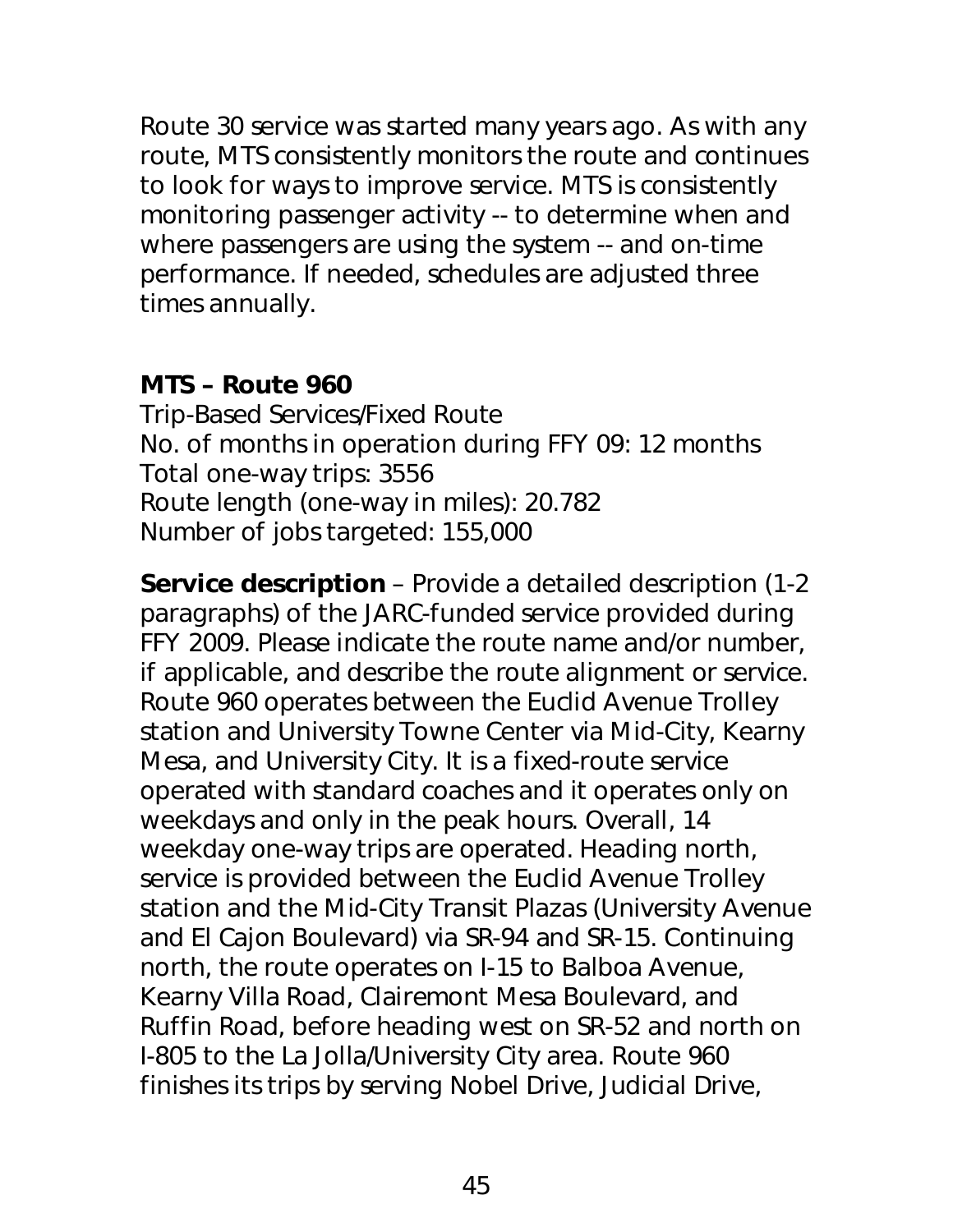Route 30 service was started many years ago. As with any route, MTS consistently monitors the route and continues to look for ways to improve service. MTS is consistently monitoring passenger activity -- to determine when and where passengers are using the system -- and on-time performance. If needed, schedules are adjusted three times annually.

#### **MTS – Route 960**

Trip-Based Services/Fixed Route No. of months in operation during FFY 09: 12 months Total one-way trips: 3556 Route length (one-way in miles): 20.782 Number of jobs targeted: 155,000

**Service description** – Provide a detailed description (1-2 paragraphs) of the JARC-funded service provided during FFY 2009. Please indicate the route name and/or number, if applicable, and describe the route alignment or service. Route 960 operates between the Euclid Avenue Trolley station and University Towne Center via Mid-City, Kearny Mesa, and University City. It is a fixed-route service operated with standard coaches and it operates only on weekdays and only in the peak hours. Overall, 14 weekday one-way trips are operated. Heading north, service is provided between the Euclid Avenue Trolley station and the Mid-City Transit Plazas (University Avenue and El Cajon Boulevard) via SR-94 and SR-15. Continuing north, the route operates on I-15 to Balboa Avenue, Kearny Villa Road, Clairemont Mesa Boulevard, and Ruffin Road, before heading west on SR-52 and north on I-805 to the La Jolla/University City area. Route 960 finishes its trips by serving Nobel Drive, Judicial Drive,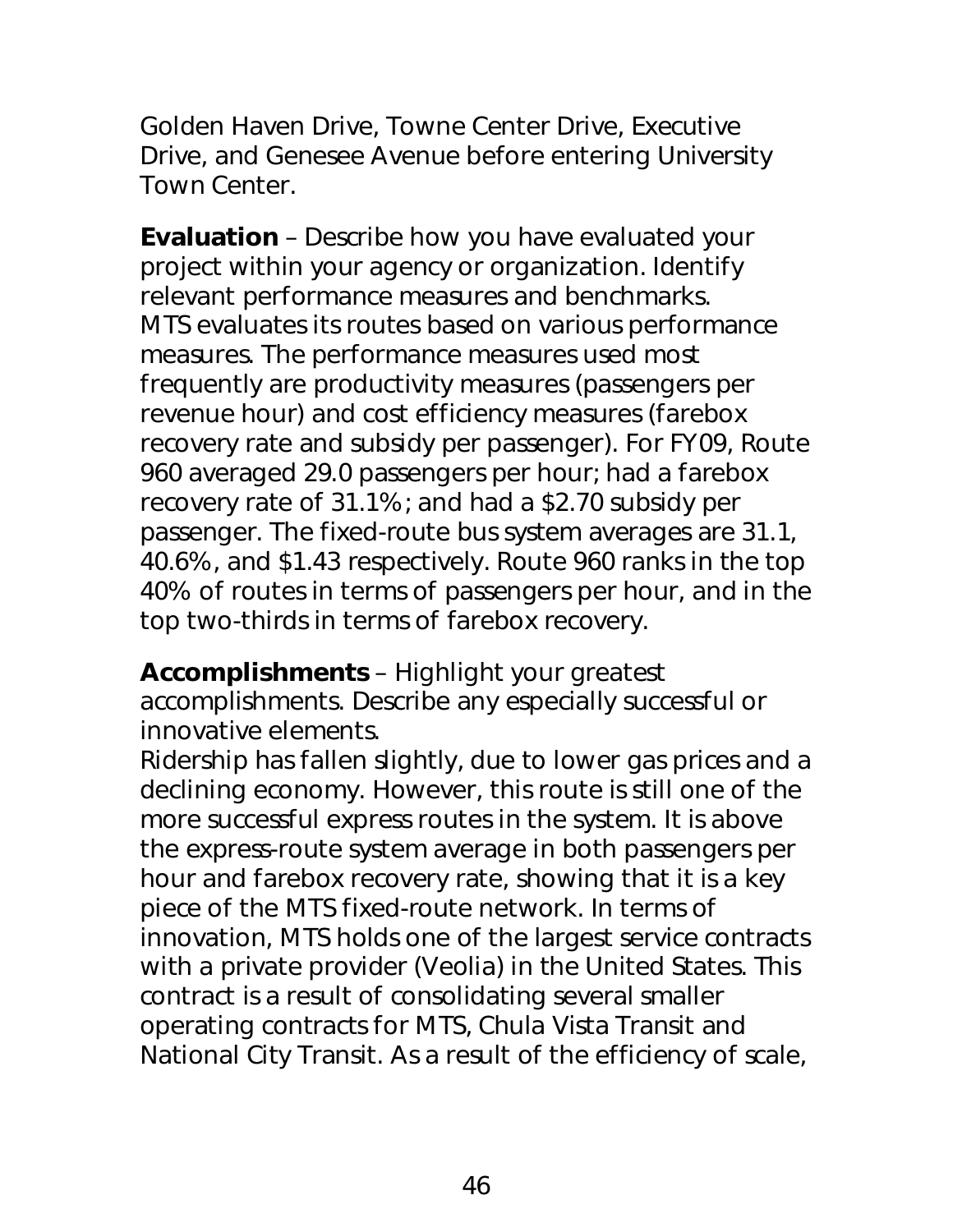Golden Haven Drive, Towne Center Drive, Executive Drive, and Genesee Avenue before entering University Town Center.

**Evaluation** – Describe how you have evaluated your project within your agency or organization. Identify relevant performance measures and benchmarks. MTS evaluates its routes based on various performance measures. The performance measures used most frequently are productivity measures (passengers per revenue hour) and cost efficiency measures (farebox recovery rate and subsidy per passenger). For FY09, Route 960 averaged 29.0 passengers per hour; had a farebox recovery rate of 31.1%; and had a \$2.70 subsidy per passenger. The fixed-route bus system averages are 31.1, 40.6%, and \$1.43 respectively. Route 960 ranks in the top 40% of routes in terms of passengers per hour, and in the top two-thirds in terms of farebox recovery.

**Accomplishments** – Highlight your greatest accomplishments. Describe any especially successful or innovative elements.

Ridership has fallen slightly, due to lower gas prices and a declining economy. However, this route is still one of the more successful express routes in the system. It is above the express-route system average in both passengers per hour and farebox recovery rate, showing that it is a key piece of the MTS fixed-route network. In terms of innovation, MTS holds one of the largest service contracts with a private provider (Veolia) in the United States. This contract is a result of consolidating several smaller operating contracts for MTS, Chula Vista Transit and National City Transit. As a result of the efficiency of scale,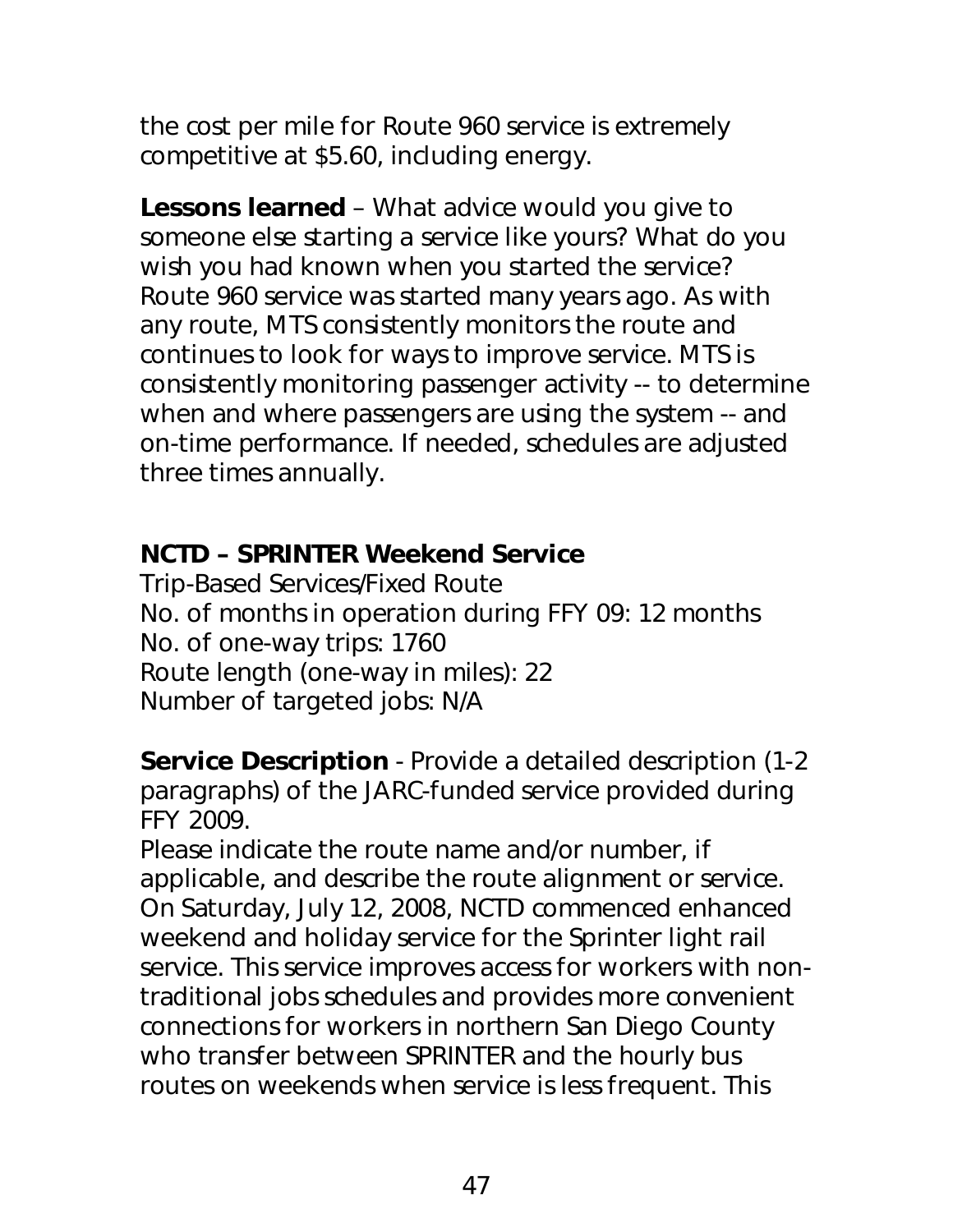the cost per mile for Route 960 service is extremely competitive at \$5.60, including energy.

**Lessons learned** – What advice would you give to someone else starting a service like yours? What do you wish you had known when you started the service? Route 960 service was started many years ago. As with any route, MTS consistently monitors the route and continues to look for ways to improve service. MTS is consistently monitoring passenger activity -- to determine when and where passengers are using the system -- and on-time performance. If needed, schedules are adjusted three times annually.

## **NCTD – SPRINTER Weekend Service**

Trip-Based Services/Fixed Route No. of months in operation during FFY 09: 12 months No. of one-way trips: 1760 Route length (one-way in miles): 22 Number of targeted jobs: N/A

**Service Description** - Provide a detailed description (1-2 paragraphs) of the JARC-funded service provided during FFY 2009.

Please indicate the route name and/or number, if applicable, and describe the route alignment or service. On Saturday, July 12, 2008, NCTD commenced enhanced weekend and holiday service for the Sprinter light rail service. This service improves access for workers with nontraditional jobs schedules and provides more convenient connections for workers in northern San Diego County who transfer between SPRINTER and the hourly bus routes on weekends when service is less frequent. This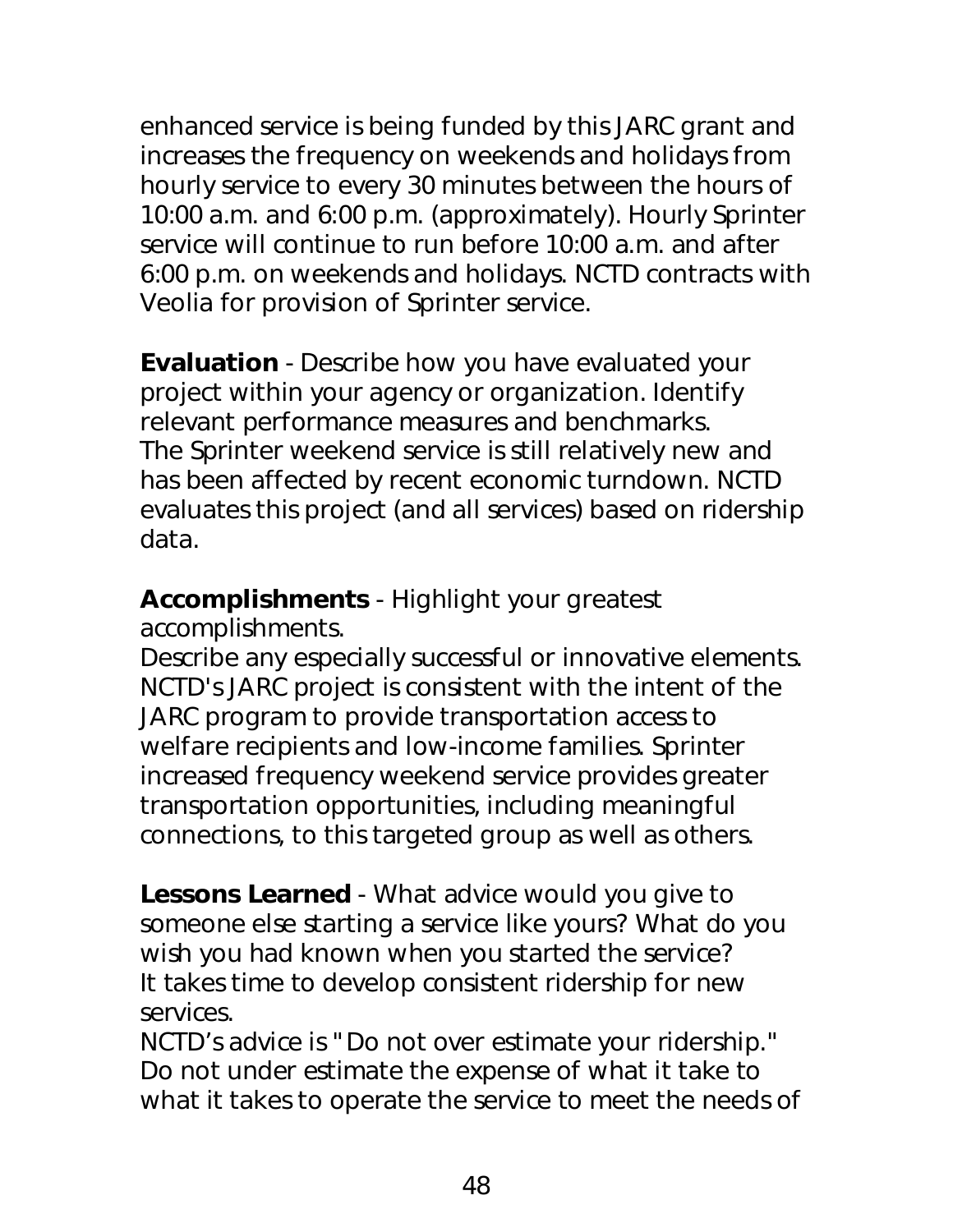enhanced service is being funded by this JARC grant and increases the frequency on weekends and holidays from hourly service to every 30 minutes between the hours of 10:00 a.m. and 6:00 p.m. (approximately). Hourly Sprinter service will continue to run before 10:00 a.m. and after 6:00 p.m. on weekends and holidays. NCTD contracts with Veolia for provision of Sprinter service.

**Evaluation** - Describe how you have evaluated your project within your agency or organization. Identify relevant performance measures and benchmarks. The Sprinter weekend service is still relatively new and has been affected by recent economic turndown. NCTD evaluates this project (and all services) based on ridership data.

**Accomplishments** - Highlight your greatest accomplishments.

Describe any especially successful or innovative elements. NCTD's JARC project is consistent with the intent of the JARC program to provide transportation access to welfare recipients and low-income families. Sprinter increased frequency weekend service provides greater transportation opportunities, including meaningful connections, to this targeted group as well as others.

**Lessons Learned** - What advice would you give to someone else starting a service like yours? What do you wish you had known when you started the service? It takes time to develop consistent ridership for new services.

NCTD's advice is "Do not over estimate your ridership." Do not under estimate the expense of what it take to what it takes to operate the service to meet the needs of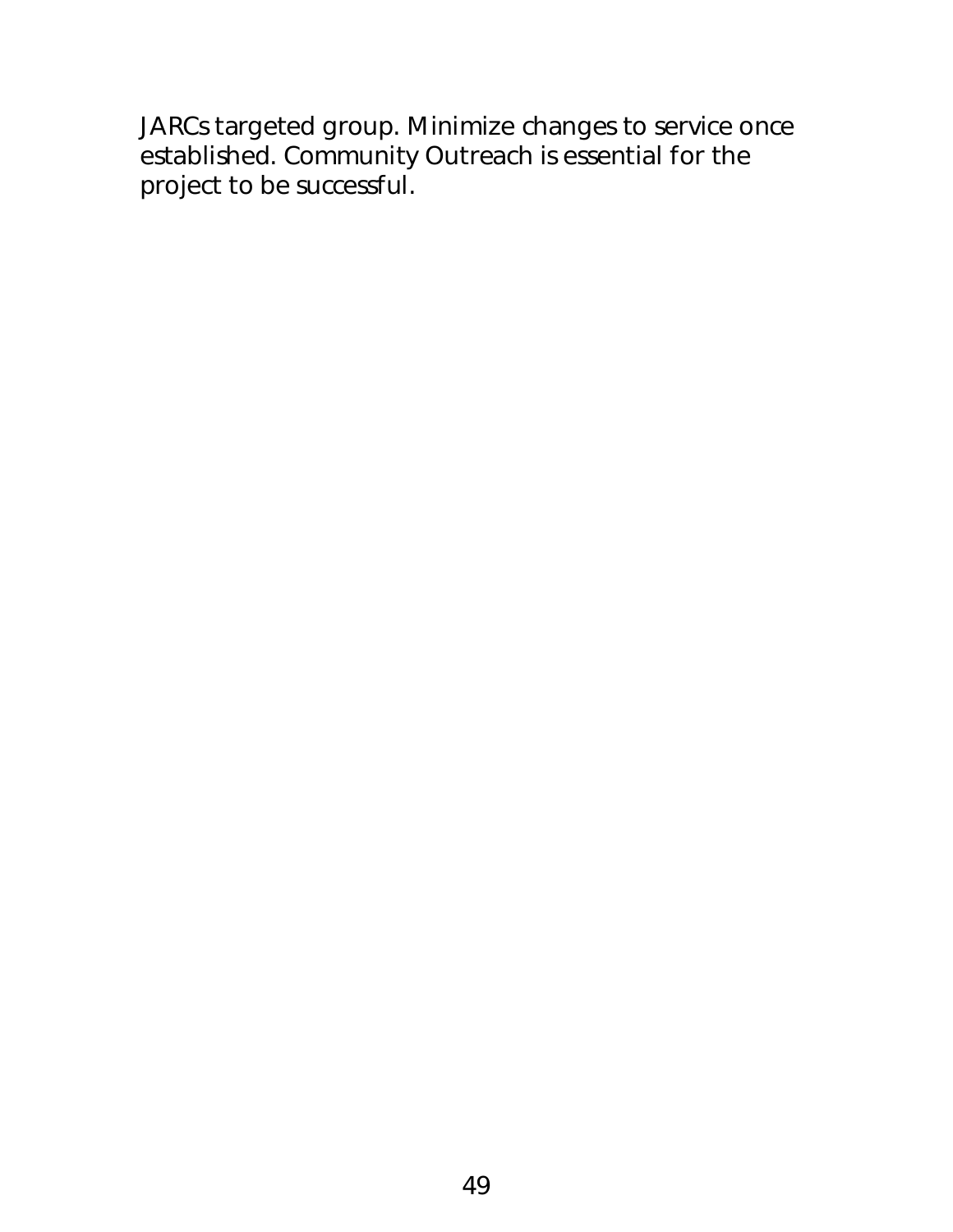JARCs targeted group. Minimize changes to service once established. Community Outreach is essential for the project to be successful.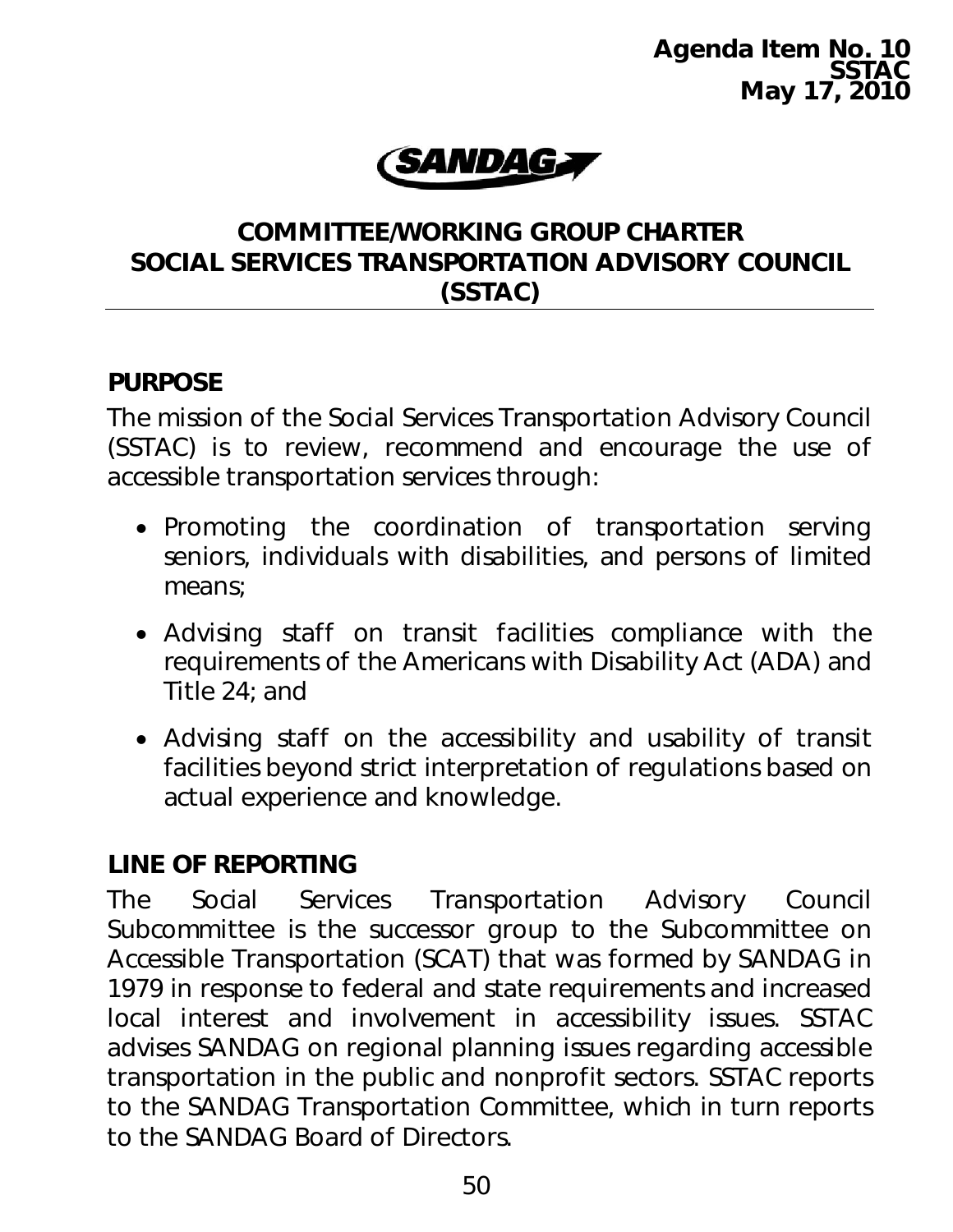**Agenda Item No. 10 SSTAC May 17, 2010** 



#### **COMMITTEE/WORKING GROUP CHARTER SOCIAL SERVICES TRANSPORTATION ADVISORY COUNCIL (SSTAC)**

#### **PURPOSE**

The mission of the Social Services Transportation Advisory Council (SSTAC) is to review, recommend and encourage the use of accessible transportation services through:

- Promoting the coordination of transportation serving seniors, individuals with disabilities, and persons of limited means;
- Advising staff on transit facilities compliance with the requirements of the Americans with Disability Act (ADA) and Title 24; and
- Advising staff on the accessibility and usability of transit facilities beyond strict interpretation of regulations based on actual experience and knowledge.

### **LINE OF REPORTING**

The Social Services Transportation Advisory Council Subcommittee is the successor group to the Subcommittee on Accessible Transportation (SCAT) that was formed by SANDAG in 1979 in response to federal and state requirements and increased local interest and involvement in accessibility issues. SSTAC advises SANDAG on regional planning issues regarding accessible transportation in the public and nonprofit sectors. SSTAC reports to the SANDAG Transportation Committee, which in turn reports to the SANDAG Board of Directors.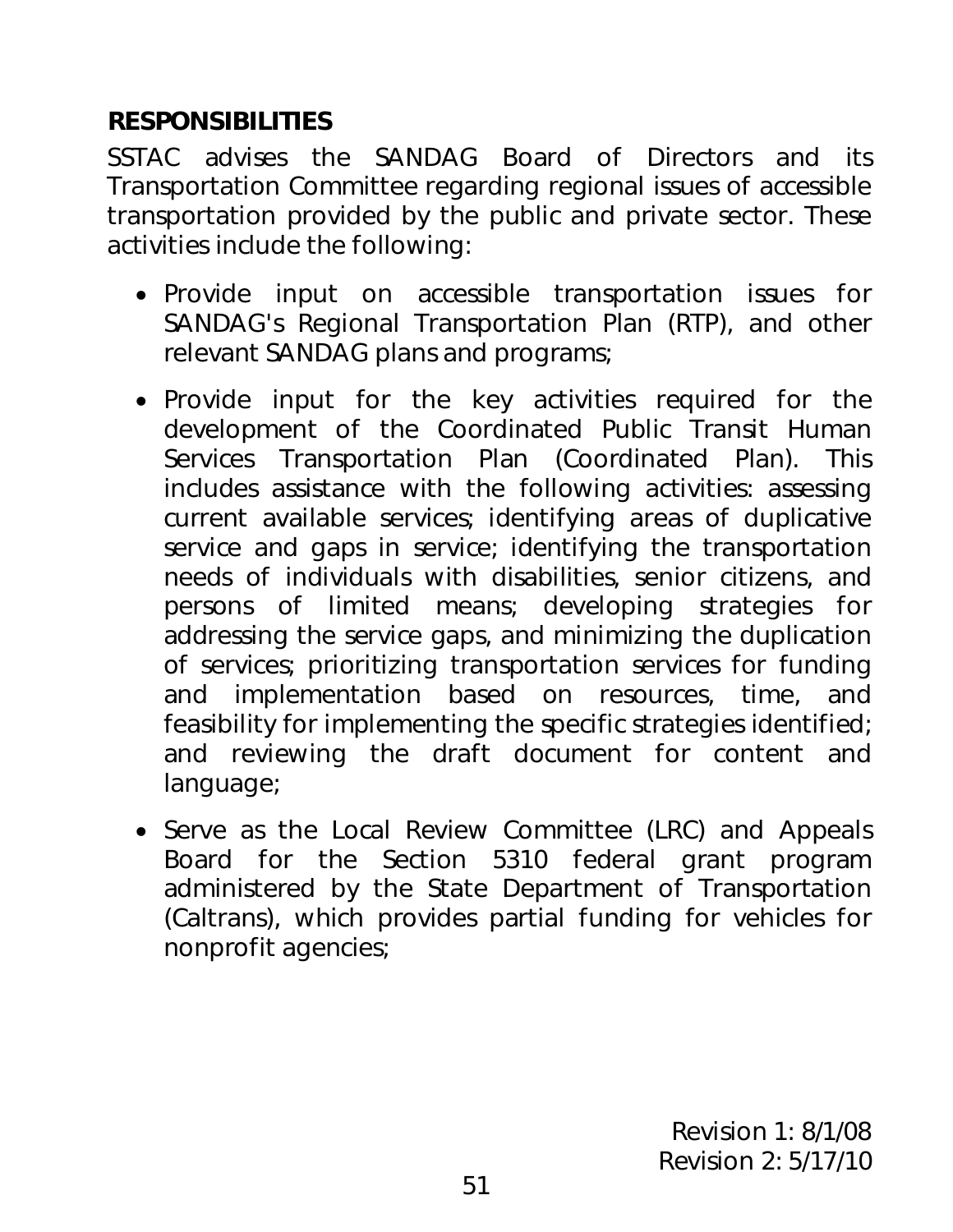## **RESPONSIBILITIES**

SSTAC advises the SANDAG Board of Directors and its Transportation Committee regarding regional issues of accessible transportation provided by the public and private sector. These activities include the following:

- Provide input on accessible transportation issues for SANDAG's Regional Transportation Plan (RTP), and other relevant SANDAG plans and programs;
- Provide input for the key activities required for the development of the Coordinated Public Transit Human Services Transportation Plan (Coordinated Plan). This includes assistance with the following activities: assessing current available services; identifying areas of duplicative service and gaps in service; identifying the transportation needs of individuals with disabilities, senior citizens, and persons of limited means; developing strategies for addressing the service gaps, and minimizing the duplication of services; prioritizing transportation services for funding and implementation based on resources, time, and feasibility for implementing the specific strategies identified; and reviewing the draft document for content and language;
- Serve as the Local Review Committee (LRC) and Appeals Board for the Section 5310 federal grant program administered by the State Department of Transportation (Caltrans), which provides partial funding for vehicles for nonprofit agencies;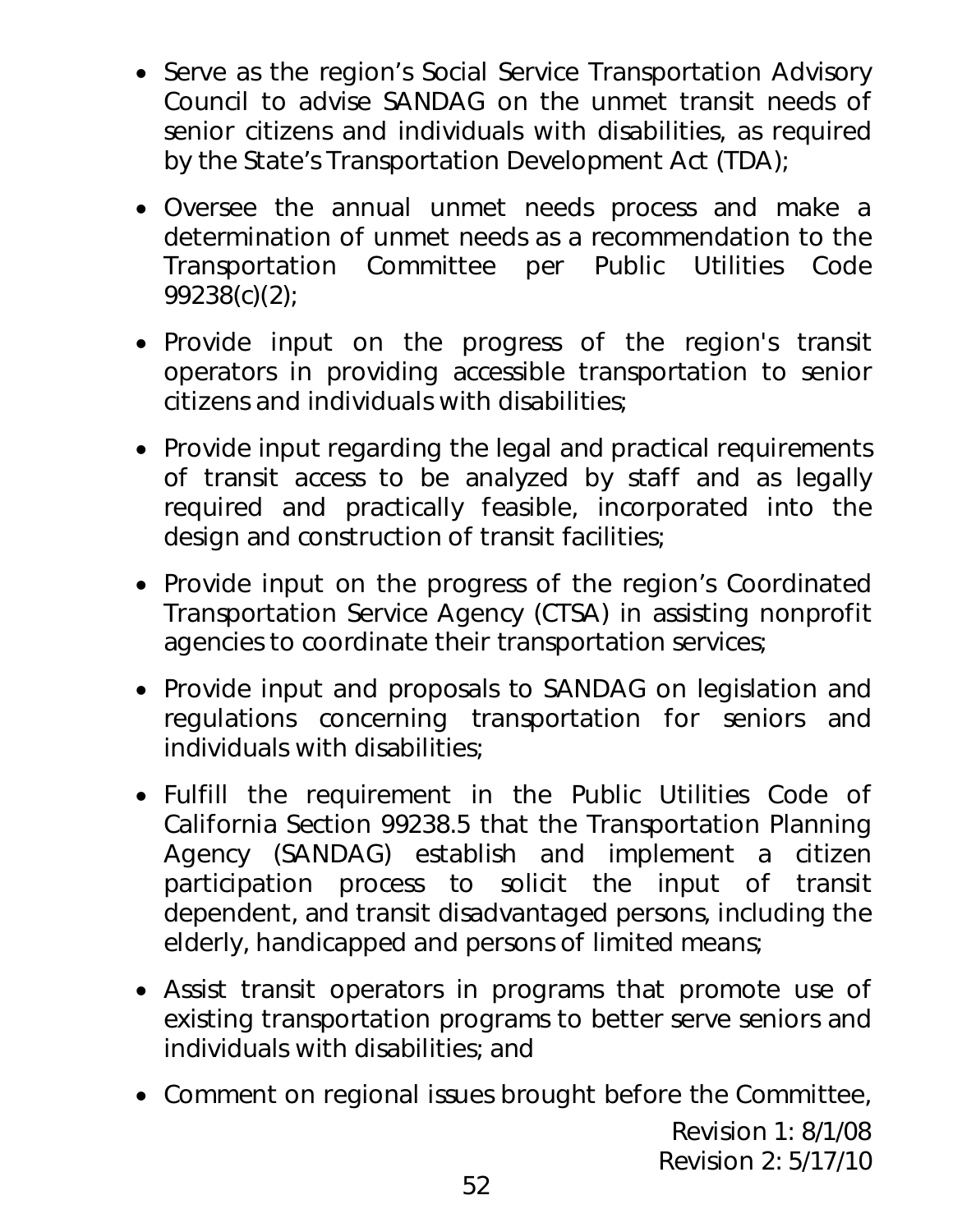- Serve as the region's Social Service Transportation Advisory Council to advise SANDAG on the unmet transit needs of senior citizens and individuals with disabilities, as required by the State's Transportation Development Act (TDA);
- Oversee the annual unmet needs process and make a determination of unmet needs as a recommendation to the Transportation Committee per Public Utilities Code 99238(c)(2);
- Provide input on the progress of the region's transit operators in providing accessible transportation to senior citizens and individuals with disabilities;
- Provide input regarding the legal and practical requirements of transit access to be analyzed by staff and as legally required and practically feasible, incorporated into the design and construction of transit facilities;
- Provide input on the progress of the region's Coordinated Transportation Service Agency (CTSA) in assisting nonprofit agencies to coordinate their transportation services;
- Provide input and proposals to SANDAG on legislation and regulations concerning transportation for seniors and individuals with disabilities;
- Fulfill the requirement in the Public Utilities Code of California Section 99238.5 that the Transportation Planning Agency (SANDAG) establish and implement a citizen participation process to solicit the input of transit dependent, and transit disadvantaged persons, including the elderly, handicapped and persons of limited means;
- Assist transit operators in programs that promote use of existing transportation programs to better serve seniors and individuals with disabilities; and
- Comment on regional issues brought before the Committee,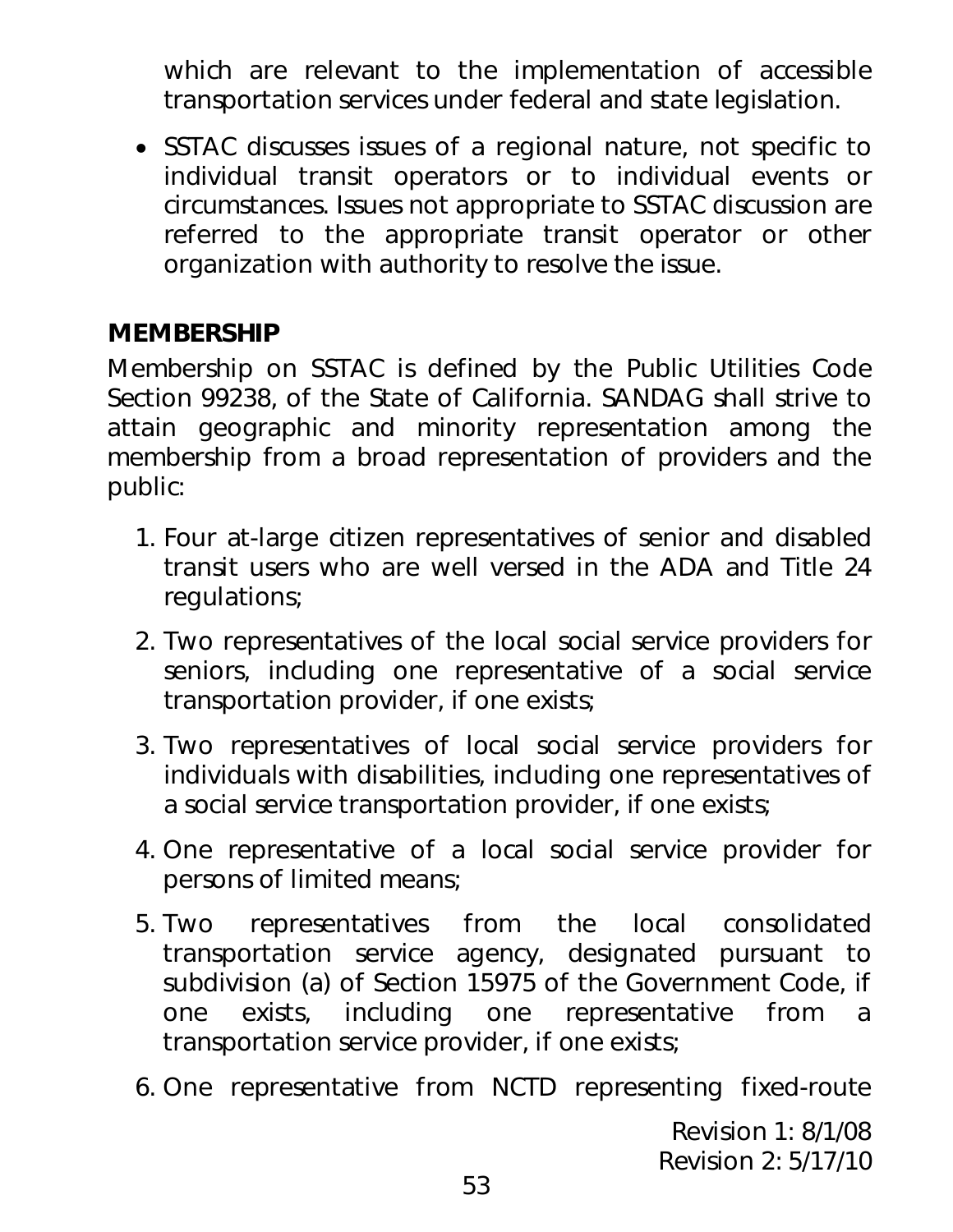which are relevant to the implementation of accessible transportation services under federal and state legislation.

• SSTAC discusses issues of a regional nature, not specific to individual transit operators or to individual events or circumstances. Issues not appropriate to SSTAC discussion are referred to the appropriate transit operator or other organization with authority to resolve the issue.

## **MEMBERSHIP**

Membership on SSTAC is defined by the Public Utilities Code Section 99238, of the State of California. SANDAG shall strive to attain geographic and minority representation among the membership from a broad representation of providers and the public:

- 1. Four at-large citizen representatives of senior and disabled transit users who are well versed in the ADA and Title 24 regulations;
- 2. Two representatives of the local social service providers for seniors, including one representative of a social service transportation provider, if one exists;
- 3. Two representatives of local social service providers for individuals with disabilities, including one representatives of a social service transportation provider, if one exists;
- 4. One representative of a local social service provider for persons of limited means;
- 5. Two representatives from the local consolidated transportation service agency, designated pursuant to subdivision (a) of Section 15975 of the Government Code, if one exists, including one representative from a transportation service provider, if one exists;
- 6. One representative from NCTD representing fixed-route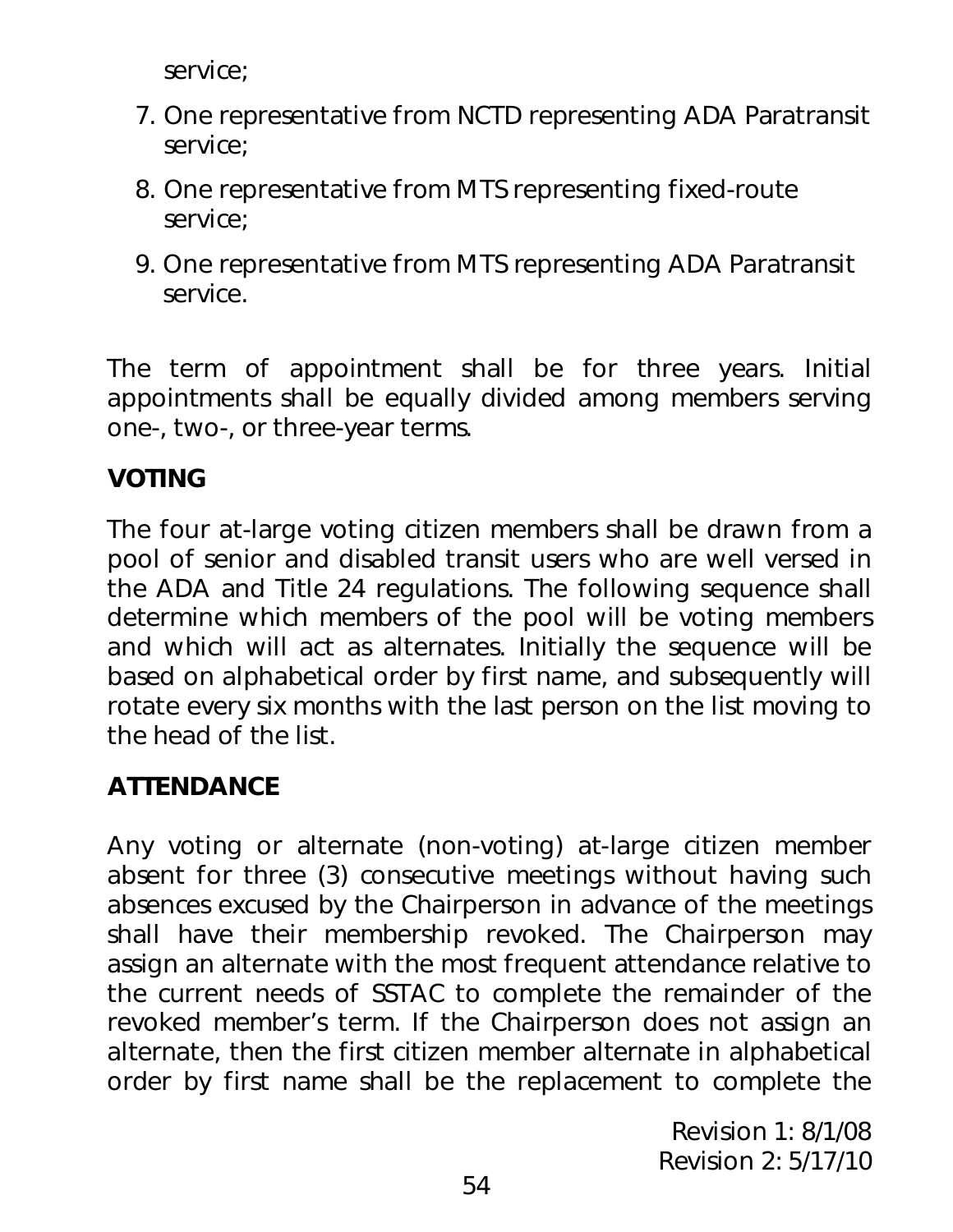service;

- 7. One representative from NCTD representing ADA Paratransit service;
- 8. One representative from MTS representing fixed-route service;
- 9. One representative from MTS representing ADA Paratransit service.

The term of appointment shall be for three years. Initial appointments shall be equally divided among members serving one-, two-, or three-year terms.

# **VOTING**

The four at-large voting citizen members shall be drawn from a pool of senior and disabled transit users who are well versed in the ADA and Title 24 regulations. The following sequence shall determine which members of the pool will be voting members and which will act as alternates. Initially the sequence will be based on alphabetical order by first name, and subsequently will rotate every six months with the last person on the list moving to the head of the list.

# **ATTENDANCE**

Any voting or alternate (non-voting) at-large citizen member absent for three (3) consecutive meetings without having such absences excused by the Chairperson in advance of the meetings shall have their membership revoked. The Chairperson may assign an alternate with the most frequent attendance relative to the current needs of SSTAC to complete the remainder of the revoked member's term. If the Chairperson does not assign an alternate, then the first citizen member alternate in alphabetical order by first name shall be the replacement to complete the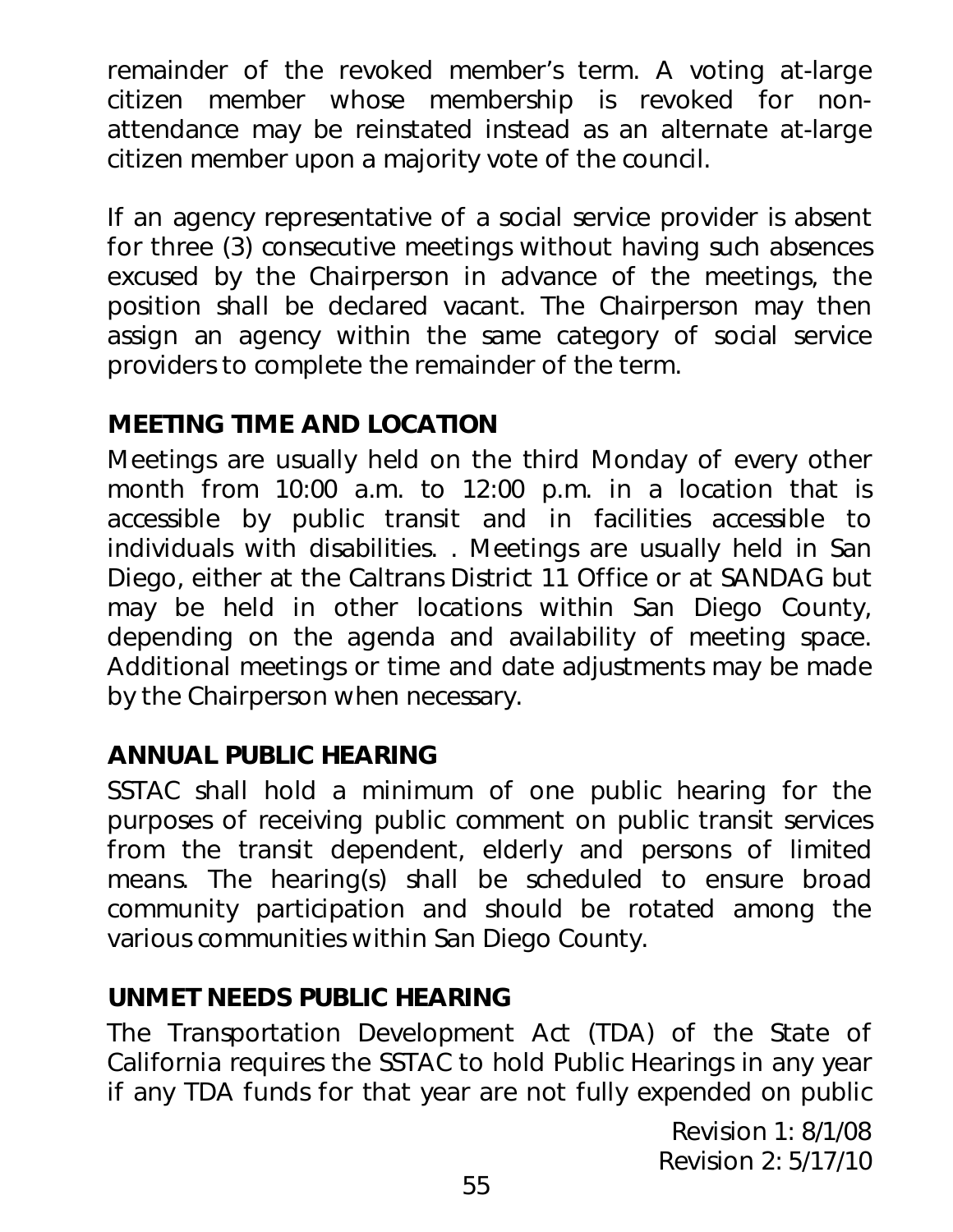remainder of the revoked member's term. A voting at-large citizen member whose membership is revoked for nonattendance may be reinstated instead as an alternate at-large citizen member upon a majority vote of the council.

If an agency representative of a social service provider is absent for three (3) consecutive meetings without having such absences excused by the Chairperson in advance of the meetings, the position shall be declared vacant. The Chairperson may then assign an agency within the same category of social service providers to complete the remainder of the term.

# **MEETING TIME AND LOCATION**

Meetings are usually held on the third Monday of every other month from 10:00 a.m. to 12:00 p.m. in a location that is accessible by public transit and in facilities accessible to individuals with disabilities. . Meetings are usually held in San Diego, either at the Caltrans District 11 Office or at SANDAG but may be held in other locations within San Diego County, depending on the agenda and availability of meeting space. Additional meetings or time and date adjustments may be made by the Chairperson when necessary.

# **ANNUAL PUBLIC HEARING**

SSTAC shall hold a minimum of one public hearing for the purposes of receiving public comment on public transit services from the transit dependent, elderly and persons of limited means. The hearing(s) shall be scheduled to ensure broad community participation and should be rotated among the various communities within San Diego County.

### **UNMET NEEDS PUBLIC HEARING**

The Transportation Development Act (TDA) of the State of California requires the SSTAC to hold Public Hearings in any year if any TDA funds for that year are not fully expended on public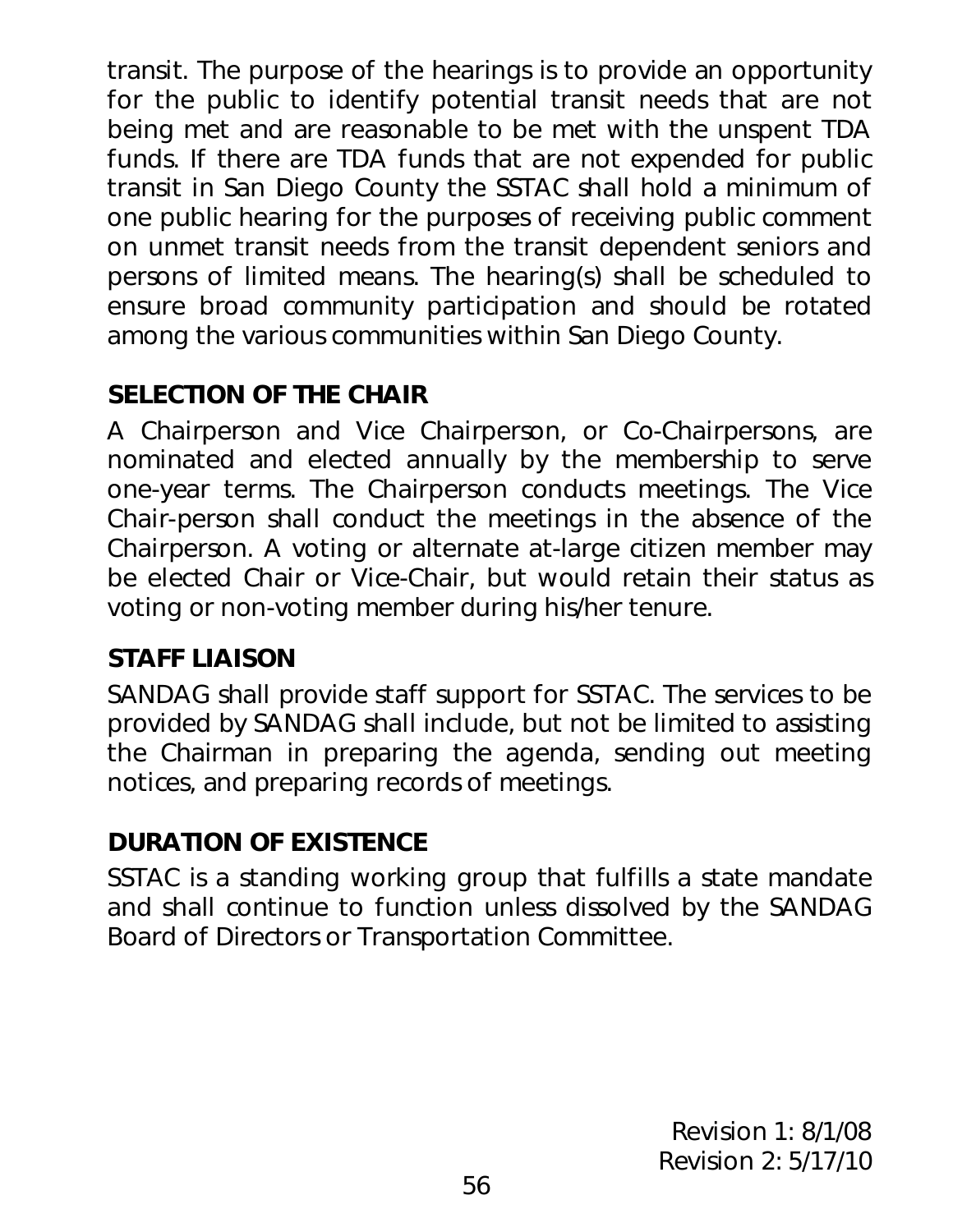transit. The purpose of the hearings is to provide an opportunity for the public to identify potential transit needs that are not being met and are reasonable to be met with the unspent TDA funds. If there are TDA funds that are not expended for public transit in San Diego County the SSTAC shall hold a minimum of one public hearing for the purposes of receiving public comment on unmet transit needs from the transit dependent seniors and persons of limited means. The hearing(s) shall be scheduled to ensure broad community participation and should be rotated among the various communities within San Diego County.

# **SELECTION OF THE CHAIR**

A Chairperson and Vice Chairperson, or Co-Chairpersons, are nominated and elected annually by the membership to serve one-year terms. The Chairperson conducts meetings. The Vice Chair-person shall conduct the meetings in the absence of the Chairperson. A voting or alternate at-large citizen member may be elected Chair or Vice-Chair, but would retain their status as voting or non-voting member during his/her tenure.

# **STAFF LIAISON**

SANDAG shall provide staff support for SSTAC. The services to be provided by SANDAG shall include, but not be limited to assisting the Chairman in preparing the agenda, sending out meeting notices, and preparing records of meetings.

# **DURATION OF EXISTENCE**

SSTAC is a standing working group that fulfills a state mandate and shall continue to function unless dissolved by the SANDAG Board of Directors or Transportation Committee.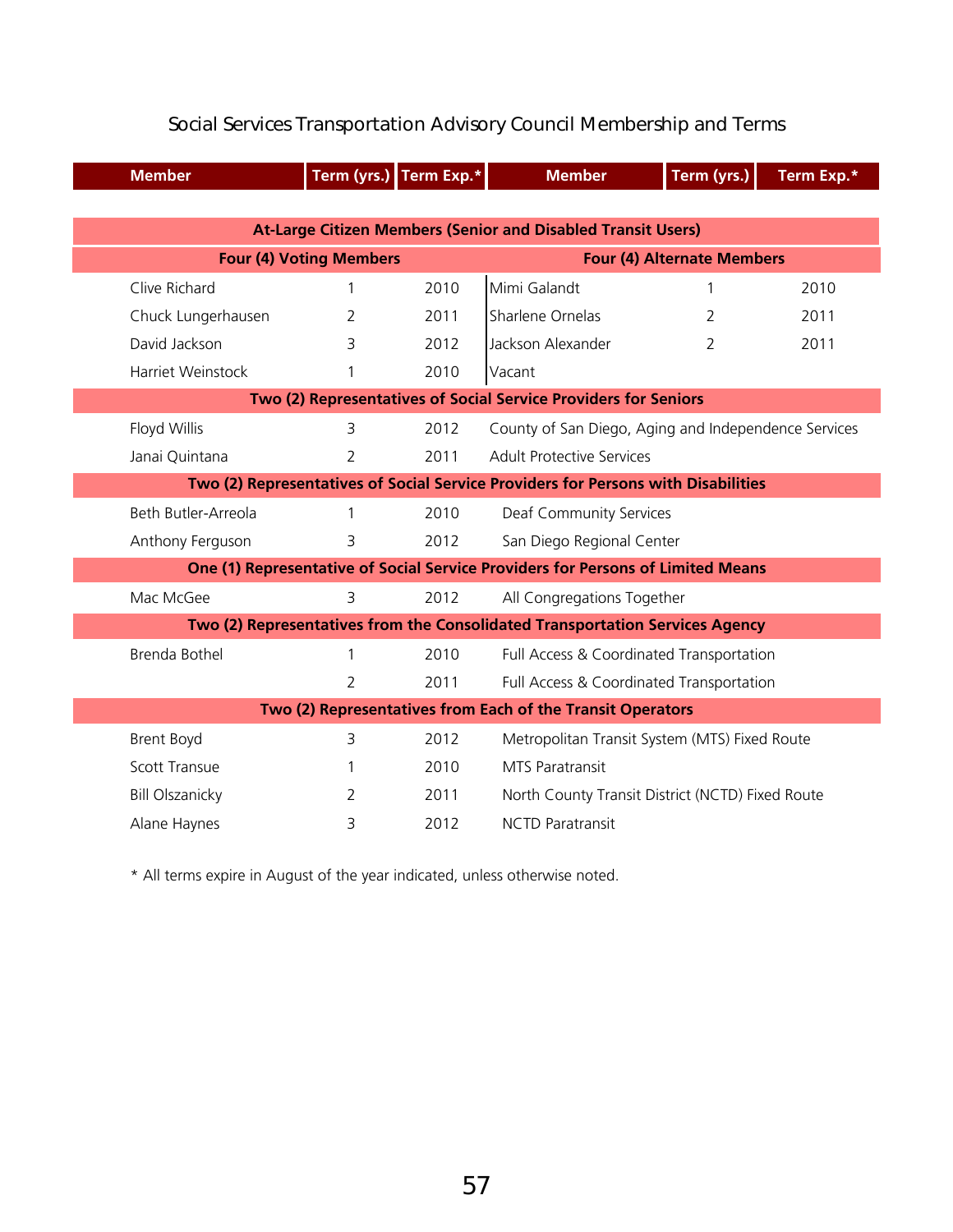| <b>Member</b>                                                                     | Term (yrs.) Term Exp.*         |      | <b>Member</b>                                        | Term (yrs.)                       | Term Exp.* |  |
|-----------------------------------------------------------------------------------|--------------------------------|------|------------------------------------------------------|-----------------------------------|------------|--|
|                                                                                   |                                |      |                                                      |                                   |            |  |
| <b>At-Large Citizen Members (Senior and Disabled Transit Users)</b>               |                                |      |                                                      |                                   |            |  |
|                                                                                   | <b>Four (4) Voting Members</b> |      |                                                      | <b>Four (4) Alternate Members</b> |            |  |
| Clive Richard                                                                     | 1                              | 2010 | Mimi Galandt                                         |                                   | 2010       |  |
| Chuck Lungerhausen                                                                | $\overline{2}$                 | 2011 | Sharlene Ornelas                                     | 2                                 | 2011       |  |
| David Jackson                                                                     | 3                              | 2012 | Jackson Alexander                                    | $\mathcal{P}$                     | 2011       |  |
| Harriet Weinstock                                                                 | 1                              | 2010 | Vacant                                               |                                   |            |  |
| Two (2) Representatives of Social Service Providers for Seniors                   |                                |      |                                                      |                                   |            |  |
| Floyd Willis                                                                      | 3                              | 2012 | County of San Diego, Aging and Independence Services |                                   |            |  |
| Janai Quintana                                                                    | 2                              | 2011 | <b>Adult Protective Services</b>                     |                                   |            |  |
| Two (2) Representatives of Social Service Providers for Persons with Disabilities |                                |      |                                                      |                                   |            |  |
| Beth Butler-Arreola                                                               | 1                              | 2010 | Deaf Community Services                              |                                   |            |  |
| Anthony Ferguson                                                                  | 3                              | 2012 | San Diego Regional Center                            |                                   |            |  |
| One (1) Representative of Social Service Providers for Persons of Limited Means   |                                |      |                                                      |                                   |            |  |
| Mac McGee                                                                         | 3                              | 2012 | All Congregations Together                           |                                   |            |  |
| Two (2) Representatives from the Consolidated Transportation Services Agency      |                                |      |                                                      |                                   |            |  |
| <b>Brenda Bothel</b>                                                              | 1                              | 2010 | Full Access & Coordinated Transportation             |                                   |            |  |
|                                                                                   | $\overline{2}$                 | 2011 | Full Access & Coordinated Transportation             |                                   |            |  |
| Two (2) Representatives from Each of the Transit Operators                        |                                |      |                                                      |                                   |            |  |
| <b>Brent Boyd</b>                                                                 | 3                              | 2012 | Metropolitan Transit System (MTS) Fixed Route        |                                   |            |  |
| <b>Scott Transue</b>                                                              | 1                              | 2010 | <b>MTS Paratransit</b>                               |                                   |            |  |
| <b>Bill Olszanicky</b>                                                            | 2                              | 2011 | North County Transit District (NCTD) Fixed Route     |                                   |            |  |
| Alane Haynes                                                                      | 3                              | 2012 | <b>NCTD Paratransit</b>                              |                                   |            |  |

#### Social Services Transportation Advisory Council Membership and Terms

\* All terms expire in August of the year indicated, unless otherwise noted.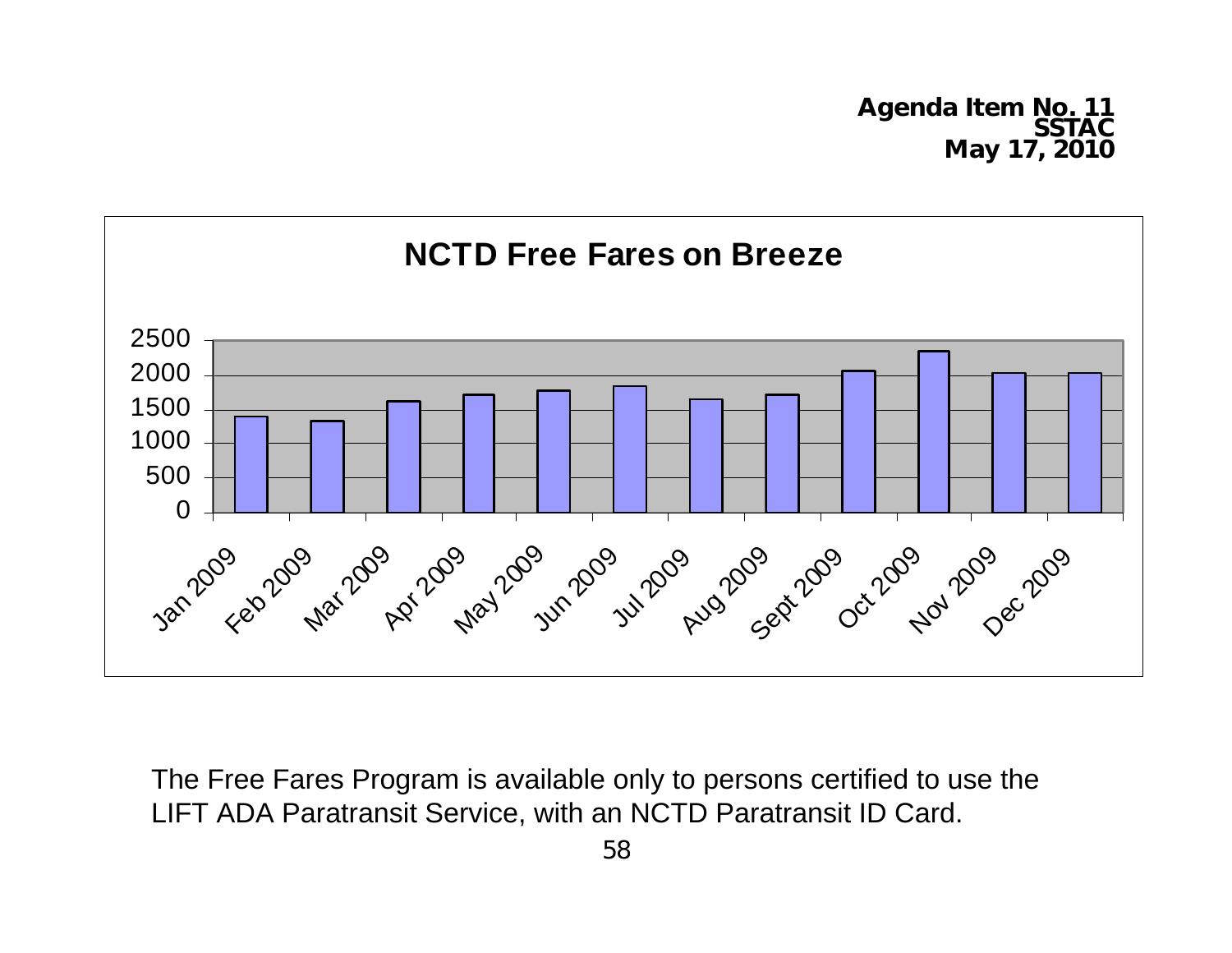**Agenda Item No. 11 May 17, 2010** 



The Free Fares Program is available only to persons certified to use the LIFT ADA Paratransit Service, with an NCTD Paratransit ID Card.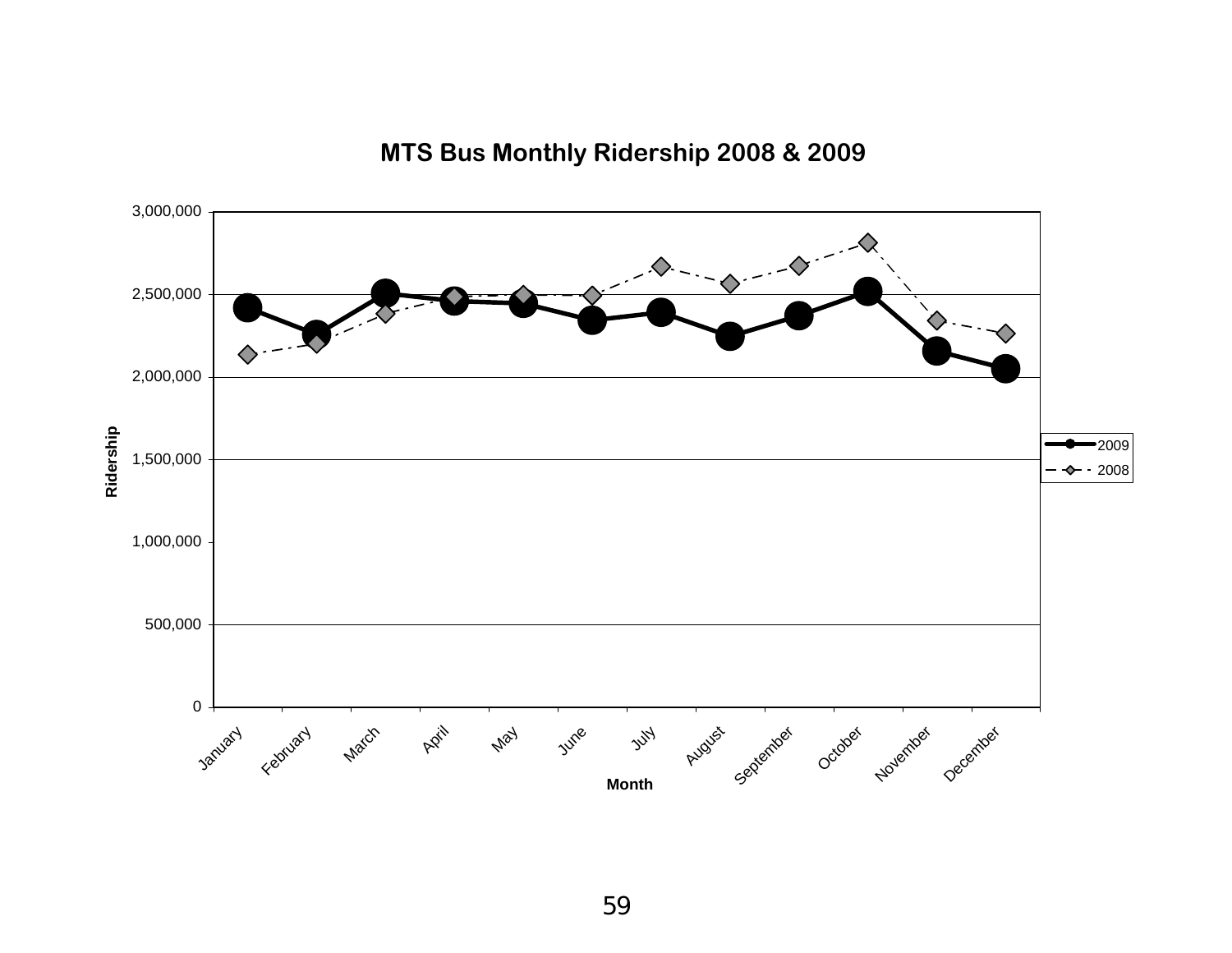

### **MTS Bus Monthly Ridership 2008 & 2009**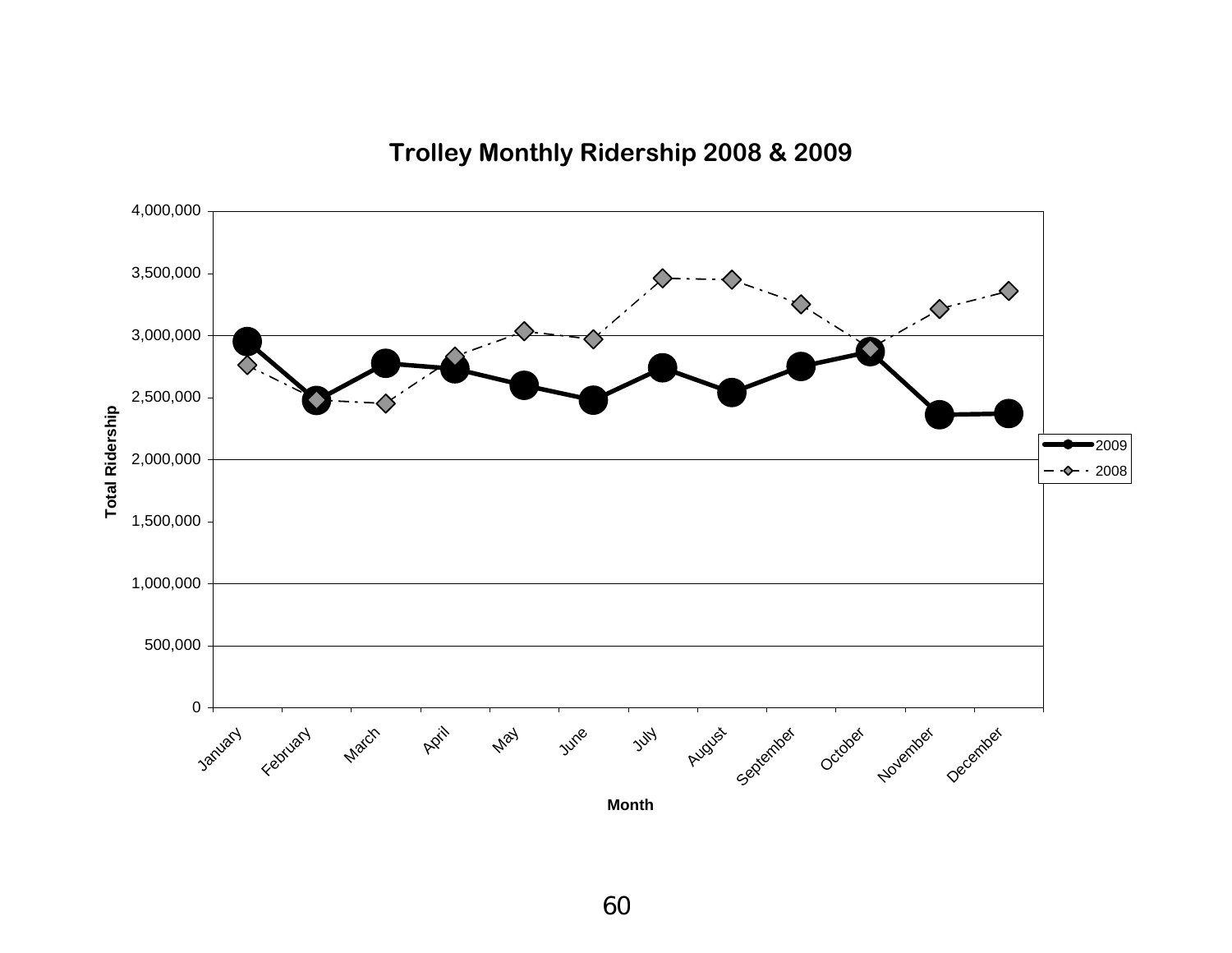**Trolley Monthly Ridership 2008 & 2009**

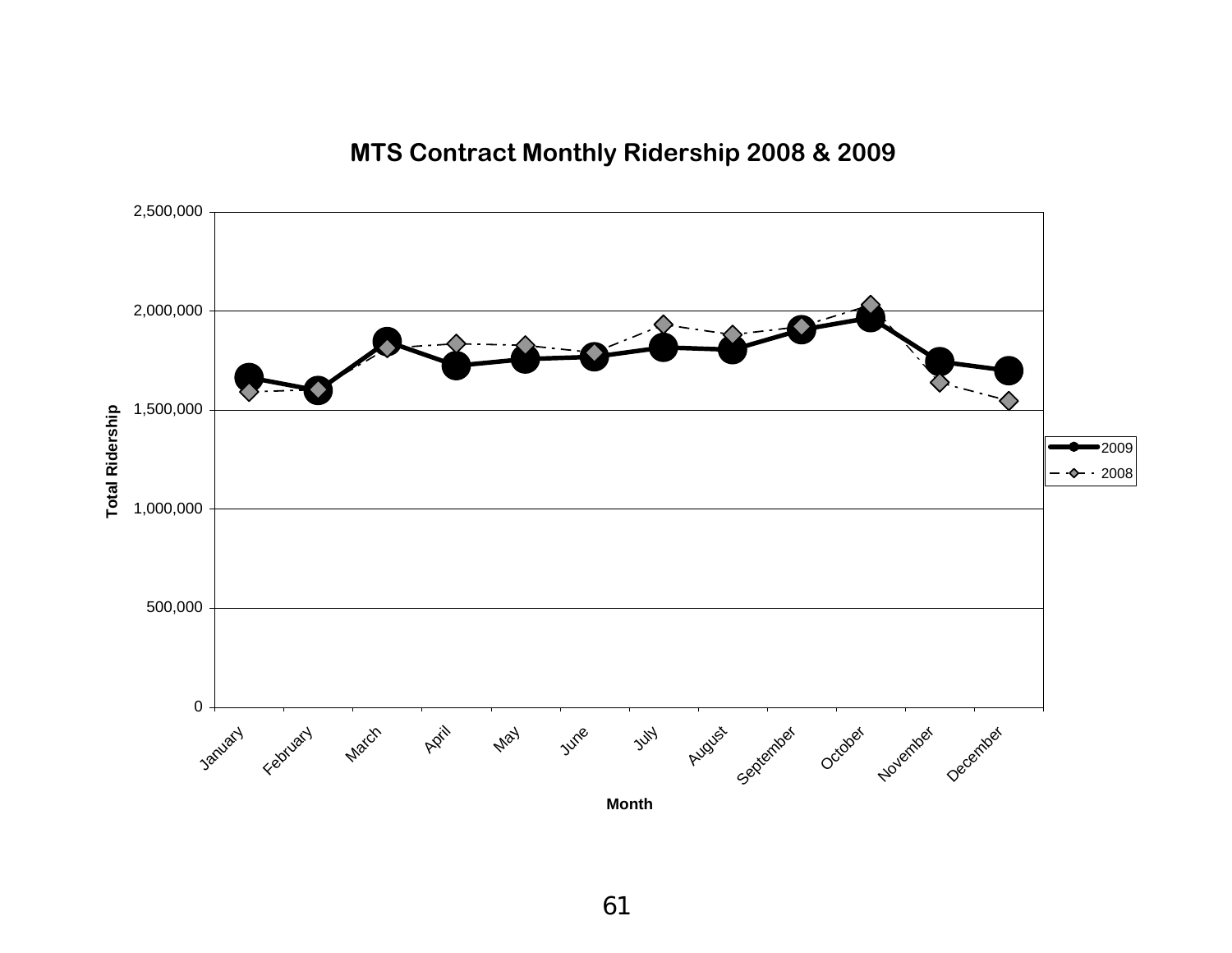**MTS Contract Monthly Ridership 2008 & 2009**

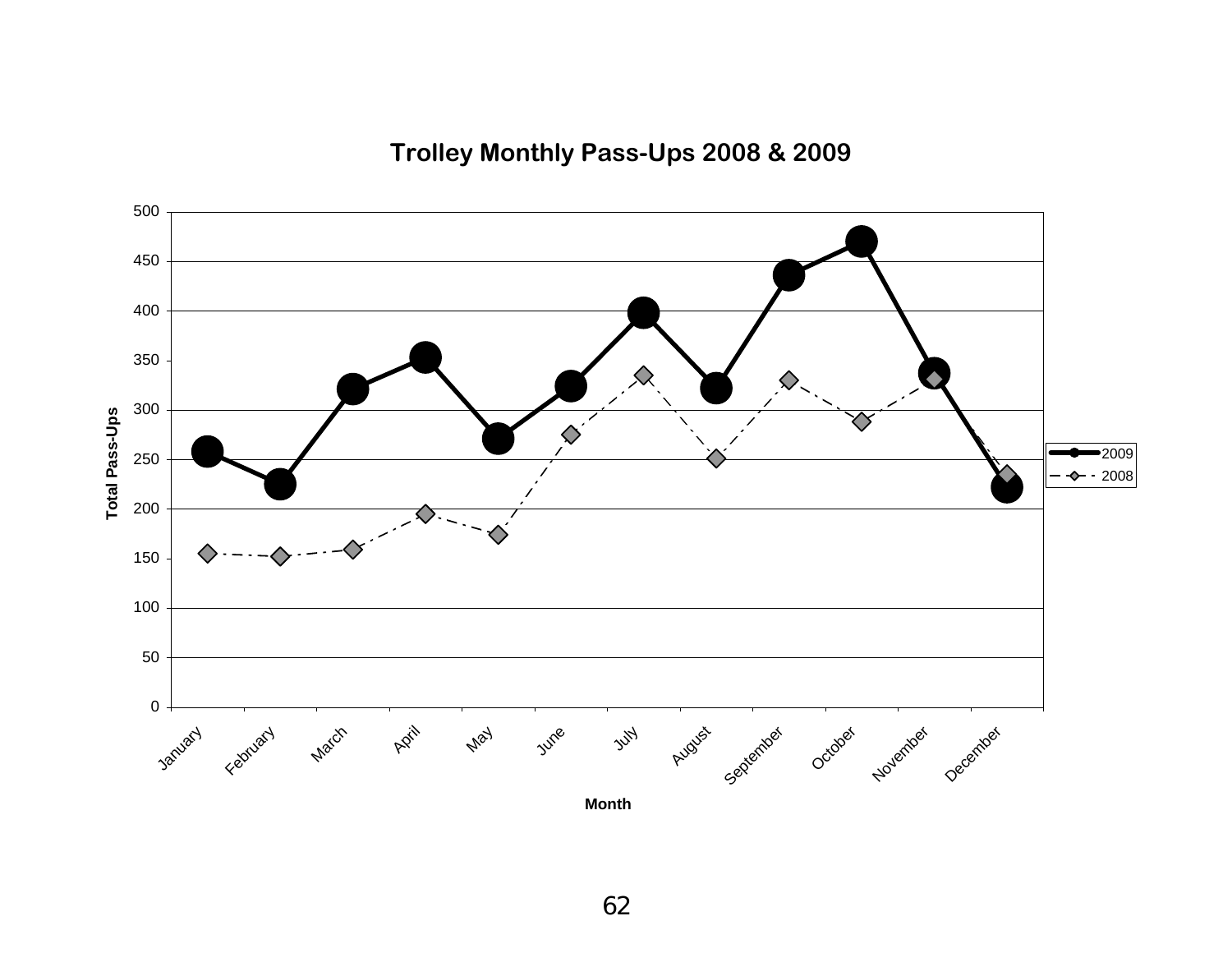**Trolley Monthly Pass-Ups 2008 & 2009**

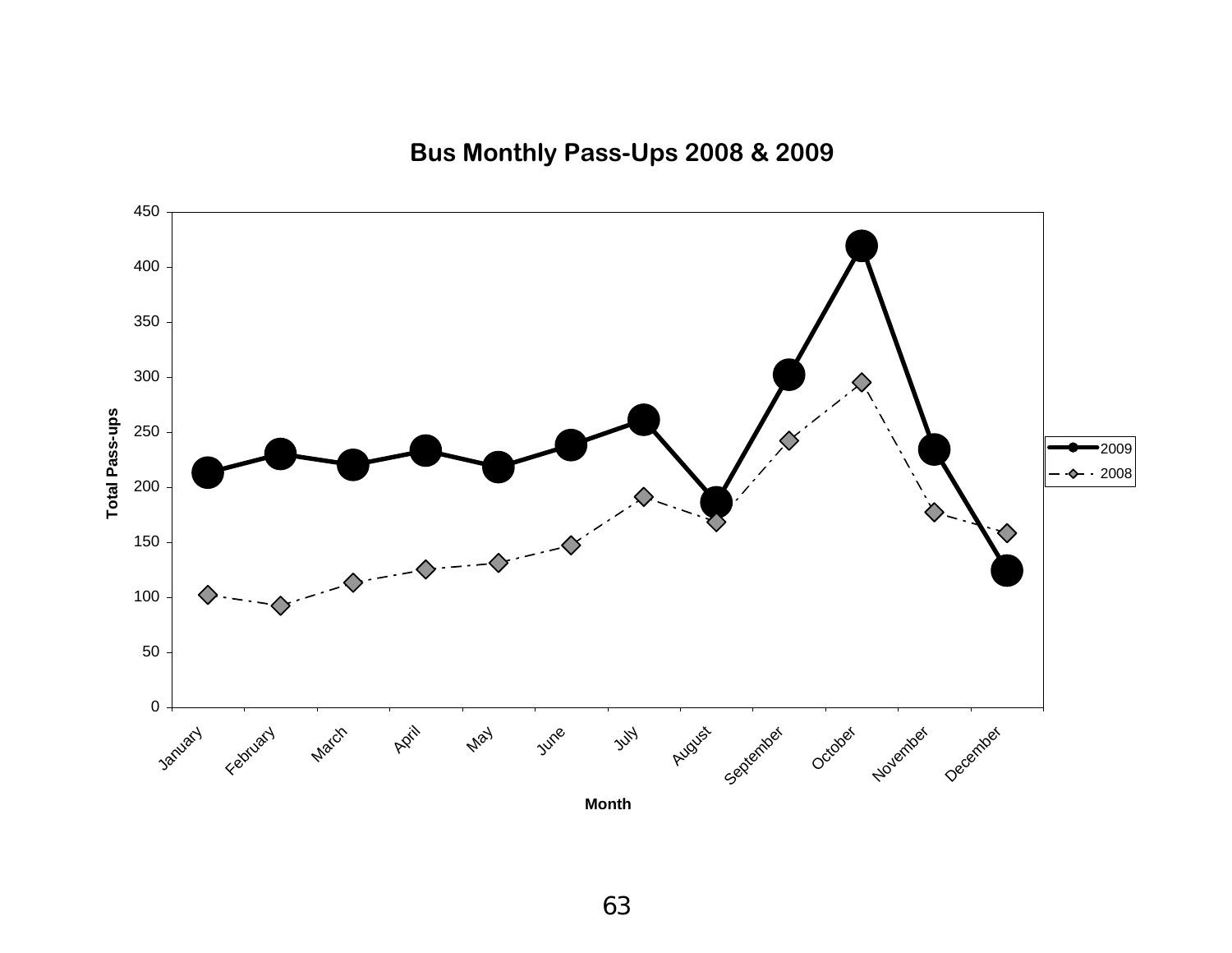**Bus Monthly Pass-Ups 2008 & 2009**

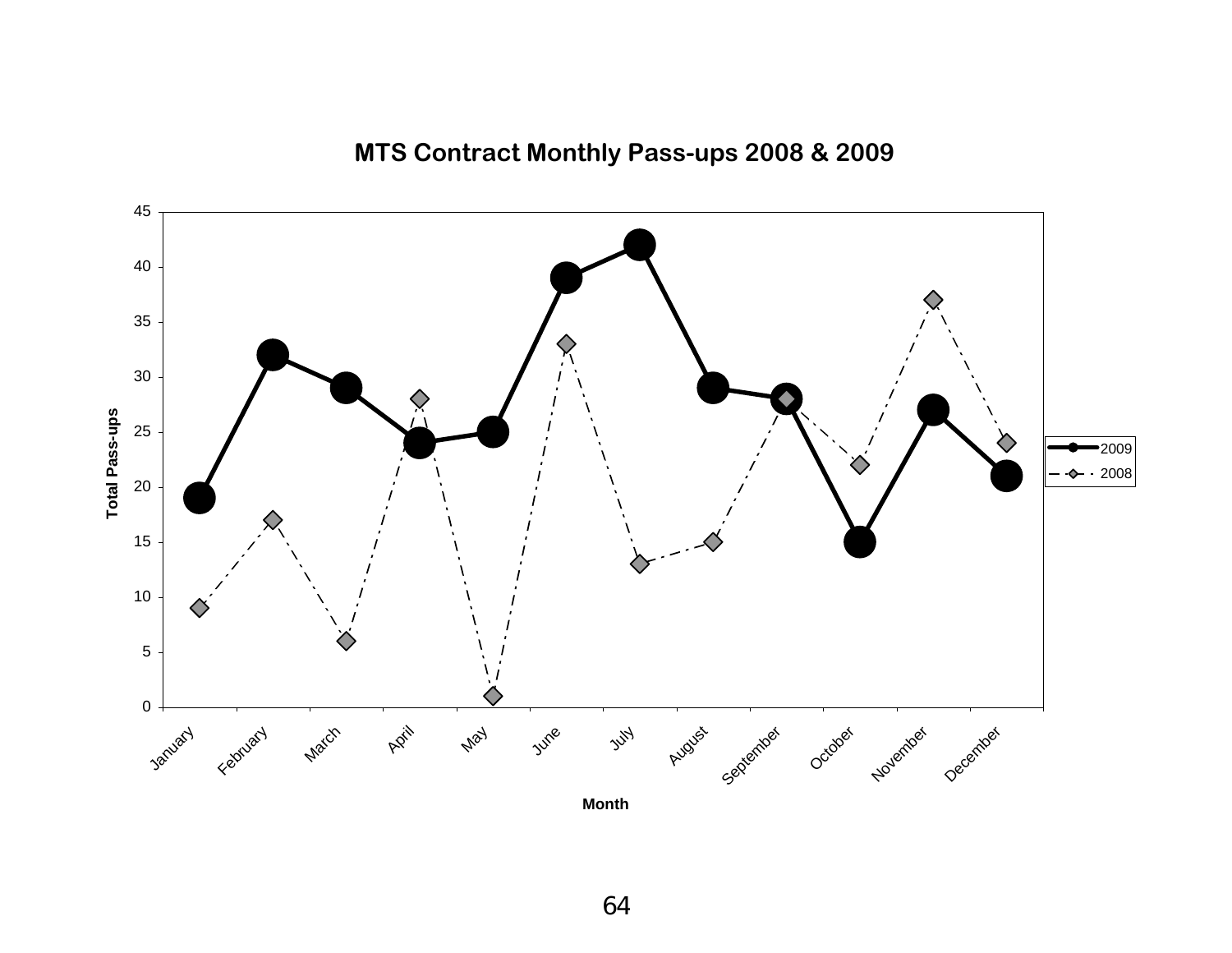

**MTS Contract Monthly Pass-ups 2008 & 2009**

**Month**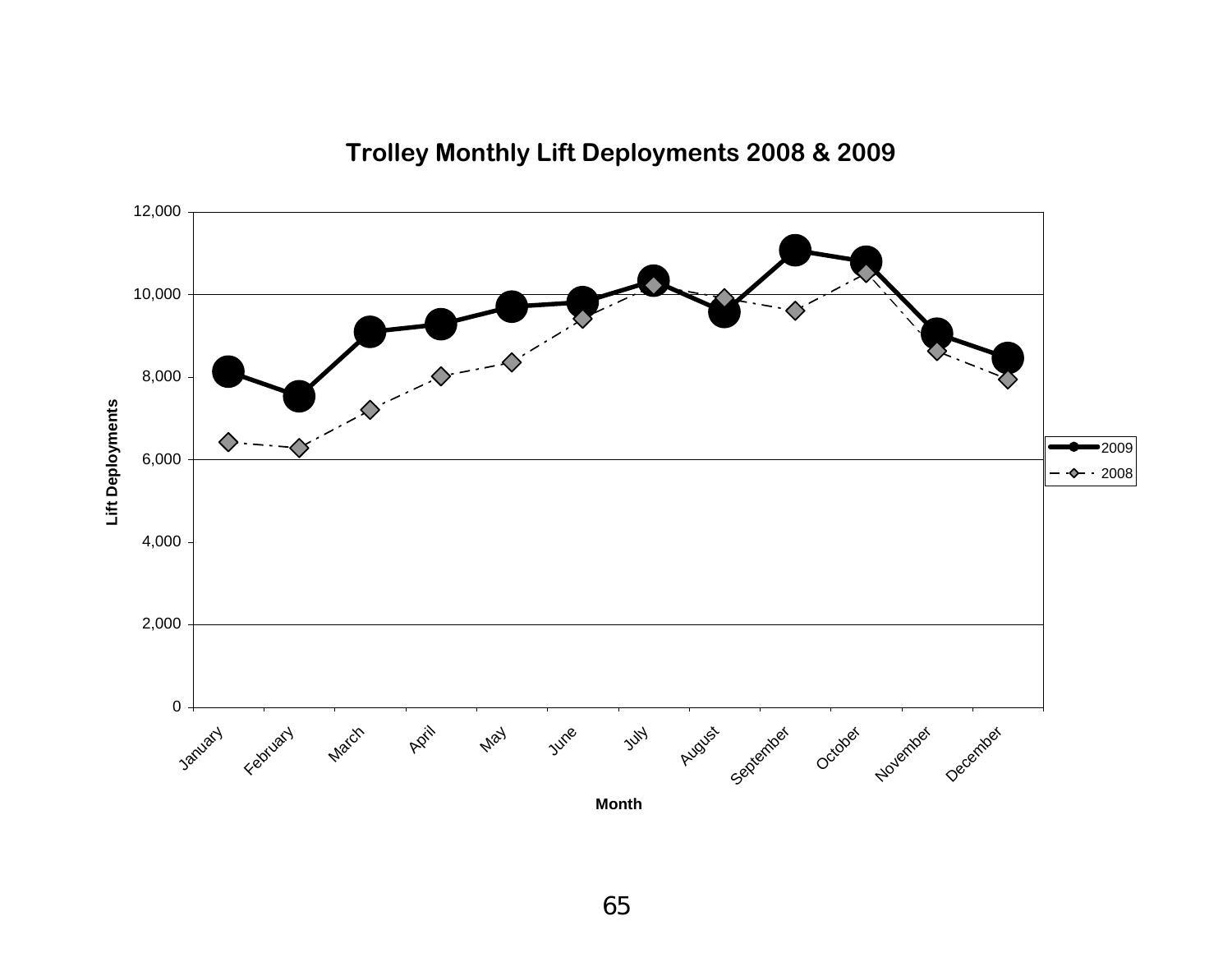

### **Trolley Monthly Lift Deployments 2008 & 2009**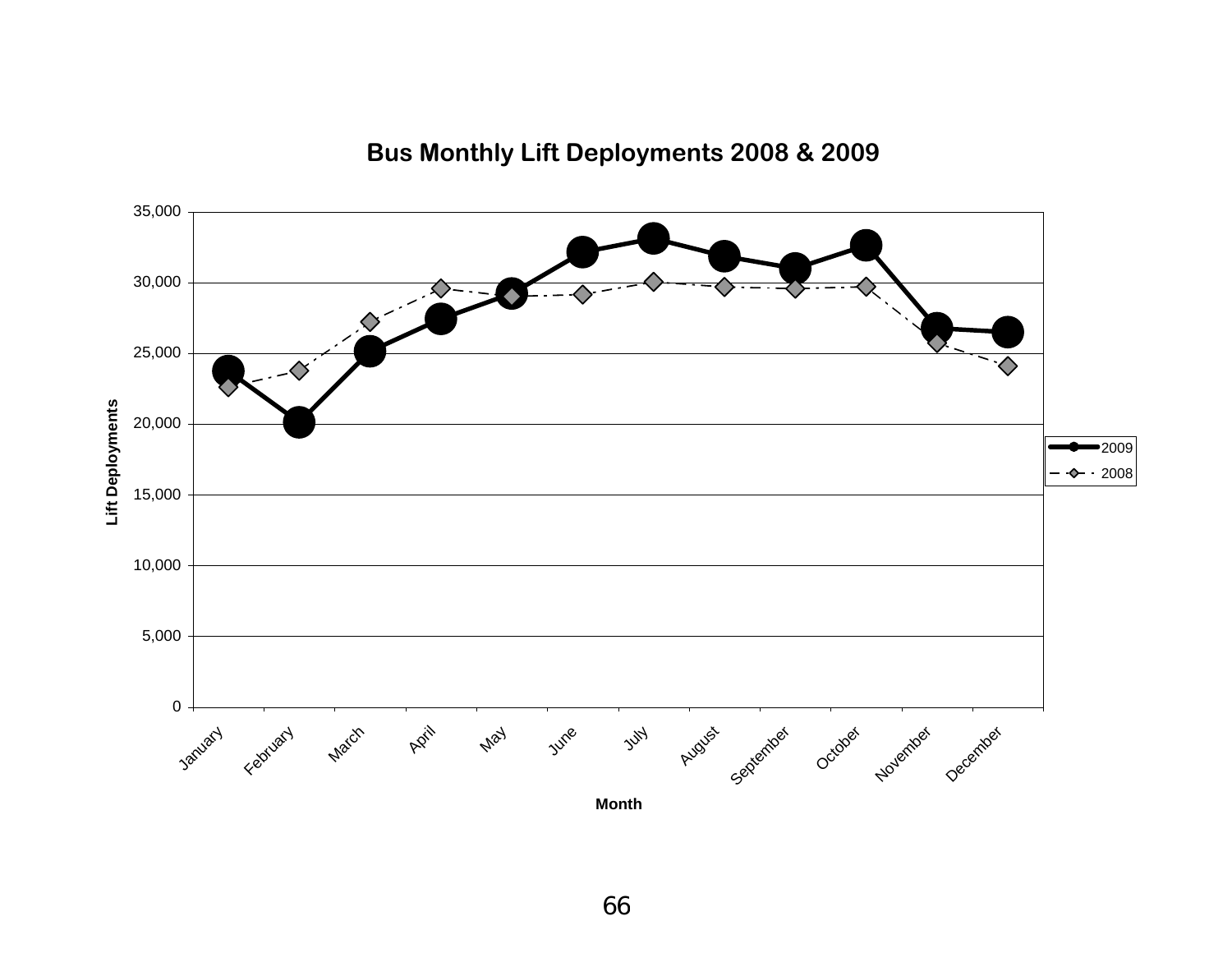

# **Bus Monthly Lift Deployments 2008 & 2009**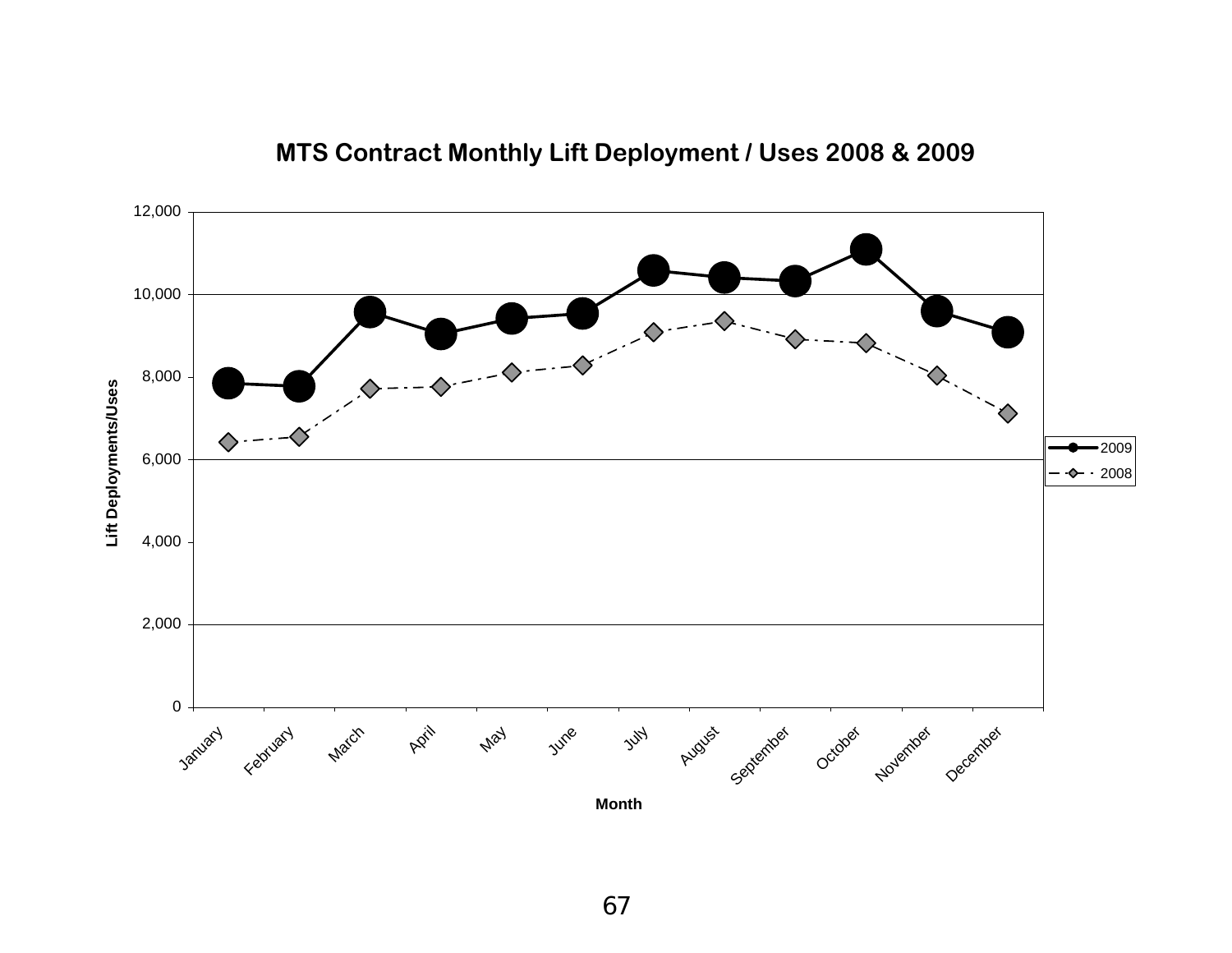

### **MTS Contract Monthly Lift Deployment / Uses 2008 & 2009**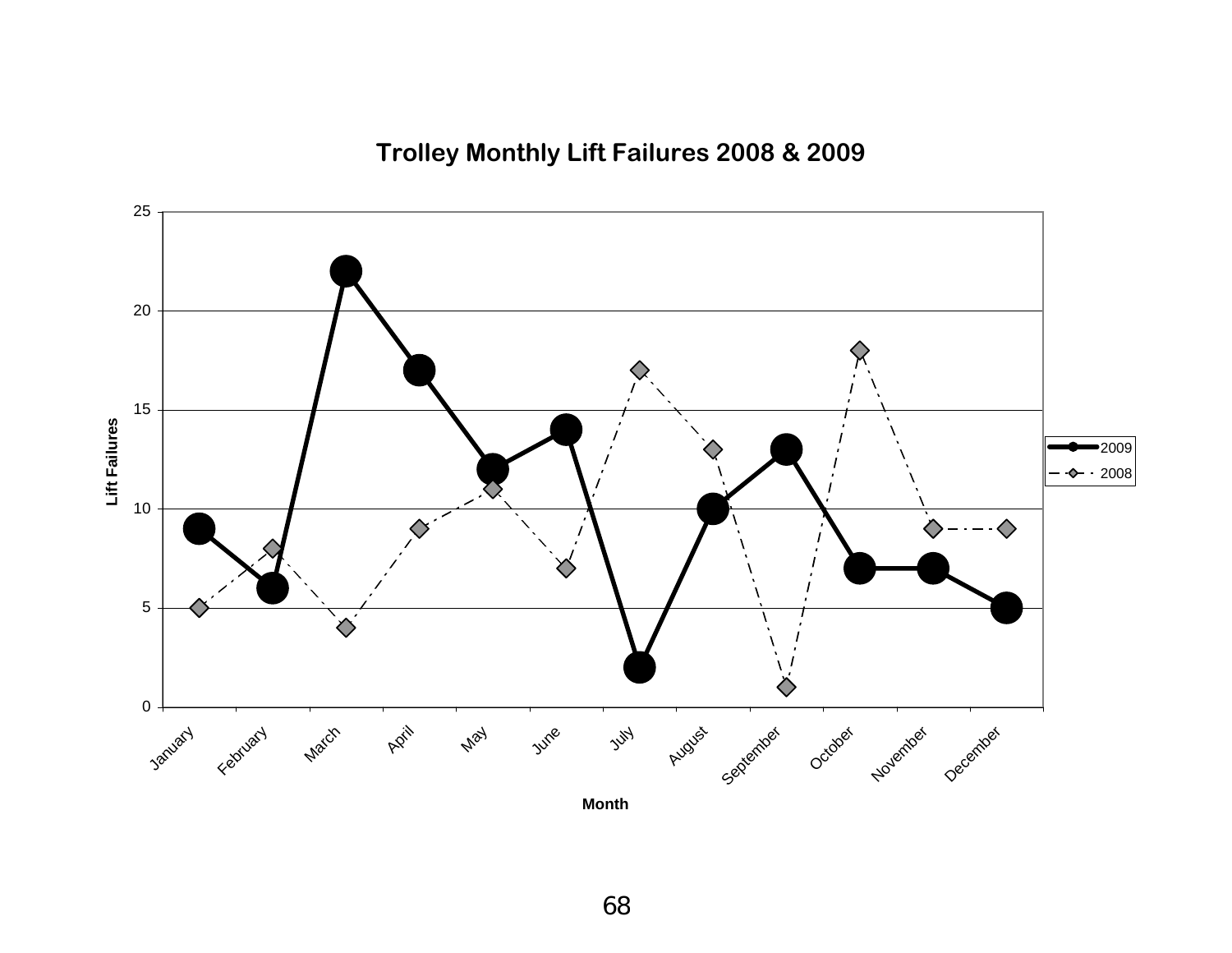**Trolley Monthly Lift Failures 2008 & 2009**

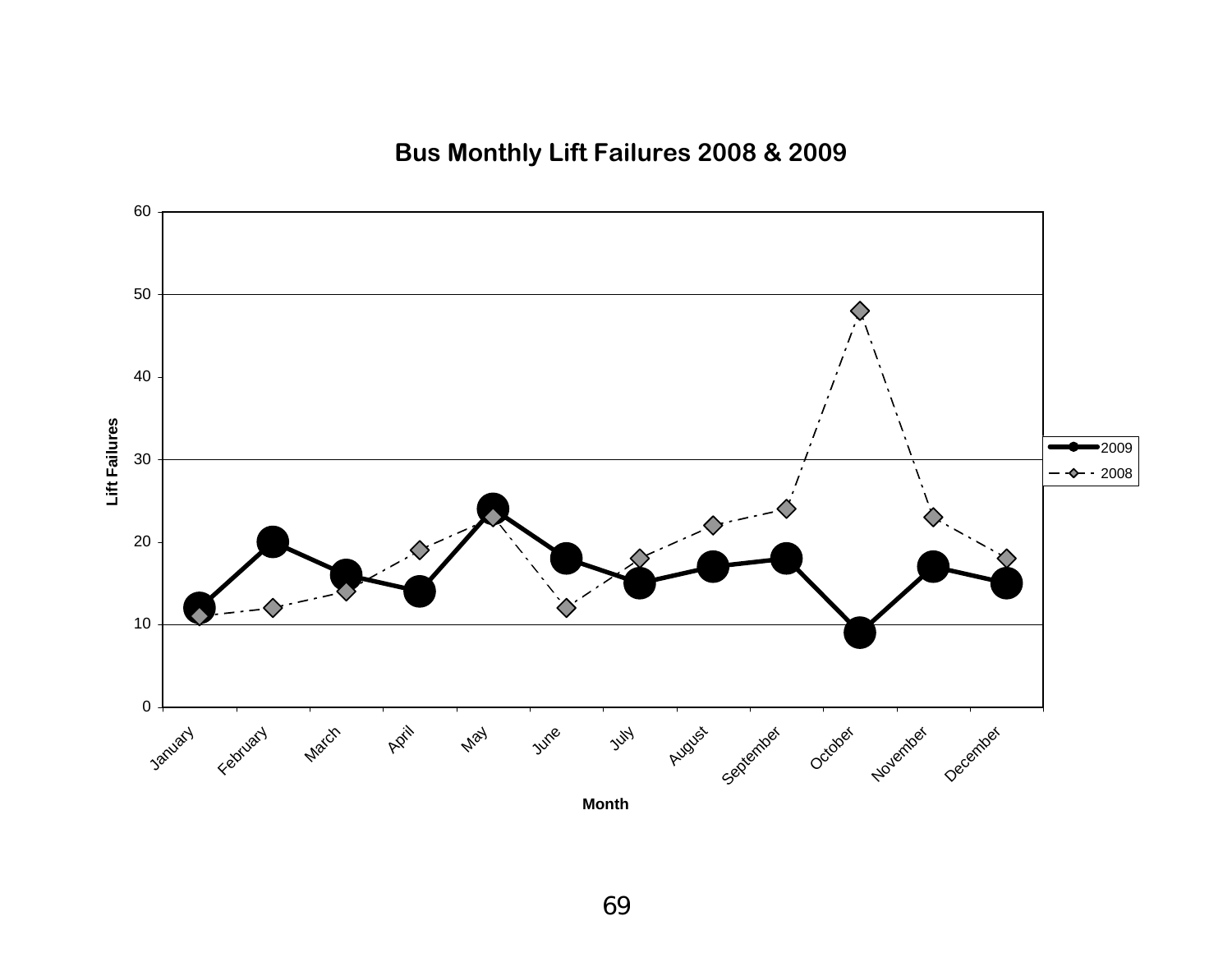**Bus Monthly Lift Failures 2008 & 2009**

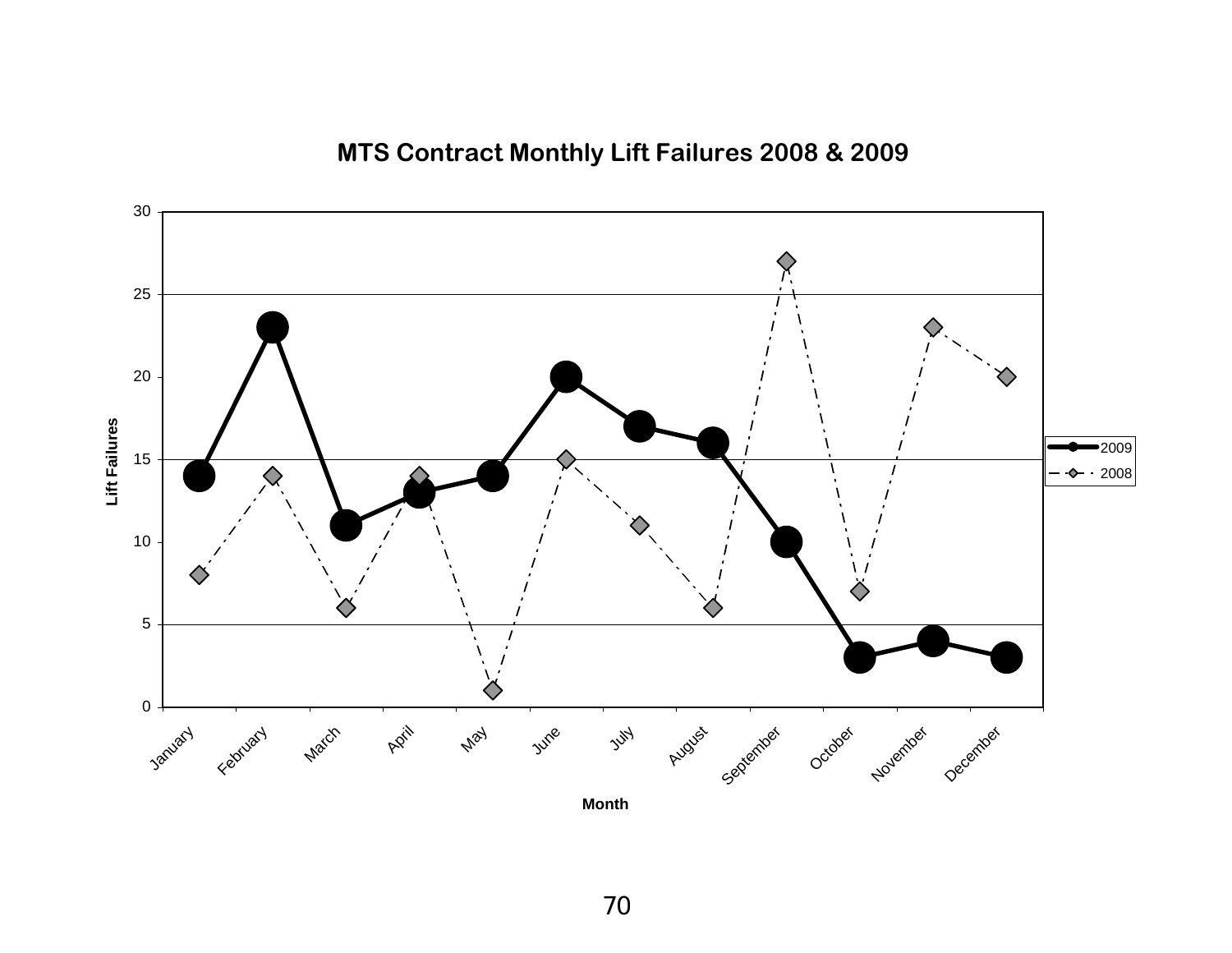# **MTS Contract Monthly Lift Failures 2008 & 2009**

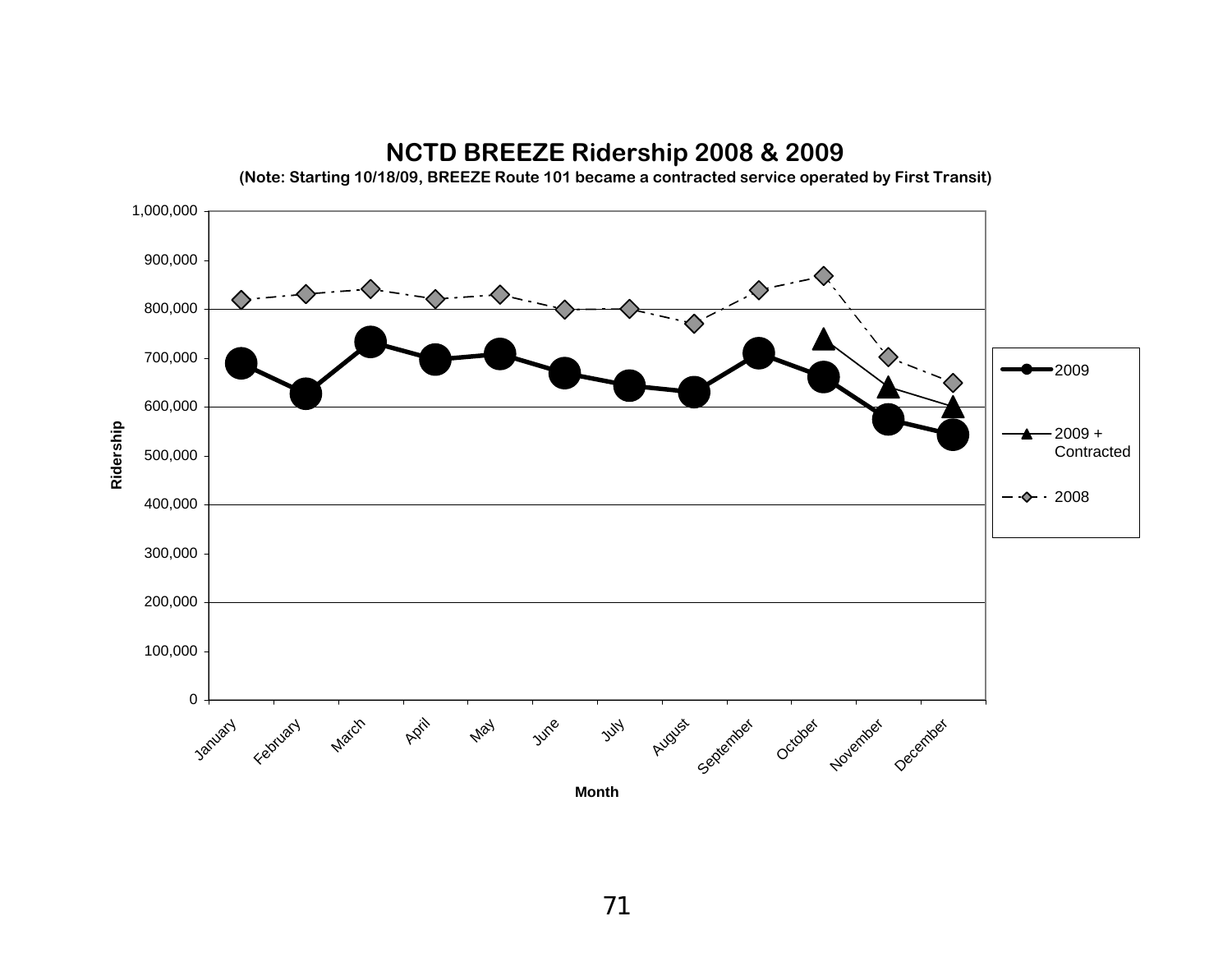

#### **NCTD BREEZE Ridership 2008 & 2009**

**(Note: Starting 10/18/09, BREEZE Route 101 became a contracted service operated by First Transit)**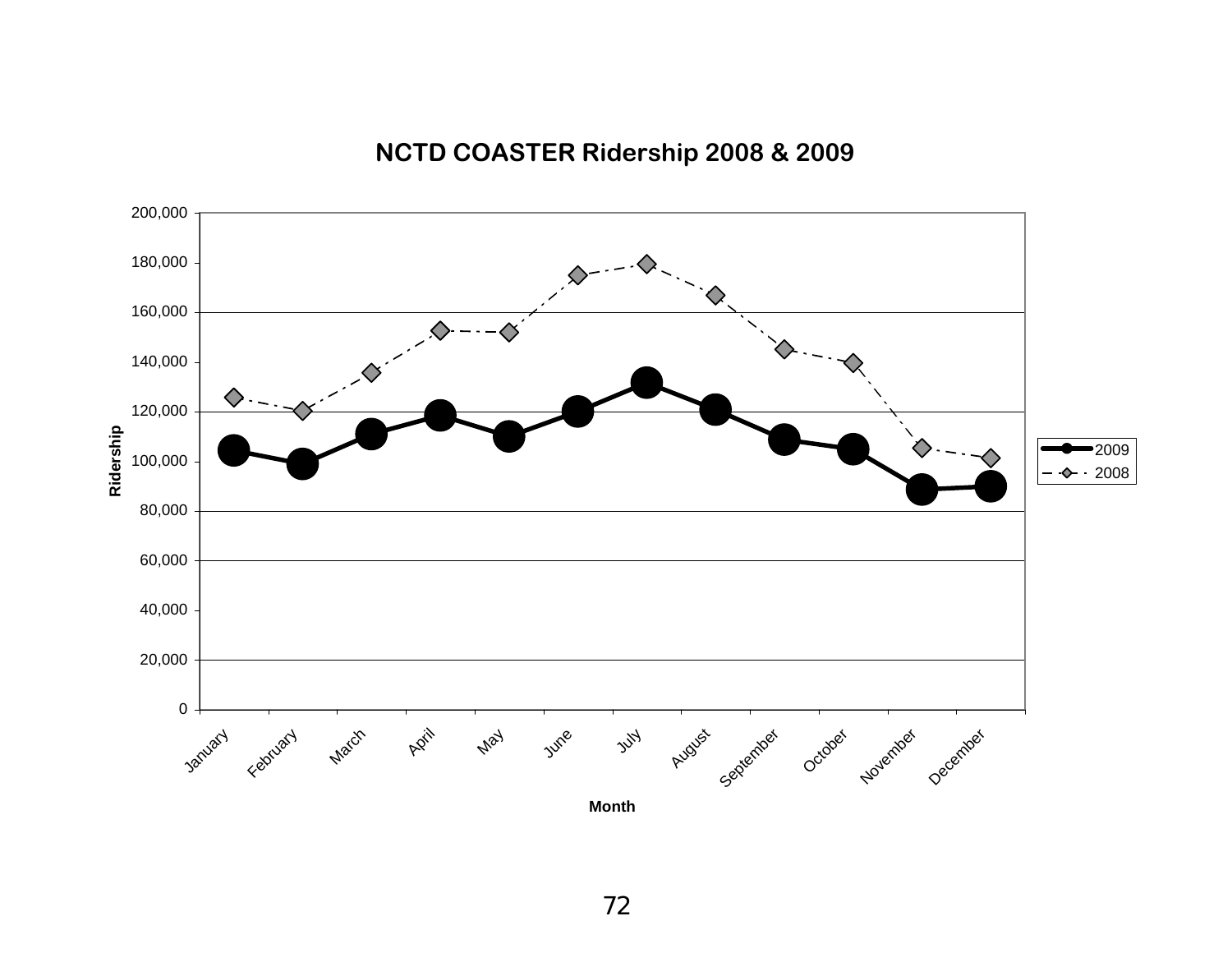

# **NCTD COASTER Ridership 2008 & 2009**

**Month**